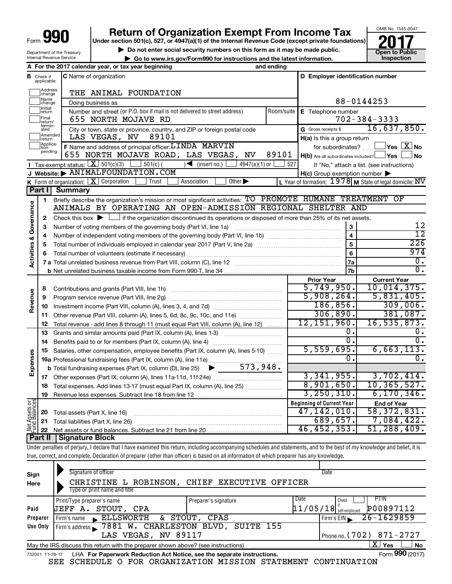**I**

 $\Box$ 

**1**

**3 4**

**8 9**

**12 13**

**19**

**22**

**Activities & Governance**

Activities & Governance

**Revenue**

**Expenses**

**Net Assets or Fund Balances** 

Department of the Treasury

## **Return of Organization Exempt From Income Tax**

**Under section 501(c), 527, or 4947(a)(1) of the Internal Revenue Code (except private foundations)**

OMB No. 1545-0047

**but the Social security numbers on this form as it may be made public. Collection Constant Constructions and the latest information. Collection Constructions Collection Constructions Collection Constructio** 

**| Go to www.irs.gov/Form990 for instructions and the latest information. Inspection**



**Part II Signature Block**

Under penalties of perjury, I declare that I have examined this return, including accompanying schedules and statements, and to the best of my knowledge and belief, it is true, correct, and complete. Declaration of preparer (other than officer) is based on all information of which preparer has any knowledge.

|                 | Signature of officer                                                              | Date                 |                                       |                 |  |  |  |  |  |  |
|-----------------|-----------------------------------------------------------------------------------|----------------------|---------------------------------------|-----------------|--|--|--|--|--|--|
| Sign            |                                                                                   |                      |                                       |                 |  |  |  |  |  |  |
| Here            | CHRISTINE L ROBINSON, CHIEF EXECUTIVE OFFICER                                     |                      |                                       |                 |  |  |  |  |  |  |
|                 | Type or print name and title                                                      |                      |                                       |                 |  |  |  |  |  |  |
|                 | Print/Type preparer's name                                                        | Preparer's signature | <b>PTIN</b><br>Date<br>Check          |                 |  |  |  |  |  |  |
| Paid            | UEFF A. STOUT, CPA                                                                |                      | P00897112<br>$11/05/18$ self-employed |                 |  |  |  |  |  |  |
| Preparer        | Firm's name ELLSWORTH & STOUT, CPAS                                               |                      | $26 - 1629859$<br>Firm's EIN          |                 |  |  |  |  |  |  |
| Use Only        | Firm's address 7881 W. CHARLESTON BLVD, SUITE 155                                 |                      |                                       |                 |  |  |  |  |  |  |
|                 | LAS VEGAS, NV 89117<br>Phone no. $(702)$ 871-2727                                 |                      |                                       |                 |  |  |  |  |  |  |
|                 | May the IRS discuss this return with the preparer shown above? (see instructions) |                      | X∐ Yes                                | <b>No</b>       |  |  |  |  |  |  |
| 732001 11-28-17 | LHA For Paperwork Reduction Act Notice, see the separate instructions.            |                      |                                       | Form 990 (2017) |  |  |  |  |  |  |
|                 | $CD$ COURDITE O ROD ODOANTEAMINT MICCION CHARGEMENT CONTINUATION                  |                      |                                       |                 |  |  |  |  |  |  |

SEE SCHEDULE O FOR ORGANIZATION MISSION STATEMENT CONTINUATION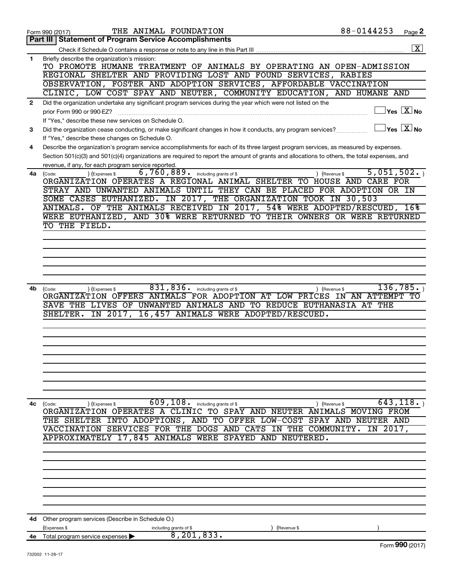|              | THE ANIMAL FOUNDATION<br>Form 990 (2017)                                                                                                                        | 88-0144253 | Page 2                                    |
|--------------|-----------------------------------------------------------------------------------------------------------------------------------------------------------------|------------|-------------------------------------------|
|              | <b>Part III   Statement of Program Service Accomplishments</b>                                                                                                  |            |                                           |
|              |                                                                                                                                                                 |            | $\overline{\mathbf{X}}$                   |
| 1            | Briefly describe the organization's mission:<br>TO PROMOTE HUMANE TREATMENT OF ANIMALS BY OPERATING AN OPEN-ADMISSION                                           |            |                                           |
|              | REGIONAL SHELTER AND PROVIDING LOST AND FOUND SERVICES, RABIES                                                                                                  |            |                                           |
|              | OBSERVATION, FOSTER AND ADOPTION SERVICES, AFFORDABLE VACCINATION<br>CLINIC, LOW COST SPAY AND NEUTER, COMMUNITY EDUCATION, AND HUMANE AND                      |            |                                           |
|              | Did the organization undertake any significant program services during the year which were not listed on the                                                    |            |                                           |
| $\mathbf{2}$ | prior Form 990 or 990-EZ?                                                                                                                                       |            | $\sqrt{\mathsf{Yes}\ \mathbb{X}}$ No      |
|              | If "Yes," describe these new services on Schedule O.                                                                                                            |            | $\overline{\ }$ Yes $\overline{\ \ X}$ No |
| 3            | Did the organization cease conducting, or make significant changes in how it conducts, any program services?<br>If "Yes," describe these changes on Schedule O. |            |                                           |
| 4            | Describe the organization's program service accomplishments for each of its three largest program services, as measured by expenses.                            |            |                                           |
|              | Section 501(c)(3) and 501(c)(4) organizations are required to report the amount of grants and allocations to others, the total expenses, and                    |            |                                           |
|              | revenue, if any, for each program service reported.                                                                                                             |            |                                           |
| 4a           | $6,760,889$ $\frac{1}{2}$ including grants of \$<br>) (Expenses \$<br>) (Revenue \$<br>(Code:                                                                   | 5,051,502. |                                           |
|              | ORGANIZATION OPERATES A REGIONAL ANIMAL SHELTER TO HOUSE AND CARE FOR                                                                                           |            |                                           |
|              | STRAY AND UNWANTED ANIMALS UNTIL THEY CAN BE PLACED FOR ADOPTION OR IN                                                                                          |            |                                           |
|              | SOME CASES EUTHANIZED. IN 2017, THE ORGANIZATION TOOK IN 30,503                                                                                                 |            |                                           |
|              | ANIMALS. OF THE ANIMALS RECEIVED IN 2017, 54% WERE ADOPTED/RESCUED, 16%                                                                                         |            |                                           |
|              | WERE EUTHANIZED, AND 30% WERE RETURNED TO THEIR OWNERS OR WERE RETURNED                                                                                         |            |                                           |
|              | TO THE FIELD.                                                                                                                                                   |            |                                           |
|              |                                                                                                                                                                 |            |                                           |
|              |                                                                                                                                                                 |            |                                           |
|              |                                                                                                                                                                 |            |                                           |
|              |                                                                                                                                                                 |            |                                           |
|              |                                                                                                                                                                 |            |                                           |
| 4b           | 831,836.<br>including grants of \$<br>) (Expenses \$<br>) (Revenue \$<br>(Code:                                                                                 |            | 136,785.                                  |
|              | ORGANIZATION OFFERS ANIMALS FOR ADOPTION AT LOW PRICES IN AN ATTEMPT TO                                                                                         |            |                                           |
|              | UNWANTED ANIMALS AND TO REDUCE EUTHANASIA AT THE<br>SAVE THE<br>LIVES OF                                                                                        |            |                                           |
|              | IN 2017,<br>16,457 ANIMALS WERE ADOPTED/RESCUED.<br>SHELTER.                                                                                                    |            |                                           |
|              |                                                                                                                                                                 |            |                                           |
|              |                                                                                                                                                                 |            |                                           |
|              |                                                                                                                                                                 |            |                                           |
|              |                                                                                                                                                                 |            |                                           |
|              |                                                                                                                                                                 |            |                                           |
|              |                                                                                                                                                                 |            |                                           |
|              |                                                                                                                                                                 |            |                                           |
|              |                                                                                                                                                                 |            |                                           |
| 4с           | 609, 108. including grants of \$<br>(Expenses \$<br>) (Revenue \$<br>(Code:                                                                                     |            | 643, 118.                                 |
|              | ORGANIZATION OPERATES A CLINIC TO SPAY AND NEUTER ANIMALS MOVING FROM                                                                                           |            |                                           |
|              | THE SHELTER INTO ADOPTIONS, AND TO OFFER LOW-COST SPAY AND NEUTER AND                                                                                           |            |                                           |
|              | VACCINATION SERVICES FOR THE DOGS AND CATS IN THE COMMUNITY.                                                                                                    | IN 2017,   |                                           |
|              | APPROXIMATELY 17,845 ANIMALS WERE SPAYED AND NEUTERED.                                                                                                          |            |                                           |
|              |                                                                                                                                                                 |            |                                           |
|              |                                                                                                                                                                 |            |                                           |
|              |                                                                                                                                                                 |            |                                           |
|              |                                                                                                                                                                 |            |                                           |
|              |                                                                                                                                                                 |            |                                           |
|              |                                                                                                                                                                 |            |                                           |
|              |                                                                                                                                                                 |            |                                           |
|              |                                                                                                                                                                 |            |                                           |
| 4d -         | Other program services (Describe in Schedule O.)<br>(Expenses \$<br>including grants of \$<br>(Revenue \$                                                       |            |                                           |
|              | 8, 201, 833.<br>4e Total program service expenses                                                                                                               |            |                                           |
|              |                                                                                                                                                                 |            | Form 990 (2017)                           |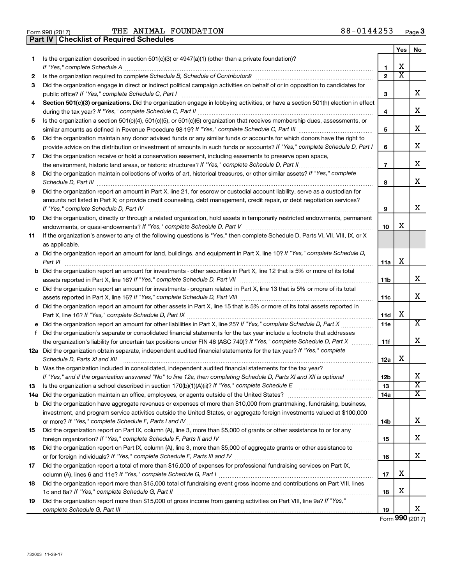**Part IV Checklist of Required Schedules**

 $\frac{1}{100}$   $\frac{1}{100}$   $\frac{1}{100}$   $\frac{1}{100}$   $\frac{1}{100}$   $\frac{1}{100}$   $\frac{1}{100}$   $\frac{1}{100}$   $\frac{1}{100}$   $\frac{1}{100}$   $\frac{1}{100}$   $\frac{1}{100}$   $\frac{1}{100}$   $\frac{1}{100}$   $\frac{1}{100}$   $\frac{1}{100}$   $\frac{1}{100}$   $\frac{1}{100}$   $\frac{1$ THE ANIMAL FOUNDATION

|    |                                                                                                                                                                                                                                                                |                | Yes                   | No                           |
|----|----------------------------------------------------------------------------------------------------------------------------------------------------------------------------------------------------------------------------------------------------------------|----------------|-----------------------|------------------------------|
| 1  | Is the organization described in section $501(c)(3)$ or $4947(a)(1)$ (other than a private foundation)?                                                                                                                                                        |                |                       |                              |
|    |                                                                                                                                                                                                                                                                | 1              | х                     |                              |
| 2  |                                                                                                                                                                                                                                                                | $\mathbf{2}$   | $\overline{\text{x}}$ |                              |
| 3  | Did the organization engage in direct or indirect political campaign activities on behalf of or in opposition to candidates for                                                                                                                                | З              |                       | х                            |
| 4  | Section 501(c)(3) organizations. Did the organization engage in lobbying activities, or have a section 501(h) election in effect                                                                                                                               | 4              |                       | х                            |
| 5  | Is the organization a section 501(c)(4), 501(c)(5), or 501(c)(6) organization that receives membership dues, assessments, or                                                                                                                                   |                |                       |                              |
|    |                                                                                                                                                                                                                                                                | 5              |                       | х                            |
| 6  | Did the organization maintain any donor advised funds or any similar funds or accounts for which donors have the right to                                                                                                                                      |                |                       |                              |
|    | provide advice on the distribution or investment of amounts in such funds or accounts? If "Yes," complete Schedule D, Part I                                                                                                                                   | 6              |                       | х                            |
| 7  | Did the organization receive or hold a conservation easement, including easements to preserve open space,                                                                                                                                                      |                |                       |                              |
|    | the environment, historic land areas, or historic structures? If "Yes," complete Schedule D, Part II                                                                                                                                                           | $\overline{7}$ |                       | х                            |
| 8  | Did the organization maintain collections of works of art, historical treasures, or other similar assets? If "Yes," complete                                                                                                                                   | 8              |                       | х                            |
| 9  | Did the organization report an amount in Part X, line 21, for escrow or custodial account liability, serve as a custodian for                                                                                                                                  |                |                       |                              |
|    | amounts not listed in Part X; or provide credit counseling, debt management, credit repair, or debt negotiation services?<br>If "Yes," complete Schedule D, Part IV                                                                                            | 9              |                       | X                            |
| 10 | Did the organization, directly or through a related organization, hold assets in temporarily restricted endowments, permanent                                                                                                                                  |                |                       |                              |
|    |                                                                                                                                                                                                                                                                | 10             | х                     |                              |
| 11 | If the organization's answer to any of the following questions is "Yes," then complete Schedule D, Parts VI, VII, VIII, IX, or X<br>as applicable.                                                                                                             |                |                       |                              |
|    | a Did the organization report an amount for land, buildings, and equipment in Part X, line 10? If "Yes," complete Schedule D,<br>Part VI                                                                                                                       | 11a            | х                     |                              |
|    | <b>b</b> Did the organization report an amount for investments - other securities in Part X, line 12 that is 5% or more of its total                                                                                                                           | 11b            |                       | х                            |
|    | c Did the organization report an amount for investments - program related in Part X, line 13 that is 5% or more of its total                                                                                                                                   |                |                       |                              |
|    |                                                                                                                                                                                                                                                                | 11c            |                       | x                            |
|    | d Did the organization report an amount for other assets in Part X, line 15 that is 5% or more of its total assets reported in                                                                                                                                 |                |                       |                              |
|    |                                                                                                                                                                                                                                                                | <b>11d</b>     | X                     |                              |
|    |                                                                                                                                                                                                                                                                | 11e            |                       | $\overline{\mathbf{X}}$      |
| f  | Did the organization's separate or consolidated financial statements for the tax year include a footnote that addresses                                                                                                                                        |                |                       |                              |
|    | the organization's liability for uncertain tax positions under FIN 48 (ASC 740)? If "Yes," complete Schedule D, Part X                                                                                                                                         | 11f            |                       | х                            |
|    | 12a Did the organization obtain separate, independent audited financial statements for the tax year? If "Yes," complete<br>Schedule D, Parts XI and XII                                                                                                        | 12a            | х                     |                              |
|    | <b>b</b> Was the organization included in consolidated, independent audited financial statements for the tax year?                                                                                                                                             |                |                       |                              |
|    | If "Yes," and if the organization answered "No" to line 12a, then completing Schedule D, Parts XI and XII is optional                                                                                                                                          | 12b            |                       | Χ<br>$\overline{\textbf{x}}$ |
| 13 |                                                                                                                                                                                                                                                                | 13             |                       | х                            |
|    | 14a Did the organization maintain an office, employees, or agents outside of the United States?                                                                                                                                                                | 14a            |                       |                              |
|    | <b>b</b> Did the organization have aggregate revenues or expenses of more than \$10,000 from grantmaking, fundraising, business,<br>investment, and program service activities outside the United States, or aggregate foreign investments valued at \$100,000 |                |                       |                              |
|    |                                                                                                                                                                                                                                                                | 14b            |                       | х                            |
| 15 | Did the organization report on Part IX, column (A), line 3, more than \$5,000 of grants or other assistance to or for any                                                                                                                                      |                |                       |                              |
|    |                                                                                                                                                                                                                                                                | 15             |                       | х                            |
| 16 | Did the organization report on Part IX, column (A), line 3, more than \$5,000 of aggregate grants or other assistance to                                                                                                                                       |                |                       |                              |
|    |                                                                                                                                                                                                                                                                | 16             |                       | х                            |
| 17 | Did the organization report a total of more than \$15,000 of expenses for professional fundraising services on Part IX,                                                                                                                                        |                | х                     |                              |
| 18 | Did the organization report more than \$15,000 total of fundraising event gross income and contributions on Part VIII, lines                                                                                                                                   | 17             |                       |                              |
|    |                                                                                                                                                                                                                                                                | 18             | х                     |                              |
| 19 | Did the organization report more than \$15,000 of gross income from gaming activities on Part VIII, line 9a? If "Yes,"                                                                                                                                         |                |                       |                              |
|    |                                                                                                                                                                                                                                                                | 19             |                       | x                            |

Form (2017) **990**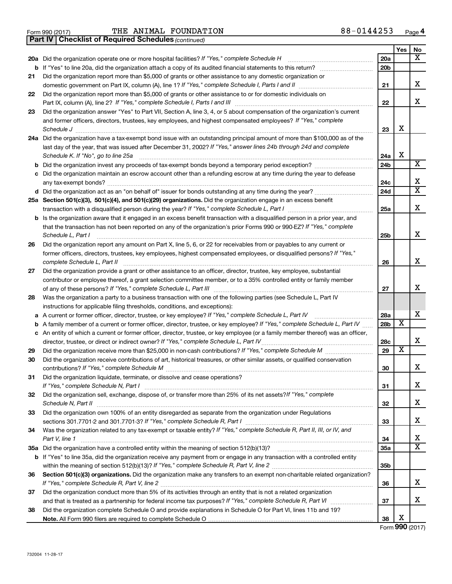Form 990 (2017) **PHE ANIMAL FOUNDATION**  $88-0144253$  Page

*(continued)* **Part IV Checklist of Required Schedules**

|     |                                                                                                                                 |                 | Yes                     | No                      |
|-----|---------------------------------------------------------------------------------------------------------------------------------|-----------------|-------------------------|-------------------------|
| 20a | Did the organization operate one or more hospital facilities? If "Yes," complete Schedule H                                     | 20a             |                         | x                       |
| b   | If "Yes" to line 20a, did the organization attach a copy of its audited financial statements to this return?                    | 20 <sub>b</sub> |                         |                         |
| 21  | Did the organization report more than \$5,000 of grants or other assistance to any domestic organization or                     |                 |                         |                         |
|     | domestic government on Part IX, column (A), line 1? If "Yes," complete Schedule I, Parts I and II                               | 21              |                         | x                       |
| 22  | Did the organization report more than \$5,000 of grants or other assistance to or for domestic individuals on                   |                 |                         |                         |
|     | Part IX, column (A), line 2? If "Yes," complete Schedule I, Parts I and III                                                     | 22              |                         | x                       |
| 23  | Did the organization answer "Yes" to Part VII, Section A, line 3, 4, or 5 about compensation of the organization's current      |                 |                         |                         |
|     | and former officers, directors, trustees, key employees, and highest compensated employees? If "Yes," complete                  |                 |                         |                         |
|     | Schedule J                                                                                                                      | 23              | x                       |                         |
| 24a | Did the organization have a tax-exempt bond issue with an outstanding principal amount of more than \$100,000 as of the         |                 |                         |                         |
|     | last day of the year, that was issued after December 31, 2002? If "Yes," answer lines 24b through 24d and complete              |                 |                         |                         |
|     | Schedule K. If "No", go to line 25a                                                                                             | 24a             | х                       |                         |
| b   |                                                                                                                                 | 24 <sub>b</sub> |                         | X                       |
| с   | Did the organization maintain an escrow account other than a refunding escrow at any time during the year to defease            |                 |                         |                         |
|     | any tax-exempt bonds?                                                                                                           | 24c             |                         | х                       |
|     |                                                                                                                                 | 24d             |                         | $\overline{\mathtt{x}}$ |
|     | 25a Section 501(c)(3), 501(c)(4), and 501(c)(29) organizations. Did the organization engage in an excess benefit                |                 |                         |                         |
|     | transaction with a disqualified person during the year? If "Yes," complete Schedule L, Part I                                   | 25a             |                         | X                       |
| b   | Is the organization aware that it engaged in an excess benefit transaction with a disqualified person in a prior year, and      |                 |                         |                         |
|     | that the transaction has not been reported on any of the organization's prior Forms 990 or 990-EZ? If "Yes," complete           |                 |                         |                         |
|     | Schedule L, Part I                                                                                                              | 25b             |                         | x                       |
| 26  | Did the organization report any amount on Part X, line 5, 6, or 22 for receivables from or payables to any current or           |                 |                         |                         |
|     | former officers, directors, trustees, key employees, highest compensated employees, or disqualified persons? If "Yes,"          |                 |                         |                         |
|     | complete Schedule L, Part II                                                                                                    | 26              |                         | x                       |
| 27  | Did the organization provide a grant or other assistance to an officer, director, trustee, key employee, substantial            |                 |                         |                         |
|     | contributor or employee thereof, a grant selection committee member, or to a 35% controlled entity or family member             |                 |                         | х                       |
|     | of any of these persons? If "Yes," complete Schedule L, Part III [[11]]] [[11]] [[11] [[11] [[11] [[11] [[11] [                 | 27              |                         |                         |
| 28  | Was the organization a party to a business transaction with one of the following parties (see Schedule L, Part IV               |                 |                         |                         |
|     | instructions for applicable filing thresholds, conditions, and exceptions):                                                     |                 |                         | X                       |
| а   | A current or former officer, director, trustee, or key employee? If "Yes," complete Schedule L, Part IV                         | 28a             | X                       |                         |
| b   | A family member of a current or former officer, director, trustee, or key employee? If "Yes," complete Schedule L, Part IV      | 28b             |                         |                         |
| с   | An entity of which a current or former officer, director, trustee, or key employee (or a family member thereof) was an officer, |                 |                         | x                       |
|     | director, trustee, or direct or indirect owner? If "Yes," complete Schedule L, Part IV                                          | 28c<br>29       | $\overline{\textbf{x}}$ |                         |
| 29  | Did the organization receive contributions of art, historical treasures, or other similar assets, or qualified conservation     |                 |                         |                         |
| 30  |                                                                                                                                 | 30              |                         | X                       |
| 31  | Did the organization liquidate, terminate, or dissolve and cease operations?                                                    |                 |                         |                         |
|     | If "Yes." complete Schedule N, Part I                                                                                           | 31              |                         | X                       |
| 32  | Did the organization sell, exchange, dispose of, or transfer more than 25% of its net assets? If "Yes," complete                |                 |                         |                         |
|     |                                                                                                                                 | 32              |                         | x                       |
| 33  | Did the organization own 100% of an entity disregarded as separate from the organization under Regulations                      |                 |                         |                         |
|     |                                                                                                                                 | 33              |                         | x                       |
| 34  | Was the organization related to any tax-exempt or taxable entity? If "Yes," complete Schedule R, Part II, III, or IV, and       |                 |                         |                         |
|     | Part V, line 1                                                                                                                  | 34              |                         | x                       |
| 35a |                                                                                                                                 | <b>35a</b>      |                         | $\overline{\mathbf{X}}$ |
| b   | If "Yes" to line 35a, did the organization receive any payment from or engage in any transaction with a controlled entity       |                 |                         |                         |
|     |                                                                                                                                 | 35b             |                         |                         |
| 36  | Section 501(c)(3) organizations. Did the organization make any transfers to an exempt non-charitable related organization?      |                 |                         |                         |
|     |                                                                                                                                 | 36              |                         | x                       |
| 37  | Did the organization conduct more than 5% of its activities through an entity that is not a related organization                |                 |                         |                         |
|     |                                                                                                                                 | 37              |                         | x                       |
| 38  | Did the organization complete Schedule O and provide explanations in Schedule O for Part VI, lines 11b and 19?                  |                 |                         |                         |
|     |                                                                                                                                 | 38              | х                       |                         |

Form (2017) **990**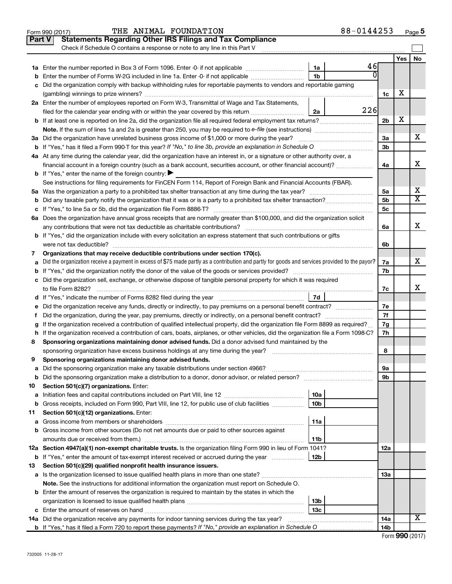|    | THE ANIMAL FOUNDATION<br>Form 990 (2017)                                                                                                        |                 | 88-0144253 |                |     | Page 5                  |  |  |  |
|----|-------------------------------------------------------------------------------------------------------------------------------------------------|-----------------|------------|----------------|-----|-------------------------|--|--|--|
|    | <b>Statements Regarding Other IRS Filings and Tax Compliance</b><br><b>Part V</b>                                                               |                 |            |                |     |                         |  |  |  |
|    | Check if Schedule O contains a response or note to any line in this Part V                                                                      |                 |            |                |     |                         |  |  |  |
|    |                                                                                                                                                 |                 |            |                | Yes | No                      |  |  |  |
|    |                                                                                                                                                 | 1a              | 46         |                |     |                         |  |  |  |
| b  | Enter the number of Forms W-2G included in line 1a. Enter -0- if not applicable                                                                 | 1b              |            |                |     |                         |  |  |  |
| c  | Did the organization comply with backup withholding rules for reportable payments to vendors and reportable gaming                              |                 |            |                |     |                         |  |  |  |
|    |                                                                                                                                                 |                 |            | 1c             | X   |                         |  |  |  |
|    | 2a Enter the number of employees reported on Form W-3, Transmittal of Wage and Tax Statements,                                                  |                 |            |                |     |                         |  |  |  |
|    | filed for the calendar year ending with or within the year covered by this return                                                               | 2a              | 226        |                |     |                         |  |  |  |
|    | <b>b</b> If at least one is reported on line 2a, did the organization file all required federal employment tax returns?                         |                 |            | 2 <sub>b</sub> | X   |                         |  |  |  |
|    |                                                                                                                                                 |                 |            |                |     |                         |  |  |  |
|    | 3a Did the organization have unrelated business gross income of \$1,000 or more during the year?                                                |                 |            | За             |     | х                       |  |  |  |
|    |                                                                                                                                                 |                 |            | 3b             |     |                         |  |  |  |
|    | 4a At any time during the calendar year, did the organization have an interest in, or a signature or other authority over, a                    |                 |            |                |     |                         |  |  |  |
|    | financial account in a foreign country (such as a bank account, securities account, or other financial account)?                                |                 |            | 4a             |     | X                       |  |  |  |
|    | <b>b</b> If "Yes," enter the name of the foreign country: $\blacktriangleright$                                                                 |                 |            |                |     |                         |  |  |  |
|    | See instructions for filing requirements for FinCEN Form 114, Report of Foreign Bank and Financial Accounts (FBAR).                             |                 |            |                |     |                         |  |  |  |
|    |                                                                                                                                                 |                 |            | 5a             |     | х                       |  |  |  |
| b  |                                                                                                                                                 |                 |            | 5b             |     | $\overline{\texttt{x}}$ |  |  |  |
|    |                                                                                                                                                 |                 |            | 5c             |     |                         |  |  |  |
|    | 6a Does the organization have annual gross receipts that are normally greater than \$100,000, and did the organization solicit                  |                 |            |                |     |                         |  |  |  |
|    | any contributions that were not tax deductible as charitable contributions?                                                                     |                 |            | 6a             |     | x                       |  |  |  |
|    | <b>b</b> If "Yes," did the organization include with every solicitation an express statement that such contributions or gifts                   |                 |            |                |     |                         |  |  |  |
|    | were not tax deductible?                                                                                                                        |                 |            | 6b             |     |                         |  |  |  |
| 7  | Organizations that may receive deductible contributions under section 170(c).                                                                   |                 |            |                |     |                         |  |  |  |
| a  | Did the organization receive a payment in excess of \$75 made partly as a contribution and partly for goods and services provided to the payor? |                 |            | 7a             |     | x                       |  |  |  |
|    |                                                                                                                                                 |                 |            | 7b             |     |                         |  |  |  |
|    | c Did the organization sell, exchange, or otherwise dispose of tangible personal property for which it was required                             |                 |            |                |     |                         |  |  |  |
|    | to file Form 8282?                                                                                                                              |                 |            |                |     |                         |  |  |  |
|    |                                                                                                                                                 | 7d              |            |                |     |                         |  |  |  |
| е  | Did the organization receive any funds, directly or indirectly, to pay premiums on a personal benefit contract?                                 |                 |            | 7e             |     |                         |  |  |  |
| f. |                                                                                                                                                 |                 |            | 7f             |     |                         |  |  |  |
| g  | If the organization received a contribution of qualified intellectual property, did the organization file Form 8899 as required?                |                 |            | 7g             |     |                         |  |  |  |
|    | h If the organization received a contribution of cars, boats, airplanes, or other vehicles, did the organization file a Form 1098-C?            |                 |            | 7h             |     |                         |  |  |  |
| 8  | Sponsoring organizations maintaining donor advised funds. Did a donor advised fund maintained by the                                            |                 |            |                |     |                         |  |  |  |
|    | sponsoring organization have excess business holdings at any time during the year?                                                              |                 |            | 8              |     |                         |  |  |  |
| 9  | Sponsoring organizations maintaining donor advised funds.                                                                                       |                 |            |                |     |                         |  |  |  |
| а  | Did the sponsoring organization make any taxable distributions under section 4966?                                                              |                 |            | 9а             |     |                         |  |  |  |
| b  |                                                                                                                                                 |                 |            | 9b             |     |                         |  |  |  |
| 10 | Section 501(c)(7) organizations. Enter:                                                                                                         |                 |            |                |     |                         |  |  |  |
| а  |                                                                                                                                                 | 10a             |            |                |     |                         |  |  |  |
| b  | Gross receipts, included on Form 990, Part VIII, line 12, for public use of club facilities                                                     | 10 <sub>b</sub> |            |                |     |                         |  |  |  |
| 11 | Section 501(c)(12) organizations. Enter:                                                                                                        |                 |            |                |     |                         |  |  |  |
| а  |                                                                                                                                                 | 11a             |            |                |     |                         |  |  |  |
| b  | Gross income from other sources (Do not net amounts due or paid to other sources against                                                        |                 |            |                |     |                         |  |  |  |
|    |                                                                                                                                                 | 11b             |            |                |     |                         |  |  |  |
|    | 12a Section 4947(a)(1) non-exempt charitable trusts. Is the organization filing Form 990 in lieu of Form 1041?                                  |                 |            | 12a            |     |                         |  |  |  |
| b  | If "Yes," enter the amount of tax-exempt interest received or accrued during the year                                                           | 12b             |            |                |     |                         |  |  |  |
| 13 | Section 501(c)(29) qualified nonprofit health insurance issuers.                                                                                |                 |            |                |     |                         |  |  |  |
|    |                                                                                                                                                 |                 |            | 1За            |     |                         |  |  |  |
|    | Note. See the instructions for additional information the organization must report on Schedule O.                                               |                 |            |                |     |                         |  |  |  |
|    | <b>b</b> Enter the amount of reserves the organization is required to maintain by the states in which the                                       |                 |            |                |     |                         |  |  |  |
|    |                                                                                                                                                 | 13 <sub>b</sub> |            |                |     |                         |  |  |  |
|    |                                                                                                                                                 | 13с             |            |                |     |                         |  |  |  |
|    | <b>14a</b> Did the organization receive any payments for indoor tanning services during the tax year?                                           |                 |            | 14a            |     | х                       |  |  |  |
|    |                                                                                                                                                 |                 |            | 14b            |     |                         |  |  |  |

| Form 990 (2017) |  |
|-----------------|--|
|-----------------|--|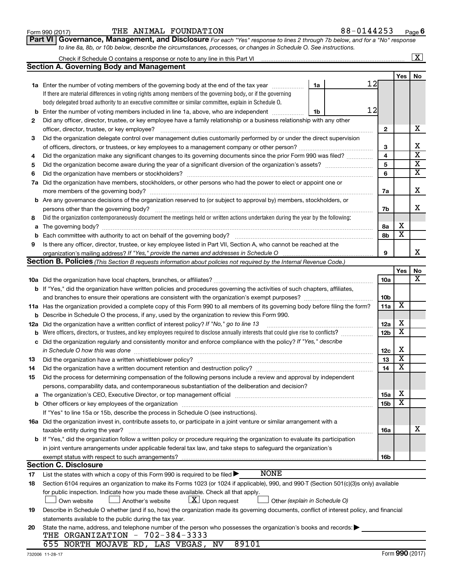| Form 990 (2017 |
|----------------|
|----------------|

#### Form 990 (2017)  $\begin{array}{cccc} \text{THE} & \text{ANIMAL} & \text{FOUNDATION} \end{array}$  88 – 0144253  $\begin{array}{cccc} \text{Page} & \text{Page} \end{array}$

**Part VI** Governance, Management, and Disclosure For each "Yes" response to lines 2 through 7b below, and for a "No" response *to line 8a, 8b, or 10b below, describe the circumstances, processes, or changes in Schedule O. See instructions.*

|     | Check if Schedule O contains a response or note to any line in this Part VI                                                                                                                                                    |                         |                         | $\overline{\mathbf{x}}$ |
|-----|--------------------------------------------------------------------------------------------------------------------------------------------------------------------------------------------------------------------------------|-------------------------|-------------------------|-------------------------|
|     | <b>Section A. Governing Body and Management</b>                                                                                                                                                                                |                         |                         |                         |
|     |                                                                                                                                                                                                                                |                         | <b>Yes</b>              | No                      |
|     | 12<br>1a<br><b>1a</b> Enter the number of voting members of the governing body at the end of the tax year                                                                                                                      |                         |                         |                         |
|     | If there are material differences in voting rights among members of the governing body, or if the governing                                                                                                                    |                         |                         |                         |
|     | body delegated broad authority to an executive committee or similar committee, explain in Schedule O.                                                                                                                          |                         |                         |                         |
| b   | 12<br>Enter the number of voting members included in line 1a, above, who are independent<br>1b                                                                                                                                 |                         |                         |                         |
| 2   | Did any officer, director, trustee, or key employee have a family relationship or a business relationship with any other                                                                                                       |                         |                         |                         |
|     | officer, director, trustee, or key employee?                                                                                                                                                                                   | $\mathbf{2}$            |                         | х                       |
| 3   | Did the organization delegate control over management duties customarily performed by or under the direct supervision                                                                                                          |                         |                         |                         |
|     |                                                                                                                                                                                                                                | 3                       |                         | х                       |
| 4   | Did the organization make any significant changes to its governing documents since the prior Form 990 was filed?                                                                                                               | $\overline{\mathbf{4}}$ |                         | $\overline{\textbf{x}}$ |
| 5   |                                                                                                                                                                                                                                | 5                       |                         | $\overline{\mathbf{x}}$ |
| 6   |                                                                                                                                                                                                                                | 6                       |                         | $\overline{\textbf{x}}$ |
| 7a  | Did the organization have members, stockholders, or other persons who had the power to elect or appoint one or                                                                                                                 |                         |                         |                         |
|     |                                                                                                                                                                                                                                | 7a                      |                         | х                       |
| b   | Are any governance decisions of the organization reserved to (or subject to approval by) members, stockholders, or                                                                                                             |                         |                         |                         |
|     | persons other than the governing body?                                                                                                                                                                                         | 7b                      |                         | x                       |
| 8   | Did the organization contemporaneously document the meetings held or written actions undertaken during the year by the following:                                                                                              |                         |                         |                         |
| a   |                                                                                                                                                                                                                                | 8а                      | х                       |                         |
| b   |                                                                                                                                                                                                                                | 8b                      | $\overline{\mathbf{x}}$ |                         |
| 9   | Is there any officer, director, trustee, or key employee listed in Part VII, Section A, who cannot be reached at the                                                                                                           |                         |                         |                         |
|     | organization's mailing address? If "Yes," provide the names and addresses in Schedule O                                                                                                                                        | 9                       |                         | x                       |
|     | Section B. Policies (This Section B requests information about policies not required by the Internal Revenue Code.)                                                                                                            |                         |                         |                         |
|     |                                                                                                                                                                                                                                |                         | Yes                     | No                      |
|     |                                                                                                                                                                                                                                | 10a                     |                         | X                       |
|     | <b>b</b> If "Yes," did the organization have written policies and procedures governing the activities of such chapters, affiliates,                                                                                            |                         |                         |                         |
|     |                                                                                                                                                                                                                                | 10b                     |                         |                         |
|     | 11a Has the organization provided a complete copy of this Form 990 to all members of its governing body before filing the form?                                                                                                | 11a                     | $\overline{\textbf{x}}$ |                         |
| b   | Describe in Schedule O the process, if any, used by the organization to review this Form 990.                                                                                                                                  |                         |                         |                         |
| 12a | Did the organization have a written conflict of interest policy? If "No," go to line 13                                                                                                                                        | 12a                     | X                       |                         |
| b   | Were officers, directors, or trustees, and key employees required to disclose annually interests that could give rise to conflicts?                                                                                            | 12b                     | $\overline{\text{x}}$   |                         |
| с   | Did the organization regularly and consistently monitor and enforce compliance with the policy? If "Yes," describe                                                                                                             |                         |                         |                         |
|     | in Schedule O how this was done manufactured and the state of the state of the state of the state of the state of the state of the state of the state of the state of the state of the state of the state of the state of the  | 12c                     | X                       |                         |
| 13  | Did the organization have a written whistleblower policy?                                                                                                                                                                      | 13                      | $\overline{\textbf{x}}$ |                         |
| 14  |                                                                                                                                                                                                                                | 14                      | $\overline{\text{x}}$   |                         |
| 15  | Did the process for determining compensation of the following persons include a review and approval by independent                                                                                                             |                         |                         |                         |
|     | persons, comparability data, and contemporaneous substantiation of the deliberation and decision?                                                                                                                              |                         |                         |                         |
| а   | The organization's CEO, Executive Director, or top management official manufactured content of the organization's CEO, Executive Director, or top management official manufactured content of the state of the state of the st | 15a                     | х                       |                         |
|     | Other officers or key employees of the organization                                                                                                                                                                            | <b>15b</b>              | $\overline{\textbf{x}}$ |                         |
|     | If "Yes" to line 15a or 15b, describe the process in Schedule O (see instructions).                                                                                                                                            |                         |                         |                         |
|     | 16a Did the organization invest in, contribute assets to, or participate in a joint venture or similar arrangement with a                                                                                                      |                         |                         |                         |
|     | taxable entity during the year?                                                                                                                                                                                                | 16a                     |                         | х                       |
|     | b If "Yes," did the organization follow a written policy or procedure requiring the organization to evaluate its participation                                                                                                 |                         |                         |                         |
|     | in joint venture arrangements under applicable federal tax law, and take steps to safeguard the organization's                                                                                                                 |                         |                         |                         |
|     | exempt status with respect to such arrangements?                                                                                                                                                                               | 16b                     |                         |                         |
|     | <b>Section C. Disclosure</b>                                                                                                                                                                                                   |                         |                         |                         |
| 17  | <b>NONE</b><br>List the states with which a copy of this Form 990 is required to be filed >                                                                                                                                    |                         |                         |                         |
| 18  | Section 6104 requires an organization to make its Forms 1023 (or 1024 if applicable), 990, and 990-T (Section 501(c)(3)s only) available                                                                                       |                         |                         |                         |
|     | for public inspection. Indicate how you made these available. Check all that apply.                                                                                                                                            |                         |                         |                         |
|     | $\lfloor x \rfloor$ Upon request<br>Own website<br>Another's website<br>Other (explain in Schedule O)                                                                                                                          |                         |                         |                         |
| 19  | Describe in Schedule O whether (and if so, how) the organization made its governing documents, conflict of interest policy, and financial                                                                                      |                         |                         |                         |
|     | statements available to the public during the tax year.                                                                                                                                                                        |                         |                         |                         |
| 20  | State the name, address, and telephone number of the person who possesses the organization's books and records:                                                                                                                |                         |                         |                         |
|     | THE ORGANIZATION - 702-384-3333                                                                                                                                                                                                |                         |                         |                         |
|     | 655 NORTH MOJAVE RD, LAS VEGAS, NV<br>89101                                                                                                                                                                                    |                         |                         |                         |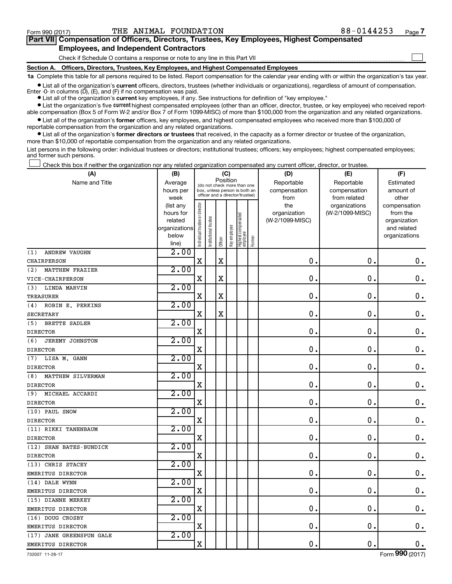$\Box$ 

| Part VII Compensation of Officers, Directors, Trustees, Key Employees, Highest Compensated |  |  |  |  |
|--------------------------------------------------------------------------------------------|--|--|--|--|
| <b>Employees, and Independent Contractors</b>                                              |  |  |  |  |

Check if Schedule O contains a response or note to any line in this Part VII

**Section A. Officers, Directors, Trustees, Key Employees, and Highest Compensated Employees**

**1a**  Complete this table for all persons required to be listed. Report compensation for the calendar year ending with or within the organization's tax year.

**•** List all of the organization's current officers, directors, trustees (whether individuals or organizations), regardless of amount of compensation. Enter  $-0$ - in columns  $(D)$ ,  $(E)$ , and  $(F)$  if no compensation was paid.

**•** List all of the organization's **current** key employees, if any. See instructions for definition of "key employee."

**•** List the organization's five current highest compensated employees (other than an officer, director, trustee, or key employee) who received reportable compensation (Box 5 of Form W-2 and/or Box 7 of Form 1099-MISC) of more than \$100,000 from the organization and any related organizations.

**•** List all of the organization's former officers, key employees, and highest compensated employees who received more than \$100,000 of reportable compensation from the organization and any related organizations.

**•** List all of the organization's former directors or trustees that received, in the capacity as a former director or trustee of the organization, more than \$10,000 of reportable compensation from the organization and any related organizations.

List persons in the following order: individual trustees or directors; institutional trustees; officers; key employees; highest compensated employees; and former such persons.

Check this box if neither the organization nor any related organization compensated any current officer, director, or trustee.  $\Box$ 

| (A)                           | (B)                  | (C)                                                                      |                                 |             |              |                                 |        | (D)                        | (E)                        | (F)                    |  |  |
|-------------------------------|----------------------|--------------------------------------------------------------------------|---------------------------------|-------------|--------------|---------------------------------|--------|----------------------------|----------------------------|------------------------|--|--|
| Name and Title                | Average<br>hours per | Position<br>(do not check more than one<br>box, unless person is both an |                                 |             |              |                                 |        | Reportable<br>compensation | Reportable<br>compensation | Estimated<br>amount of |  |  |
|                               | week                 |                                                                          | officer and a director/trustee) |             |              |                                 |        | from                       | from related               | other                  |  |  |
|                               | (list any            |                                                                          |                                 |             |              |                                 |        | the                        | organizations              | compensation           |  |  |
|                               | hours for            |                                                                          |                                 |             |              |                                 |        | organization               | (W-2/1099-MISC)            | from the               |  |  |
|                               | related              |                                                                          |                                 |             |              |                                 |        | (W-2/1099-MISC)            |                            | organization           |  |  |
|                               | organizations        |                                                                          |                                 |             |              |                                 |        |                            |                            | and related            |  |  |
|                               | below<br>line)       | Individual trustee or director                                           | Institutional trustee           | Officer     | Key employee | Highest compensated<br>employee | Former |                            |                            | organizations          |  |  |
| (1)<br><b>ANDREW VAUGHN</b>   | 2.00                 |                                                                          |                                 |             |              |                                 |        |                            |                            |                        |  |  |
| CHAIRPERSON                   |                      | $\mathbf X$                                                              |                                 | $\mathbf X$ |              |                                 |        | $\mathbf 0$                | $\mathbf 0$ .              | $\mathbf 0$ .          |  |  |
| MATTHEW FRAZIER<br>(2)        | 2.00                 |                                                                          |                                 |             |              |                                 |        |                            |                            |                        |  |  |
| VICE-CHAIRPERSON              |                      | $\mathbf X$                                                              |                                 | $\mathbf X$ |              |                                 |        | 0                          | $\mathbf 0$                | $\mathbf 0$ .          |  |  |
| LINDA MARVIN<br>(3)           | 2.00                 |                                                                          |                                 |             |              |                                 |        |                            |                            |                        |  |  |
| <b>TREASURER</b>              |                      | $\mathbf X$                                                              |                                 | $\mathbf X$ |              |                                 |        | $\mathbf 0$                | $\mathbf 0$                | $\mathbf 0$ .          |  |  |
| ROBIN E. PERKINS<br>(4)       | 2.00                 |                                                                          |                                 |             |              |                                 |        |                            |                            |                        |  |  |
| SECRETARY                     |                      | X                                                                        |                                 | $\mathbf X$ |              |                                 |        | 0                          | $\mathbf 0$ .              | $\mathbf 0$ .          |  |  |
| <b>BRETTE SADLER</b><br>(5)   | 2.00                 |                                                                          |                                 |             |              |                                 |        |                            |                            |                        |  |  |
| <b>DIRECTOR</b>               |                      | X                                                                        |                                 |             |              |                                 |        | 0                          | $\mathbf 0$ .              | $\mathbf 0$ .          |  |  |
| (6)<br><b>JEREMY JOHNSTON</b> | 2.00                 |                                                                          |                                 |             |              |                                 |        |                            |                            |                        |  |  |
| <b>DIRECTOR</b>               |                      | $\mathbf X$                                                              |                                 |             |              |                                 |        | $\mathbf 0$                | $\mathbf 0$ .              | $\mathbf 0$ .          |  |  |
| LISA M. GANN<br>(7)           | 2.00                 |                                                                          |                                 |             |              |                                 |        |                            |                            |                        |  |  |
| <b>DIRECTOR</b>               |                      | $\mathbf X$                                                              |                                 |             |              |                                 |        | 0                          | $\mathbf 0$ .              | $\mathbf 0$ .          |  |  |
| (8)<br>MATTHEW SILVERMAN      | 2.00                 |                                                                          |                                 |             |              |                                 |        |                            |                            |                        |  |  |
| <b>DIRECTOR</b>               |                      | $\mathbf X$                                                              |                                 |             |              |                                 |        | $\mathbf 0$                | $\mathbf 0$ .              | $\mathbf 0$ .          |  |  |
| MICHAEL ACCARDI<br>(9)        | 2.00                 |                                                                          |                                 |             |              |                                 |        |                            |                            |                        |  |  |
| <b>DIRECTOR</b>               |                      | $\mathbf X$                                                              |                                 |             |              |                                 |        | $\mathbf 0$                | $\mathbf 0$ .              | $\boldsymbol{0}$ .     |  |  |
| (10) PAUL SNOW                | 2.00                 |                                                                          |                                 |             |              |                                 |        |                            |                            |                        |  |  |
| <b>DIRECTOR</b>               |                      | $\mathbf X$                                                              |                                 |             |              |                                 |        | $\mathbf 0$                | $\mathbf 0$ .              | $\mathbf 0$ .          |  |  |
| (11) RIKKI TANENBAUM          | 2.00                 |                                                                          |                                 |             |              |                                 |        |                            |                            |                        |  |  |
| <b>DIRECTOR</b>               |                      | $\mathbf X$                                                              |                                 |             |              |                                 |        | $\mathbf 0$                | $\mathbf 0$ .              | $\mathbf 0$ .          |  |  |
| (12) SHAN BATES-BUNDICK       | 2.00                 |                                                                          |                                 |             |              |                                 |        |                            |                            |                        |  |  |
| <b>DIRECTOR</b>               |                      | $\rm X$                                                                  |                                 |             |              |                                 |        | $\mathbf 0$                | $\mathbf 0$ .              | $\mathbf 0$ .          |  |  |
| (13) CHRIS STACEY             | 2.00                 |                                                                          |                                 |             |              |                                 |        |                            |                            |                        |  |  |
| EMERITUS DIRECTOR             |                      | X                                                                        |                                 |             |              |                                 |        | $\mathbf 0$                | $\mathbf 0$ .              | $\boldsymbol{0}$ .     |  |  |
| (14) DALE WYNN                | 2.00                 |                                                                          |                                 |             |              |                                 |        |                            |                            |                        |  |  |
| EMERITUS DIRECTOR             |                      | $\mathbf X$                                                              |                                 |             |              |                                 |        | $\mathbf 0$                | $\mathbf 0$ .              | $\mathbf 0$ .          |  |  |
| (15) DIANNE MERKEY            | 2.00                 |                                                                          |                                 |             |              |                                 |        |                            |                            |                        |  |  |
| EMERITUS DIRECTOR             |                      | $\mathbf X$                                                              |                                 |             |              |                                 |        | $\mathbf 0$                | $\mathbf 0$ .              | $\boldsymbol{0}$ .     |  |  |
| (16) DOUG CROSBY              | 2.00                 |                                                                          |                                 |             |              |                                 |        |                            |                            |                        |  |  |
| EMERITUS DIRECTOR             |                      | $\mathbf X$                                                              |                                 |             |              |                                 |        | 0                          | $\mathbf 0$ .              | $\mathbf 0$ .          |  |  |
| (17) JANE GREENSPUN GALE      | 2.00                 |                                                                          |                                 |             |              |                                 |        |                            |                            |                        |  |  |
| EMERITUS DIRECTOR             |                      | $\mathbf X$                                                              |                                 |             |              |                                 |        | $\mathbf 0$                | $\mathbf 0$ .              | $\mathbf 0$ .          |  |  |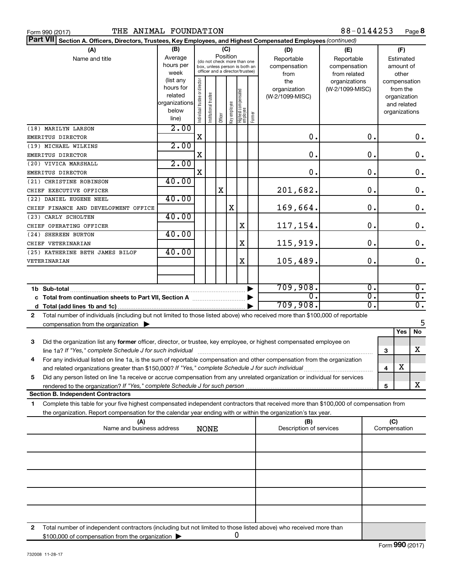| THE ANIMAL FOUNDATION<br>Form 990 (2017)                                                                                                     |               |                                |                       |          |                |                                                              |        |                                | 88-0144253       |   |                     | Page 8           |
|----------------------------------------------------------------------------------------------------------------------------------------------|---------------|--------------------------------|-----------------------|----------|----------------|--------------------------------------------------------------|--------|--------------------------------|------------------|---|---------------------|------------------|
| <b>Part VII</b><br>Section A. Officers, Directors, Trustees, Key Employees, and Highest Compensated Employees (continued)                    |               |                                |                       |          |                |                                                              |        |                                |                  |   |                     |                  |
| (A)                                                                                                                                          | (B)           |                                |                       | (C)      |                |                                                              |        | (D)                            | (E)              |   | (F)                 |                  |
| Name and title                                                                                                                               | Average       |                                |                       | Position |                |                                                              |        | Reportable                     | Reportable       |   | Estimated           |                  |
|                                                                                                                                              | hours per     |                                |                       |          |                | (do not check more than one<br>box, unless person is both an |        | compensation                   | compensation     |   | amount of           |                  |
|                                                                                                                                              | week          |                                |                       |          |                | officer and a director/trustee)                              |        | from                           | from related     |   | other               |                  |
|                                                                                                                                              | (list any     |                                |                       |          |                |                                                              |        | the                            | organizations    |   | compensation        |                  |
|                                                                                                                                              | hours for     |                                |                       |          |                |                                                              |        | organization                   | (W-2/1099-MISC)  |   | from the            |                  |
|                                                                                                                                              | related       |                                |                       |          |                |                                                              |        | (W-2/1099-MISC)                |                  |   | organization        |                  |
|                                                                                                                                              | organizations |                                |                       |          |                |                                                              |        |                                |                  |   | and related         |                  |
|                                                                                                                                              | below         | Individual trustee or director |                       |          |                |                                                              |        |                                |                  |   | organizations       |                  |
|                                                                                                                                              | line)         |                                | Institutional trustee | Officer  | ea oppduue Aey | Highest compensated<br> employee                             | Former |                                |                  |   |                     |                  |
| (18) MARILYN LARSON                                                                                                                          | 2.00          |                                |                       |          |                |                                                              |        |                                |                  |   |                     |                  |
| EMERITUS DIRECTOR                                                                                                                            |               | X                              |                       |          |                |                                                              |        | 0.                             | 0.               |   |                     | 0.               |
| (19) MICHAEL WILKINS                                                                                                                         | 2.00          |                                |                       |          |                |                                                              |        |                                |                  |   |                     |                  |
| EMERITUS DIRECTOR                                                                                                                            |               | X                              |                       |          |                |                                                              |        | 0.                             | 0.               |   |                     | $\mathbf 0$ .    |
| (20) VIVICA MARSHALL                                                                                                                         | 2.00          |                                |                       |          |                |                                                              |        |                                |                  |   |                     |                  |
| EMERITUS DIRECTOR                                                                                                                            |               | X                              |                       |          |                |                                                              |        | 0.                             | 0.               |   |                     | $\mathbf 0$ .    |
| (21) CHRISTINE ROBINSON                                                                                                                      | 40.00         |                                |                       |          |                |                                                              |        |                                |                  |   |                     |                  |
| CHIEF EXECUTIVE OFFICER                                                                                                                      |               |                                |                       | X        |                |                                                              |        | 201,682.                       | 0.               |   |                     | $\mathbf 0$ .    |
| (22) DANIEL EUGENE NEEL                                                                                                                      | 40.00         |                                |                       |          |                |                                                              |        |                                |                  |   |                     |                  |
| CHIEF FINANCE AND DEVELOPMENT OFFICE                                                                                                         |               |                                |                       |          | X              |                                                              |        | 169,664.                       | 0.               |   |                     | $\mathbf 0$ .    |
| (23) CARLY SCHOLTEN                                                                                                                          | 40.00         |                                |                       |          |                |                                                              |        |                                |                  |   |                     |                  |
| CHIEF OPERATING OFFICER                                                                                                                      |               |                                |                       |          |                | X                                                            |        | 117,154.                       | 0.               |   |                     | $\mathbf 0$ .    |
| (24) SHEREEN BURTON                                                                                                                          | 40.00         |                                |                       |          |                |                                                              |        |                                |                  |   |                     |                  |
| CHIEF VETERINARIAN                                                                                                                           |               |                                |                       |          |                | $\mathbf X$                                                  |        | 115,919.                       | 0.               |   |                     | $\mathbf 0$ .    |
| (25) KATHERINE BETH JAMES BILOF                                                                                                              | 40.00         |                                |                       |          |                |                                                              |        |                                |                  |   |                     |                  |
| VETERINARIAN                                                                                                                                 |               |                                |                       |          |                | X                                                            |        | 105,489.                       | 0.               |   |                     | $\mathbf 0$ .    |
|                                                                                                                                              |               |                                |                       |          |                |                                                              |        |                                |                  |   |                     |                  |
|                                                                                                                                              |               |                                |                       |          |                |                                                              |        |                                |                  |   |                     |                  |
| 1b Sub-total                                                                                                                                 |               |                                |                       |          |                |                                                              |        | 709,908.                       | $\overline{0}$ . |   |                     | $\overline{0}$ . |
| c Total from continuation sheets to Part VII, Section A manuscreen continuum                                                                 |               |                                |                       |          |                |                                                              |        | 0.                             | σ.               |   |                     | $\overline{0}$ . |
|                                                                                                                                              |               |                                |                       |          |                |                                                              |        | 709,908.                       | $\overline{0}$ . |   |                     | $\overline{0}$ . |
| Total number of individuals (including but not limited to those listed above) who received more than \$100,000 of reportable<br>$\mathbf{2}$ |               |                                |                       |          |                |                                                              |        |                                |                  |   |                     |                  |
| compensation from the organization $\blacktriangleright$                                                                                     |               |                                |                       |          |                |                                                              |        |                                |                  |   |                     | 5                |
|                                                                                                                                              |               |                                |                       |          |                |                                                              |        |                                |                  |   | Yes                 | No               |
| 3                                                                                                                                            |               |                                |                       |          |                |                                                              |        |                                |                  |   |                     |                  |
| Did the organization list any former officer, director, or trustee, key employee, or highest compensated employee on                         |               |                                |                       |          |                |                                                              |        |                                |                  |   |                     | х                |
| line 1a? If "Yes," complete Schedule J for such individual manufactured content to the settlement of the settl                               |               |                                |                       |          |                |                                                              |        |                                |                  | 3 |                     |                  |
| For any individual listed on line 1a, is the sum of reportable compensation and other compensation from the organization                     |               |                                |                       |          |                |                                                              |        |                                |                  |   | х                   |                  |
| and related organizations greater than \$150,000? If "Yes," complete Schedule J for such individual                                          |               |                                |                       |          |                |                                                              |        |                                |                  | 4 |                     |                  |
| Did any person listed on line 1a receive or accrue compensation from any unrelated organization or individual for services<br>5              |               |                                |                       |          |                |                                                              |        |                                |                  |   |                     |                  |
|                                                                                                                                              |               |                                |                       |          |                |                                                              |        |                                |                  | 5 |                     | x                |
| <b>Section B. Independent Contractors</b>                                                                                                    |               |                                |                       |          |                |                                                              |        |                                |                  |   |                     |                  |
| Complete this table for your five highest compensated independent contractors that received more than \$100,000 of compensation from<br>1.   |               |                                |                       |          |                |                                                              |        |                                |                  |   |                     |                  |
| the organization. Report compensation for the calendar year ending with or within the organization's tax year.                               |               |                                |                       |          |                |                                                              |        |                                |                  |   |                     |                  |
| (A)<br>Name and business address                                                                                                             |               |                                |                       |          |                |                                                              |        | (B)<br>Description of services |                  |   | (C)<br>Compensation |                  |
|                                                                                                                                              |               |                                | <b>NONE</b>           |          |                |                                                              |        |                                |                  |   |                     |                  |
|                                                                                                                                              |               |                                |                       |          |                |                                                              |        |                                |                  |   |                     |                  |
|                                                                                                                                              |               |                                |                       |          |                |                                                              |        |                                |                  |   |                     |                  |
|                                                                                                                                              |               |                                |                       |          |                |                                                              |        |                                |                  |   |                     |                  |
|                                                                                                                                              |               |                                |                       |          |                |                                                              |        |                                |                  |   |                     |                  |
|                                                                                                                                              |               |                                |                       |          |                |                                                              |        |                                |                  |   |                     |                  |
|                                                                                                                                              |               |                                |                       |          |                |                                                              |        |                                |                  |   |                     |                  |
|                                                                                                                                              |               |                                |                       |          |                |                                                              |        |                                |                  |   |                     |                  |
|                                                                                                                                              |               |                                |                       |          |                |                                                              |        |                                |                  |   |                     |                  |
|                                                                                                                                              |               |                                |                       |          |                |                                                              |        |                                |                  |   |                     |                  |
|                                                                                                                                              |               |                                |                       |          |                |                                                              |        |                                |                  |   |                     |                  |
| Total number of independent contractors (including but not limited to those listed above) who received more than<br>2                        |               |                                |                       |          |                |                                                              |        |                                |                  |   |                     |                  |
| \$100,000 of compensation from the organization                                                                                              |               |                                |                       |          |                | 0                                                            |        |                                |                  |   |                     |                  |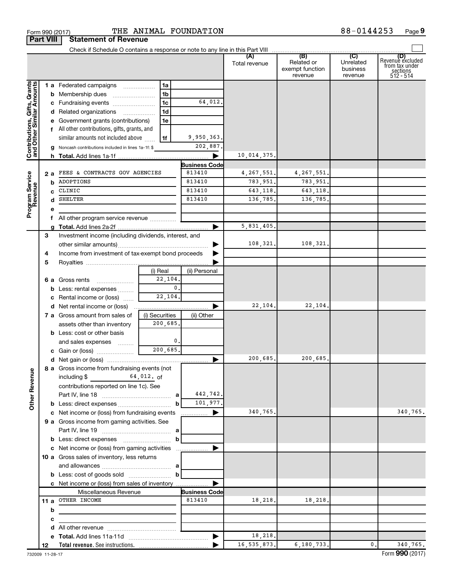Form 990 (2017) **THE ANIMAL FOUNDATION**  $88-0144253$  Page **Part VIII Statement of Revenue** Check if Schedule O contains a response or note to any line in this Part VIII ...............................<br> **(B)** Total revenue Related or **(A) (B) (C) (D)** Revenuè excluded<br>from tax under<br>512 - 514 Unrelated exempt function business revenue revenue ts, Grants **and Other Similar Amounts 1 a** Federated campaigns ................. **1 a b** Membership dues ....................... **1 b** 64,012. **c** Fundraising events ……………………… **1 c d 1 d** Related organizations ~~~~~~ **e** Government grants (contributions) **1 e** All other contributions, gifts, grants, and **f** 9,950,363. similar amounts not included above ~~~~~ **1 f** 202,887. **g** Noncash contributions included in lines 1a-1f: \$ 10,014,375. **h Total.**  Add lines 1a-1f |

|                                                           |     |   | 1 a Federated campaigns                               | 1a             |                      |               |             |                |                 |
|-----------------------------------------------------------|-----|---|-------------------------------------------------------|----------------|----------------------|---------------|-------------|----------------|-----------------|
| Contributions, Gifts, Grants<br>and Other Similar Amounts |     |   | <b>b</b> Membership dues                              | 1b             |                      |               |             |                |                 |
|                                                           |     | с | Fundraising events                                    | 1 <sub>c</sub> | 64,012               |               |             |                |                 |
|                                                           |     |   | d Related organizations                               | 1d<br>.        |                      |               |             |                |                 |
|                                                           |     | е | Government grants (contributions)                     | 1e             |                      |               |             |                |                 |
|                                                           |     |   | f All other contributions, gifts, grants, and         |                |                      |               |             |                |                 |
|                                                           |     |   | similar amounts not included above                    | 1f             | 9,950,363.           |               |             |                |                 |
|                                                           |     |   | g Noncash contributions included in lines 1a-1f: \$   |                | 202,887.             |               |             |                |                 |
|                                                           |     |   |                                                       |                |                      | 10,014,375.   |             |                |                 |
|                                                           |     |   |                                                       |                | <b>Business Code</b> |               |             |                |                 |
|                                                           | 2 a |   | FEES & CONTRACTS GOV AGENCIES                         |                | 813410               | 4, 267, 551.  | 4, 267, 551 |                |                 |
|                                                           |     |   | <b>b</b> ADOPTIONS                                    |                | 813410               | 783,951.      | 783,951     |                |                 |
| Program Service<br>Revenue                                |     | C | CLINIC                                                |                | 813410               | 643,118.      | 643,118     |                |                 |
|                                                           |     |   | d SHELTER                                             |                | 813410               | 136,785.      | 136,785.    |                |                 |
|                                                           |     | е |                                                       |                |                      |               |             |                |                 |
|                                                           |     | f | All other program service revenue                     |                |                      |               |             |                |                 |
|                                                           |     | g |                                                       |                |                      | 5,831,405.    |             |                |                 |
|                                                           | 3   |   | Investment income (including dividends, interest, and |                |                      |               |             |                |                 |
|                                                           |     |   |                                                       |                |                      | 108,321.      | 108,321     |                |                 |
|                                                           | 4   |   | Income from investment of tax-exempt bond proceeds    |                |                      |               |             |                |                 |
|                                                           | 5   |   |                                                       |                |                      |               |             |                |                 |
|                                                           |     |   |                                                       | (i) Real       | (ii) Personal        |               |             |                |                 |
|                                                           |     |   | 6 a Gross rents                                       | 22,104.        |                      |               |             |                |                 |
|                                                           |     |   | <b>b</b> Less: rental expenses                        | $\mathbf{0}$ . |                      |               |             |                |                 |
|                                                           |     | с | Rental income or (loss)                               | 22,104.        |                      |               |             |                |                 |
|                                                           |     |   |                                                       |                |                      | 22,104.       | 22,104.     |                |                 |
|                                                           |     |   | 7 a Gross amount from sales of                        | (i) Securities | (ii) Other           |               |             |                |                 |
|                                                           |     |   | assets other than inventory                           | 200,685.       |                      |               |             |                |                 |
|                                                           |     |   | <b>b</b> Less: cost or other basis                    |                |                      |               |             |                |                 |
|                                                           |     |   | and sales expenses                                    | 0.             |                      |               |             |                |                 |
|                                                           |     |   |                                                       | 200,685.       |                      |               |             |                |                 |
|                                                           |     |   |                                                       |                | ▶                    | 200,685.      | 200,685     |                |                 |
|                                                           |     |   | 8 a Gross income from fundraising events (not         |                |                      |               |             |                |                 |
| <b>Other Revenue</b>                                      |     |   | including \$                                          | 64,012. of     |                      |               |             |                |                 |
|                                                           |     |   | contributions reported on line 1c). See               |                |                      |               |             |                |                 |
|                                                           |     |   |                                                       |                | 442,742.             |               |             |                |                 |
|                                                           |     |   |                                                       | b              | 101,977.             |               |             |                |                 |
|                                                           |     |   | c Net income or (loss) from fundraising events        |                | $\blacksquare$       | 340,765       |             |                | 340,765.        |
|                                                           |     |   | 9 a Gross income from gaming activities. See          |                |                      |               |             |                |                 |
|                                                           |     |   |                                                       |                |                      |               |             |                |                 |
|                                                           |     |   |                                                       | b              |                      |               |             |                |                 |
|                                                           |     |   | c Net income or (loss) from gaming activities         |                |                      |               |             |                |                 |
|                                                           |     |   | 10 a Gross sales of inventory, less returns           |                |                      |               |             |                |                 |
|                                                           |     |   |                                                       |                |                      |               |             |                |                 |
|                                                           |     |   |                                                       | b              |                      |               |             |                |                 |
|                                                           |     |   | c Net income or (loss) from sales of inventory        |                |                      |               |             |                |                 |
|                                                           |     |   | Miscellaneous Revenue                                 |                | <b>Business Code</b> |               |             |                |                 |
|                                                           |     |   | 11 a OTHER INCOME                                     |                | 813410               | 18,218.       | 18,218.     |                |                 |
|                                                           |     | b |                                                       |                |                      |               |             |                |                 |
|                                                           |     |   |                                                       |                |                      |               |             |                |                 |
|                                                           |     | с |                                                       |                |                      |               |             |                |                 |
|                                                           |     | d | All other revenue <i>communically contained</i>       |                |                      | 18,218.       |             |                |                 |
|                                                           | 12  |   |                                                       |                |                      | 16, 535, 873. | 6,180,733.  | $\mathbf{0}$ . | 340,765.        |
| 732000 11-28-17                                           |     |   |                                                       |                |                      |               |             |                | Form 990 (2017) |

 $\Box$ 

J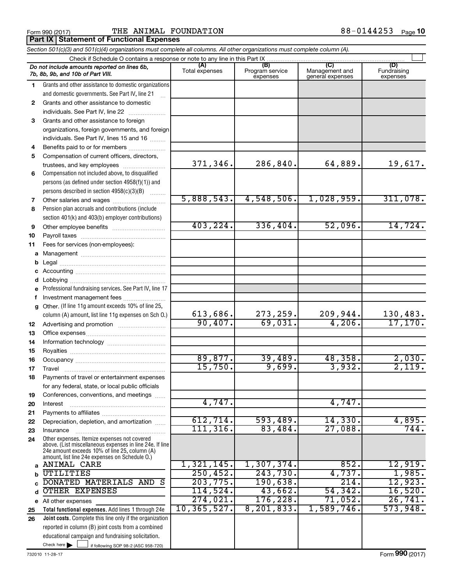#### Form 990 (2017) **THE ANIMAL FOUNDATION**  $88-0144253$  Page **Part IX Statement of Functional Expenses**

|              | Section 501(c)(3) and 501(c)(4) organizations must complete all columns. All other organizations must complete column (A).                                                                                  |                       |                                    |                                           |                                |  |  |  |
|--------------|-------------------------------------------------------------------------------------------------------------------------------------------------------------------------------------------------------------|-----------------------|------------------------------------|-------------------------------------------|--------------------------------|--|--|--|
|              | Check if Schedule O contains a response or note to any line in this Part IX                                                                                                                                 |                       |                                    |                                           |                                |  |  |  |
|              | Do not include amounts reported on lines 6b,<br>7b, 8b, 9b, and 10b of Part VIII.                                                                                                                           | (A)<br>Total expenses | (B)<br>Program service<br>expenses | (C)<br>Management and<br>general expenses | (D)<br>Fundraising<br>expenses |  |  |  |
| 1            | Grants and other assistance to domestic organizations                                                                                                                                                       |                       |                                    |                                           |                                |  |  |  |
|              | and domestic governments. See Part IV, line 21                                                                                                                                                              |                       |                                    |                                           |                                |  |  |  |
| $\mathbf{2}$ | Grants and other assistance to domestic                                                                                                                                                                     |                       |                                    |                                           |                                |  |  |  |
|              | individuals. See Part IV, line 22<br>$\overline{\phantom{a}}$                                                                                                                                               |                       |                                    |                                           |                                |  |  |  |
| 3            | Grants and other assistance to foreign                                                                                                                                                                      |                       |                                    |                                           |                                |  |  |  |
|              | organizations, foreign governments, and foreign                                                                                                                                                             |                       |                                    |                                           |                                |  |  |  |
|              | individuals. See Part IV, lines 15 and 16                                                                                                                                                                   |                       |                                    |                                           |                                |  |  |  |
| 4            | Benefits paid to or for members                                                                                                                                                                             |                       |                                    |                                           |                                |  |  |  |
| 5            | Compensation of current officers, directors,                                                                                                                                                                |                       |                                    |                                           |                                |  |  |  |
|              | trustees, and key employees                                                                                                                                                                                 | 371,346.              | 286,840.                           | 64,889.                                   | 19,617.                        |  |  |  |
| 6            | Compensation not included above, to disqualified                                                                                                                                                            |                       |                                    |                                           |                                |  |  |  |
|              | persons (as defined under section 4958(f)(1)) and                                                                                                                                                           |                       |                                    |                                           |                                |  |  |  |
|              | persons described in section 4958(c)(3)(B)<br>1.1.1.1.1.1.1                                                                                                                                                 |                       |                                    |                                           |                                |  |  |  |
| 7            |                                                                                                                                                                                                             | 5,888,543.            | 4,548,506.                         | 1,028,959.                                | 311,078.                       |  |  |  |
| 8            | Pension plan accruals and contributions (include                                                                                                                                                            |                       |                                    |                                           |                                |  |  |  |
|              | section 401(k) and 403(b) employer contributions)                                                                                                                                                           |                       |                                    |                                           |                                |  |  |  |
| 9            |                                                                                                                                                                                                             | 403, 224.             | 336,404.                           | 52,096.                                   | 14,724.                        |  |  |  |
| 10           |                                                                                                                                                                                                             |                       |                                    |                                           |                                |  |  |  |
| 11           | Fees for services (non-employees):                                                                                                                                                                          |                       |                                    |                                           |                                |  |  |  |
|              |                                                                                                                                                                                                             |                       |                                    |                                           |                                |  |  |  |
| b            |                                                                                                                                                                                                             |                       |                                    |                                           |                                |  |  |  |
| С            |                                                                                                                                                                                                             |                       |                                    |                                           |                                |  |  |  |
| d            |                                                                                                                                                                                                             |                       |                                    |                                           |                                |  |  |  |
| е            | Professional fundraising services. See Part IV, line 17                                                                                                                                                     |                       |                                    |                                           |                                |  |  |  |
| f            | Investment management fees                                                                                                                                                                                  |                       |                                    |                                           |                                |  |  |  |
| g            | Other. (If line 11g amount exceeds 10% of line 25,                                                                                                                                                          |                       |                                    |                                           |                                |  |  |  |
|              | column (A) amount, list line 11g expenses on Sch O.)                                                                                                                                                        | 613,686.              | 273, 259.                          | 209,944.                                  | 130,483.                       |  |  |  |
| 12           |                                                                                                                                                                                                             | 90,407.               | 69,031.                            | 4,206.                                    | 17, 170.                       |  |  |  |
| 13           |                                                                                                                                                                                                             |                       |                                    |                                           |                                |  |  |  |
| 14           |                                                                                                                                                                                                             |                       |                                    |                                           |                                |  |  |  |
| 15           |                                                                                                                                                                                                             |                       |                                    |                                           |                                |  |  |  |
| 16           |                                                                                                                                                                                                             | 89,877.               | 39,489.                            | 48,358.                                   | 2,030.                         |  |  |  |
| 17           |                                                                                                                                                                                                             | 15,750.               | 9,699.                             | 3,932.                                    | 2,119.                         |  |  |  |
| 18           | Payments of travel or entertainment expenses                                                                                                                                                                |                       |                                    |                                           |                                |  |  |  |
|              | for any federal, state, or local public officials                                                                                                                                                           |                       |                                    |                                           |                                |  |  |  |
| 19           | Conferences, conventions, and meetings                                                                                                                                                                      | 4,747.                |                                    | 4,747.                                    |                                |  |  |  |
| 20           | Interest                                                                                                                                                                                                    |                       |                                    |                                           |                                |  |  |  |
| 21           |                                                                                                                                                                                                             | 612,714.              | 593,489.                           | 14,330.                                   |                                |  |  |  |
| 22           | Depreciation, depletion, and amortization                                                                                                                                                                   | 111, 316.             | 83,484.                            | 27,088.                                   | 4,895.<br>744.                 |  |  |  |
| 23           | Insurance                                                                                                                                                                                                   |                       |                                    |                                           |                                |  |  |  |
| 24           | Other expenses. Itemize expenses not covered<br>above. (List miscellaneous expenses in line 24e. If line<br>24e amount exceeds 10% of line 25, column (A)<br>amount, list line 24e expenses on Schedule O.) |                       |                                    |                                           |                                |  |  |  |
| a            | ANIMAL CARE                                                                                                                                                                                                 | 1,321,145.            | 1,307,374.                         | 852.                                      | 12,919.                        |  |  |  |
| b            | UTILITIES                                                                                                                                                                                                   | 250, 452.             | 243,730.                           | 4,737.                                    | 1,985.                         |  |  |  |
|              | DONATED MATERIALS AND S                                                                                                                                                                                     | 203,775.              | 190,638.                           | 214.                                      | 12,923.                        |  |  |  |
| d            | <b>OTHER EXPENSES</b>                                                                                                                                                                                       | 114,524.              | 43,662.                            | 54, 342.                                  | 16,520.                        |  |  |  |
|              | e All other expenses                                                                                                                                                                                        | 274,021.              | 176,228.                           | 71,052.                                   | 26,741.                        |  |  |  |
| 25           | Total functional expenses. Add lines 1 through 24e                                                                                                                                                          | 10, 365, 527.         | 8, 201, 833.                       | 1,589,746.                                | 573,948.                       |  |  |  |
| 26           | Joint costs. Complete this line only if the organization                                                                                                                                                    |                       |                                    |                                           |                                |  |  |  |
|              | reported in column (B) joint costs from a combined                                                                                                                                                          |                       |                                    |                                           |                                |  |  |  |
|              | educational campaign and fundraising solicitation.                                                                                                                                                          |                       |                                    |                                           |                                |  |  |  |

Check here

Check here  $\begin{array}{c} \begin{array}{|c} \hline \end{array} \end{array}$  if following SOP 98-2 (ASC 958-720)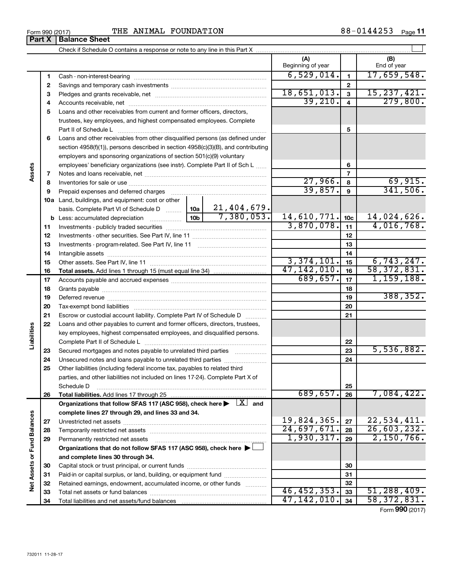| Form 990 (2017) | ANIMAL<br>FOUNDATION<br>THE | 88<br>n۹<br>714425C<br>Page |
|-----------------|-----------------------------|-----------------------------|
|-----------------|-----------------------------|-----------------------------|

**34** Total liabilities and net assets/fund balances

**34** 47,142,010. 58,372,831.

Form (2017) **990**

|                             | Part X   | <b>Balance Sheet</b>                                                                                                                       |                          |                 |                          |
|-----------------------------|----------|--------------------------------------------------------------------------------------------------------------------------------------------|--------------------------|-----------------|--------------------------|
|                             |          |                                                                                                                                            |                          |                 |                          |
|                             |          |                                                                                                                                            | (A)<br>Beginning of year |                 | (B)<br>End of year       |
|                             | 1        |                                                                                                                                            | 6,529,014.               | $\mathbf{1}$    | 17,659,548.              |
|                             | 2        |                                                                                                                                            |                          | $\mathbf{2}$    |                          |
|                             | 3        |                                                                                                                                            | 18,651,013.              | 3               | 15, 237, 421.            |
|                             | 4        |                                                                                                                                            | 39,210.                  | $\overline{4}$  | 279,800.                 |
|                             | 5        | Loans and other receivables from current and former officers, directors,                                                                   |                          |                 |                          |
|                             |          | trustees, key employees, and highest compensated employees. Complete                                                                       |                          |                 |                          |
|                             |          |                                                                                                                                            |                          | 5               |                          |
|                             | 6        | Loans and other receivables from other disqualified persons (as defined under                                                              |                          |                 |                          |
|                             |          | section 4958(f)(1)), persons described in section 4958(c)(3)(B), and contributing                                                          |                          |                 |                          |
|                             |          | employers and sponsoring organizations of section 501(c)(9) voluntary                                                                      |                          |                 |                          |
| Assets                      |          | employees' beneficiary organizations (see instr). Complete Part II of Sch L                                                                |                          | 6               |                          |
|                             | 7        |                                                                                                                                            |                          | $\overline{7}$  |                          |
|                             | 8        |                                                                                                                                            | 27,966.                  | 8               | $\frac{69,915}{341,506}$ |
|                             | 9        | Prepaid expenses and deferred charges                                                                                                      | 39,857.                  | $\mathbf{9}$    |                          |
|                             |          | 10a Land, buildings, and equipment: cost or other                                                                                          |                          |                 |                          |
|                             |          |                                                                                                                                            |                          |                 |                          |
|                             |          |                                                                                                                                            | 14,610,771.              | 10 <sub>c</sub> | 14,024,626.              |
|                             | 11       |                                                                                                                                            | 3,870,078.               | 11              | 4,016,768.               |
|                             | 12       |                                                                                                                                            |                          | 12              |                          |
|                             | 13       |                                                                                                                                            |                          | 13              |                          |
|                             | 14       |                                                                                                                                            |                          | 14              |                          |
|                             | 15       |                                                                                                                                            | 3,374,101.               | 15              | 6,743,247.               |
|                             | 16       |                                                                                                                                            | 47, 142, 010.            | 16              | 58, 372, 831.            |
|                             | 17       |                                                                                                                                            | 689,657.                 | 17              | 1,159,188.               |
|                             | 18       |                                                                                                                                            |                          | 18              |                          |
|                             | 19       |                                                                                                                                            |                          | 19              | 388, 352.                |
|                             | 20       |                                                                                                                                            |                          | 20              |                          |
|                             | 21       | Escrow or custodial account liability. Complete Part IV of Schedule D                                                                      |                          | 21              |                          |
| Liabilities                 | 22       | Loans and other payables to current and former officers, directors, trustees,                                                              |                          |                 |                          |
|                             |          | key employees, highest compensated employees, and disqualified persons.                                                                    |                          |                 |                          |
|                             |          |                                                                                                                                            |                          | 22              | 5,536,882.               |
|                             | 23       | Secured mortgages and notes payable to unrelated third parties                                                                             |                          | 23              |                          |
|                             | 24<br>25 | Unsecured notes and loans payable to unrelated third parties<br>Other liabilities (including federal income tax, payables to related third |                          | 24              |                          |
|                             |          | parties, and other liabilities not included on lines 17-24). Complete Part X of                                                            |                          |                 |                          |
|                             |          | Schedule D                                                                                                                                 |                          | 25              |                          |
|                             | 26       | Total liabilities. Add lines 17 through 25                                                                                                 | 689,657.                 | 26              | 7,084,422.               |
|                             |          | Organizations that follow SFAS 117 (ASC 958), check here $\blacktriangleright \begin{array}{c} \perp X \end{array}$ and                    |                          |                 |                          |
|                             |          | complete lines 27 through 29, and lines 33 and 34.                                                                                         |                          |                 |                          |
|                             | 27       |                                                                                                                                            | 19,824,365.              | 27              | 22,534,411.              |
|                             | 28       | Temporarily restricted net assets                                                                                                          | 24,697,671.              | 28              | 26,603,232.              |
|                             | 29       | Permanently restricted net assets                                                                                                          | 1,930,317.               | 29              | 2,150,766.               |
| Net Assets or Fund Balances |          | Organizations that do not follow SFAS 117 (ASC 958), check here ▶                                                                          |                          |                 |                          |
|                             |          | and complete lines 30 through 34.                                                                                                          |                          |                 |                          |
|                             | 30       |                                                                                                                                            |                          | 30              |                          |
|                             | 31       | Paid-in or capital surplus, or land, building, or equipment fund                                                                           |                          | 31              |                          |
|                             | 32       | Retained earnings, endowment, accumulated income, or other funds<br>.                                                                      |                          | 32              |                          |
|                             | 33       | Total net assets or fund balances                                                                                                          | 46, 452, 353.            | 33              | 51, 288, 409.            |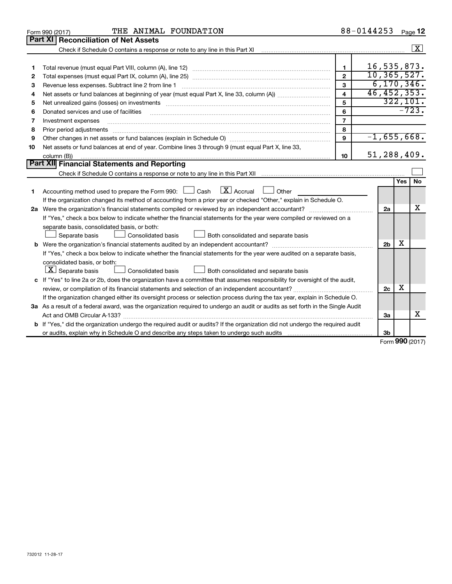|    | THE ANIMAL FOUNDATION<br>Form 990 (2017)                                                                                        |                         | 88-0144253 |                |     | Page 12                 |
|----|---------------------------------------------------------------------------------------------------------------------------------|-------------------------|------------|----------------|-----|-------------------------|
|    | Part XI   Reconciliation of Net Assets                                                                                          |                         |            |                |     |                         |
|    |                                                                                                                                 |                         |            |                |     | $\overline{\mathbf{x}}$ |
|    |                                                                                                                                 |                         |            |                |     |                         |
|    |                                                                                                                                 | $\mathbf{1}$            |            | 16,535,873.    |     |                         |
| 2  |                                                                                                                                 | $\overline{2}$          |            | 10, 365, 527.  |     |                         |
| 3  | Revenue less expenses. Subtract line 2 from line 1                                                                              | 3                       |            | 6, 170, 346.   |     |                         |
| 4  |                                                                                                                                 | $\overline{\mathbf{A}}$ |            | 46, 452, 353.  |     |                         |
| 5  |                                                                                                                                 | 5                       |            |                |     | 322, 101.               |
| 6  | Donated services and use of facilities                                                                                          | 6                       |            |                |     | $-723.$                 |
| 7  | Investment expenses                                                                                                             | $\overline{7}$          |            |                |     |                         |
| 8  | Prior period adjustments                                                                                                        | 8                       |            |                |     |                         |
| 9  |                                                                                                                                 | 9                       |            | $-1,655,668.$  |     |                         |
| 10 | Net assets or fund balances at end of year. Combine lines 3 through 9 (must equal Part X, line 33,                              |                         |            |                |     |                         |
|    | column (B))                                                                                                                     | 10                      |            | 51,288,409.    |     |                         |
|    | Part XII Financial Statements and Reporting                                                                                     |                         |            |                |     |                         |
|    |                                                                                                                                 |                         |            |                |     |                         |
|    |                                                                                                                                 |                         |            |                | Yes | <b>No</b>               |
| 1  | $\lfloor \mathbf{X} \rfloor$ Accrual<br>Accounting method used to prepare the Form 990: [130] Cash<br>Other                     |                         |            |                |     |                         |
|    | If the organization changed its method of accounting from a prior year or checked "Other," explain in Schedule O.               |                         |            |                |     |                         |
|    |                                                                                                                                 |                         |            | 2a             |     | х                       |
|    | If "Yes," check a box below to indicate whether the financial statements for the year were compiled or reviewed on a            |                         |            |                |     |                         |
|    | separate basis, consolidated basis, or both:                                                                                    |                         |            |                |     |                         |
|    | Separate basis<br>Consolidated basis<br>Both consolidated and separate basis                                                    |                         |            |                |     |                         |
|    |                                                                                                                                 |                         |            | 2 <sub>b</sub> | х   |                         |
|    | If "Yes," check a box below to indicate whether the financial statements for the year were audited on a separate basis,         |                         |            |                |     |                         |
|    | consolidated basis, or both:                                                                                                    |                         |            |                |     |                         |
|    | $\lfloor x \rfloor$ Separate basis<br>Consolidated basis<br>Both consolidated and separate basis                                |                         |            |                |     |                         |
|    | c If "Yes" to line 2a or 2b, does the organization have a committee that assumes responsibility for oversight of the audit,     |                         |            |                |     |                         |
|    |                                                                                                                                 |                         |            | 2c             | х   |                         |
|    | If the organization changed either its oversight process or selection process during the tax year, explain in Schedule O.       |                         |            |                |     |                         |
|    | 3a As a result of a federal award, was the organization required to undergo an audit or audits as set forth in the Single Audit |                         |            |                |     |                         |
|    |                                                                                                                                 |                         |            | 3a             |     | х                       |
|    | b If "Yes," did the organization undergo the required audit or audits? If the organization did not undergo the required audit   |                         |            |                |     |                         |
|    |                                                                                                                                 |                         |            | 3 <sub>b</sub> |     |                         |

Form (2017) **990**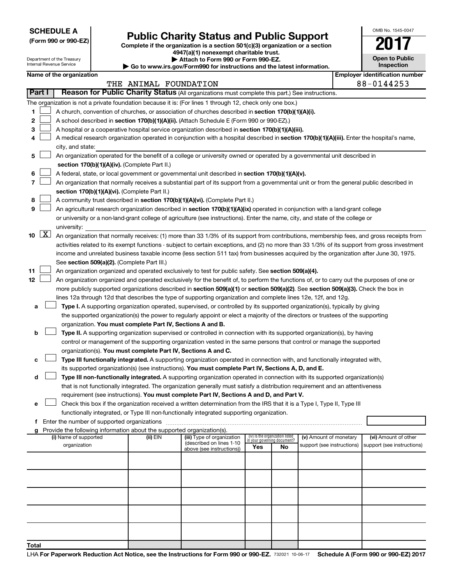**SCHEDULE A**

| (Form 990 or 990-EZ) |  |  |  |  |
|----------------------|--|--|--|--|
|----------------------|--|--|--|--|

# Form 990 or 990-EZ)<br>
Complete if the organization is a section 501(c)(3) organization or a section<br> **Public Charity Status and Public Support**

**4947(a)(1) nonexempt charitable trust. | Attach to Form 990 or Form 990-EZ.** 

|    | <b>Open to Public</b><br>Inspection |
|----|-------------------------------------|
| 9ŕ | identification numbe                |

OMB No. 1545-0047

| Department of the Treasury<br>Internal Revenue Service |                                                                                                           |                          |  |                                                                        | Attach to Form 990 or Form 990-EZ.<br>Go to www.irs.gov/Form990 for instructions and the latest information.                                  |                                 |                             |                            |  | <b>Open to Public</b><br><b>Inspection</b> |
|--------------------------------------------------------|-----------------------------------------------------------------------------------------------------------|--------------------------|--|------------------------------------------------------------------------|-----------------------------------------------------------------------------------------------------------------------------------------------|---------------------------------|-----------------------------|----------------------------|--|--------------------------------------------|
|                                                        |                                                                                                           | Name of the organization |  |                                                                        |                                                                                                                                               |                                 |                             |                            |  | <b>Employer identification number</b>      |
|                                                        |                                                                                                           |                          |  | THE ANIMAL FOUNDATION                                                  |                                                                                                                                               |                                 |                             |                            |  | 88-0144253                                 |
|                                                        | Reason for Public Charity Status (All organizations must complete this part.) See instructions.<br>Part I |                          |  |                                                                        |                                                                                                                                               |                                 |                             |                            |  |                                            |
|                                                        | The organization is not a private foundation because it is: (For lines 1 through 12, check only one box.) |                          |  |                                                                        |                                                                                                                                               |                                 |                             |                            |  |                                            |
| 1.                                                     |                                                                                                           |                          |  |                                                                        | A church, convention of churches, or association of churches described in section 170(b)(1)(A)(i).                                            |                                 |                             |                            |  |                                            |
| 2                                                      |                                                                                                           |                          |  |                                                                        | A school described in section 170(b)(1)(A)(ii). (Attach Schedule E (Form 990 or 990-EZ).)                                                     |                                 |                             |                            |  |                                            |
| З                                                      |                                                                                                           |                          |  |                                                                        | A hospital or a cooperative hospital service organization described in section 170(b)(1)(A)(iii).                                             |                                 |                             |                            |  |                                            |
| 4                                                      |                                                                                                           |                          |  |                                                                        | A medical research organization operated in conjunction with a hospital described in section 170(b)(1)(A)(iii). Enter the hospital's name,    |                                 |                             |                            |  |                                            |
|                                                        |                                                                                                           | city, and state:         |  |                                                                        |                                                                                                                                               |                                 |                             |                            |  |                                            |
| 5                                                      |                                                                                                           |                          |  |                                                                        | An organization operated for the benefit of a college or university owned or operated by a governmental unit described in                     |                                 |                             |                            |  |                                            |
|                                                        |                                                                                                           |                          |  | section 170(b)(1)(A)(iv). (Complete Part II.)                          |                                                                                                                                               |                                 |                             |                            |  |                                            |
| 6                                                      |                                                                                                           |                          |  |                                                                        | A federal, state, or local government or governmental unit described in section 170(b)(1)(A)(v).                                              |                                 |                             |                            |  |                                            |
| 7                                                      |                                                                                                           |                          |  |                                                                        | An organization that normally receives a substantial part of its support from a governmental unit or from the general public described in     |                                 |                             |                            |  |                                            |
|                                                        |                                                                                                           |                          |  | section 170(b)(1)(A)(vi). (Complete Part II.)                          |                                                                                                                                               |                                 |                             |                            |  |                                            |
| 8                                                      |                                                                                                           |                          |  |                                                                        | A community trust described in section 170(b)(1)(A)(vi). (Complete Part II.)                                                                  |                                 |                             |                            |  |                                            |
| 9                                                      |                                                                                                           |                          |  |                                                                        | An agricultural research organization described in section 170(b)(1)(A)(ix) operated in conjunction with a land-grant college                 |                                 |                             |                            |  |                                            |
|                                                        |                                                                                                           |                          |  |                                                                        | or university or a non-land-grant college of agriculture (see instructions). Enter the name, city, and state of the college or                |                                 |                             |                            |  |                                            |
|                                                        |                                                                                                           | university:              |  |                                                                        |                                                                                                                                               |                                 |                             |                            |  |                                            |
| 10                                                     | $\lfloor x \rfloor$                                                                                       |                          |  |                                                                        | An organization that normally receives: (1) more than 33 1/3% of its support from contributions, membership fees, and gross receipts from     |                                 |                             |                            |  |                                            |
|                                                        |                                                                                                           |                          |  |                                                                        | activities related to its exempt functions - subject to certain exceptions, and (2) no more than 33 1/3% of its support from gross investment |                                 |                             |                            |  |                                            |
|                                                        |                                                                                                           |                          |  |                                                                        | income and unrelated business taxable income (less section 511 tax) from businesses acquired by the organization after June 30, 1975.         |                                 |                             |                            |  |                                            |
|                                                        |                                                                                                           |                          |  | See section 509(a)(2). (Complete Part III.)                            |                                                                                                                                               |                                 |                             |                            |  |                                            |
| 11                                                     |                                                                                                           |                          |  |                                                                        | An organization organized and operated exclusively to test for public safety. See section 509(a)(4).                                          |                                 |                             |                            |  |                                            |
| 12                                                     |                                                                                                           |                          |  |                                                                        | An organization organized and operated exclusively for the benefit of, to perform the functions of, or to carry out the purposes of one or    |                                 |                             |                            |  |                                            |
|                                                        |                                                                                                           |                          |  |                                                                        | more publicly supported organizations described in section 509(a)(1) or section 509(a)(2). See section 509(a)(3). Check the box in            |                                 |                             |                            |  |                                            |
|                                                        |                                                                                                           |                          |  |                                                                        | lines 12a through 12d that describes the type of supporting organization and complete lines 12e, 12f, and 12g.                                |                                 |                             |                            |  |                                            |
| а                                                      |                                                                                                           |                          |  |                                                                        | Type I. A supporting organization operated, supervised, or controlled by its supported organization(s), typically by giving                   |                                 |                             |                            |  |                                            |
|                                                        |                                                                                                           |                          |  |                                                                        | the supported organization(s) the power to regularly appoint or elect a majority of the directors or trustees of the supporting               |                                 |                             |                            |  |                                            |
|                                                        |                                                                                                           |                          |  | organization. You must complete Part IV, Sections A and B.             |                                                                                                                                               |                                 |                             |                            |  |                                            |
| b                                                      |                                                                                                           |                          |  |                                                                        | Type II. A supporting organization supervised or controlled in connection with its supported organization(s), by having                       |                                 |                             |                            |  |                                            |
|                                                        |                                                                                                           |                          |  |                                                                        | control or management of the supporting organization vested in the same persons that control or manage the supported                          |                                 |                             |                            |  |                                            |
|                                                        |                                                                                                           |                          |  | organization(s). You must complete Part IV, Sections A and C.          |                                                                                                                                               |                                 |                             |                            |  |                                            |
| с                                                      |                                                                                                           |                          |  |                                                                        | Type III functionally integrated. A supporting organization operated in connection with, and functionally integrated with,                    |                                 |                             |                            |  |                                            |
|                                                        |                                                                                                           |                          |  |                                                                        | its supported organization(s) (see instructions). You must complete Part IV, Sections A, D, and E.                                            |                                 |                             |                            |  |                                            |
| d                                                      |                                                                                                           |                          |  |                                                                        | Type III non-functionally integrated. A supporting organization operated in connection with its supported organization(s)                     |                                 |                             |                            |  |                                            |
|                                                        |                                                                                                           |                          |  |                                                                        | that is not functionally integrated. The organization generally must satisfy a distribution requirement and an attentiveness                  |                                 |                             |                            |  |                                            |
|                                                        |                                                                                                           |                          |  |                                                                        | requirement (see instructions). You must complete Part IV, Sections A and D, and Part V.                                                      |                                 |                             |                            |  |                                            |
| е                                                      |                                                                                                           |                          |  |                                                                        | Check this box if the organization received a written determination from the IRS that it is a Type I, Type II, Type III                       |                                 |                             |                            |  |                                            |
|                                                        |                                                                                                           |                          |  |                                                                        | functionally integrated, or Type III non-functionally integrated supporting organization.                                                     |                                 |                             |                            |  |                                            |
|                                                        |                                                                                                           |                          |  | f Enter the number of supported organizations                          |                                                                                                                                               |                                 |                             |                            |  |                                            |
| a                                                      |                                                                                                           |                          |  | Provide the following information about the supported organization(s). |                                                                                                                                               |                                 |                             |                            |  |                                            |
|                                                        |                                                                                                           | (i) Name of supported    |  | (ii) EIN                                                               | (iii) Type of organization                                                                                                                    | (iv) Is the organization listed | in your governing document? | (v) Amount of monetary     |  | (vi) Amount of other                       |
|                                                        |                                                                                                           | organization             |  |                                                                        | (described on lines 1-10<br>above (see instructions))                                                                                         | Yes                             | No                          | support (see instructions) |  | support (see instructions)                 |
|                                                        |                                                                                                           |                          |  |                                                                        |                                                                                                                                               |                                 |                             |                            |  |                                            |
|                                                        |                                                                                                           |                          |  |                                                                        |                                                                                                                                               |                                 |                             |                            |  |                                            |
|                                                        |                                                                                                           |                          |  |                                                                        |                                                                                                                                               |                                 |                             |                            |  |                                            |
|                                                        |                                                                                                           |                          |  |                                                                        |                                                                                                                                               |                                 |                             |                            |  |                                            |
|                                                        |                                                                                                           |                          |  |                                                                        |                                                                                                                                               |                                 |                             |                            |  |                                            |
|                                                        |                                                                                                           |                          |  |                                                                        |                                                                                                                                               |                                 |                             |                            |  |                                            |
|                                                        |                                                                                                           |                          |  |                                                                        |                                                                                                                                               |                                 |                             |                            |  |                                            |
|                                                        |                                                                                                           |                          |  |                                                                        |                                                                                                                                               |                                 |                             |                            |  |                                            |
|                                                        |                                                                                                           |                          |  |                                                                        |                                                                                                                                               |                                 |                             |                            |  |                                            |
|                                                        |                                                                                                           |                          |  |                                                                        |                                                                                                                                               |                                 |                             |                            |  |                                            |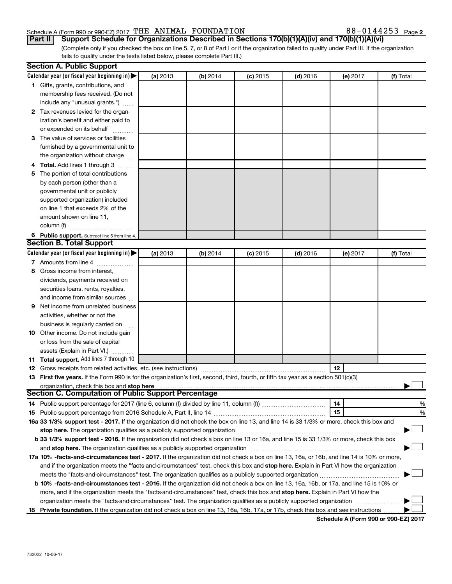#### Schedule A (Form 990 or 990-EZ) 2017  $\texttt{THE ANIMAL}$   $\texttt{FOUNDATION}$  88  $-$  0144253  $\texttt{Page}$

88-0144253 Page 2

(Complete only if you checked the box on line 5, 7, or 8 of Part I or if the organization failed to qualify under Part III. If the organization fails to qualify under the tests listed below, please complete Part III.) **Part II** | Support Schedule for Organizations Described in Sections 170(b)(1)(A)(iv) and 170(b)(1)(A)(vi)

|    | <b>Section A. Public Support</b>                                                                                                           |          |            |            |            |          |           |
|----|--------------------------------------------------------------------------------------------------------------------------------------------|----------|------------|------------|------------|----------|-----------|
|    | Calendar year (or fiscal year beginning in) $\blacktriangleright$                                                                          | (a) 2013 | (b) 2014   | $(c)$ 2015 | $(d)$ 2016 | (e) 2017 | (f) Total |
|    | 1 Gifts, grants, contributions, and                                                                                                        |          |            |            |            |          |           |
|    | membership fees received. (Do not                                                                                                          |          |            |            |            |          |           |
|    | include any "unusual grants.")                                                                                                             |          |            |            |            |          |           |
|    | 2 Tax revenues levied for the organ-                                                                                                       |          |            |            |            |          |           |
|    | ization's benefit and either paid to                                                                                                       |          |            |            |            |          |           |
|    | or expended on its behalf                                                                                                                  |          |            |            |            |          |           |
|    | 3 The value of services or facilities                                                                                                      |          |            |            |            |          |           |
|    | furnished by a governmental unit to                                                                                                        |          |            |            |            |          |           |
|    | the organization without charge                                                                                                            |          |            |            |            |          |           |
|    | Total. Add lines 1 through 3                                                                                                               |          |            |            |            |          |           |
| 5  | The portion of total contributions                                                                                                         |          |            |            |            |          |           |
|    | by each person (other than a                                                                                                               |          |            |            |            |          |           |
|    | governmental unit or publicly                                                                                                              |          |            |            |            |          |           |
|    | supported organization) included                                                                                                           |          |            |            |            |          |           |
|    | on line 1 that exceeds 2% of the                                                                                                           |          |            |            |            |          |           |
|    | amount shown on line 11,                                                                                                                   |          |            |            |            |          |           |
|    | column (f)                                                                                                                                 |          |            |            |            |          |           |
|    | 6 Public support. Subtract line 5 from line 4.                                                                                             |          |            |            |            |          |           |
|    | <b>Section B. Total Support</b>                                                                                                            |          |            |            |            |          |           |
|    | Calendar year (or fiscal year beginning in) $\blacktriangleright$                                                                          | (a) 2013 | (b) $2014$ | $(c)$ 2015 | $(d)$ 2016 | (e) 2017 | (f) Total |
|    | 7 Amounts from line 4                                                                                                                      |          |            |            |            |          |           |
| 8  | Gross income from interest,                                                                                                                |          |            |            |            |          |           |
|    | dividends, payments received on                                                                                                            |          |            |            |            |          |           |
|    | securities loans, rents, royalties,                                                                                                        |          |            |            |            |          |           |
|    | and income from similar sources                                                                                                            |          |            |            |            |          |           |
| 9  | Net income from unrelated business                                                                                                         |          |            |            |            |          |           |
|    | activities, whether or not the                                                                                                             |          |            |            |            |          |           |
|    | business is regularly carried on                                                                                                           |          |            |            |            |          |           |
| 10 | Other income. Do not include gain                                                                                                          |          |            |            |            |          |           |
|    | or loss from the sale of capital                                                                                                           |          |            |            |            |          |           |
|    | assets (Explain in Part VI.)                                                                                                               |          |            |            |            |          |           |
|    | 11 Total support. Add lines 7 through 10                                                                                                   |          |            |            |            |          |           |
|    | <b>12</b> Gross receipts from related activities, etc. (see instructions)                                                                  |          |            |            |            | 12       |           |
|    | 13 First five years. If the Form 990 is for the organization's first, second, third, fourth, or fifth tax year as a section 501(c)(3)      |          |            |            |            |          |           |
|    | organization, check this box and stop here                                                                                                 |          |            |            |            |          |           |
|    | Section C. Computation of Public Support Percentage                                                                                        |          |            |            |            |          |           |
|    |                                                                                                                                            |          |            |            |            | 14       | %         |
|    |                                                                                                                                            |          |            |            |            | 15       | %         |
|    | 16a 33 1/3% support test - 2017. If the organization did not check the box on line 13, and line 14 is 33 1/3% or more, check this box and  |          |            |            |            |          |           |
|    |                                                                                                                                            |          |            |            |            |          |           |
|    | b 33 1/3% support test - 2016. If the organization did not check a box on line 13 or 16a, and line 15 is 33 1/3% or more, check this box   |          |            |            |            |          |           |
|    |                                                                                                                                            |          |            |            |            |          |           |
|    | 17a 10% -facts-and-circumstances test - 2017. If the organization did not check a box on line 13, 16a, or 16b, and line 14 is 10% or more, |          |            |            |            |          |           |
|    | and if the organization meets the "facts-and-circumstances" test, check this box and stop here. Explain in Part VI how the organization    |          |            |            |            |          |           |
|    | meets the "facts-and-circumstances" test. The organization qualifies as a publicly supported organization <i>manumumum</i>                 |          |            |            |            |          |           |
|    | b 10% -facts-and-circumstances test - 2016. If the organization did not check a box on line 13, 16a, 16b, or 17a, and line 15 is 10% or    |          |            |            |            |          |           |
|    | more, and if the organization meets the "facts-and-circumstances" test, check this box and stop here. Explain in Part VI how the           |          |            |            |            |          |           |
|    | organization meets the "facts-and-circumstances" test. The organization qualifies as a publicly supported organization                     |          |            |            |            |          |           |
|    | 18 Private foundation. If the organization did not check a box on line 13, 16a, 16b, 17a, or 17b, check this box and see instructions      |          |            |            |            |          |           |

**Schedule A (Form 990 or 990-EZ) 2017**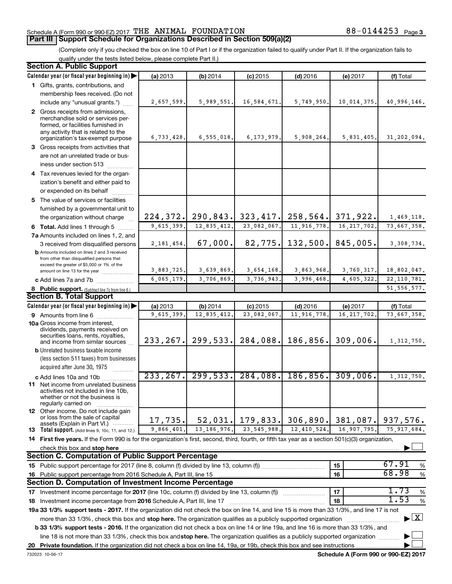#### Schedule A (Form 990 or 990-EZ) 2017  $\texttt{THE ANIMAL}$   $\texttt{FOUNDATION}$  88  $-$  0144253  $\texttt{Page}$

88-0144253 Page 3

(Complete only if you checked the box on line 10 of Part I or if the organization failed to qualify under Part II. If the organization fails to qualify under the tests listed below, please complete Part II.)

| <b>Section A. Public Support</b>                                                                                                                    |              |                          |                                 |             |               |                                    |
|-----------------------------------------------------------------------------------------------------------------------------------------------------|--------------|--------------------------|---------------------------------|-------------|---------------|------------------------------------|
| Calendar year (or fiscal year beginning in)                                                                                                         | (a) 2013     | (b) 2014                 | $(c)$ 2015                      | $(d)$ 2016  | (e) 2017      | (f) Total                          |
| 1 Gifts, grants, contributions, and                                                                                                                 |              |                          |                                 |             |               |                                    |
| membership fees received. (Do not                                                                                                                   |              |                          |                                 |             |               |                                    |
| include any "unusual grants.")                                                                                                                      | 2,657,599.   | 5,989,551.               | 16,584,671.                     | 5,749,950.  | 10,014,375.   | 40,996,146.                        |
| 2 Gross receipts from admissions,                                                                                                                   |              |                          |                                 |             |               |                                    |
| merchandise sold or services per-                                                                                                                   |              |                          |                                 |             |               |                                    |
| formed, or facilities furnished in<br>any activity that is related to the                                                                           |              |                          |                                 |             |               |                                    |
| organization's tax-exempt purpose                                                                                                                   | 6,733,428.   | 6, 555, 018.             | 6, 173, 979.                    | 5,908,264.  | 5,831,405.    | 31,202,094.                        |
| 3 Gross receipts from activities that                                                                                                               |              |                          |                                 |             |               |                                    |
| are not an unrelated trade or bus-                                                                                                                  |              |                          |                                 |             |               |                                    |
| iness under section 513                                                                                                                             |              |                          |                                 |             |               |                                    |
| 4 Tax revenues levied for the organ-                                                                                                                |              |                          |                                 |             |               |                                    |
| ization's benefit and either paid to                                                                                                                |              |                          |                                 |             |               |                                    |
| or expended on its behalf                                                                                                                           |              |                          |                                 |             |               |                                    |
| 5 The value of services or facilities                                                                                                               |              |                          |                                 |             |               |                                    |
| furnished by a governmental unit to                                                                                                                 |              |                          |                                 |             |               |                                    |
| the organization without charge                                                                                                                     | 224, 372.    |                          | $290, 843.$ 323, 417. 258, 564. |             | 371,922.      | 1,469,118.                         |
| 6 Total. Add lines 1 through 5                                                                                                                      | 9,615,399.   | $\overline{12,835,412}.$ | $\overline{23,082,067}$ .       | 11,916,778. | 16, 217, 702. | 73,667,358.                        |
| 7a Amounts included on lines 1, 2, and                                                                                                              |              |                          |                                 |             |               |                                    |
| 3 received from disqualified persons                                                                                                                | 2, 181, 454. | 67,000.                  | 82, 775.                        | 132,500.    | 845,005.      | 3,308,734.                         |
| <b>b</b> Amounts included on lines 2 and 3 received                                                                                                 |              |                          |                                 |             |               |                                    |
| from other than disqualified persons that<br>exceed the greater of \$5,000 or 1% of the                                                             |              |                          |                                 |             |               |                                    |
| amount on line 13 for the year                                                                                                                      | 3,883,725.   | 3,639,869.               | 3,654,168.                      | 3,863,968.  | 3,760,317.    | 18,802,047.                        |
| c Add lines 7a and 7b                                                                                                                               | 6,065,179.   | 3,706,869.               | 3,736,943.                      | 3,996,468.  | 4,605,322.    | 22, 110, 781.                      |
| 8 Public support. (Subtract line 7c from line 6.)                                                                                                   |              |                          |                                 |             |               | 51, 556, 577.                      |
| <b>Section B. Total Support</b>                                                                                                                     |              |                          |                                 |             |               |                                    |
| Calendar year (or fiscal year beginning in)                                                                                                         | (a) 2013     | (b) 2014                 | $(c)$ 2015                      | $(d)$ 2016  | (e) 2017      | (f) Total                          |
| 9 Amounts from line 6                                                                                                                               | 9,615,399    | 12,835,412.              | 23,082,067                      | 11,916,778  | 16, 217, 702  | 73,667,358.                        |
| <b>10a</b> Gross income from interest,                                                                                                              |              |                          |                                 |             |               |                                    |
| dividends, payments received on<br>securities loans, rents, royalties,                                                                              |              |                          |                                 |             |               |                                    |
| and income from similar sources                                                                                                                     | 233, 267.    | 299,533.                 | 284,088.                        | 186,856.    | 309,006.      | 1,312,750.                         |
| <b>b</b> Unrelated business taxable income                                                                                                          |              |                          |                                 |             |               |                                    |
| (less section 511 taxes) from businesses                                                                                                            |              |                          |                                 |             |               |                                    |
| acquired after June 30, 1975                                                                                                                        |              |                          |                                 |             |               |                                    |
| c Add lines 10a and 10b                                                                                                                             | 233, 267.    | 299,533.                 | 284,088.                        | 186, 856.   | 309,006.      | 1,312,750.                         |
| 11 Net income from unrelated business                                                                                                               |              |                          |                                 |             |               |                                    |
| activities not included in line 10b,<br>whether or not the business is                                                                              |              |                          |                                 |             |               |                                    |
| regularly carried on                                                                                                                                |              |                          |                                 |             |               |                                    |
| <b>12</b> Other income. Do not include gain<br>or loss from the sale of capital                                                                     |              |                          |                                 |             |               |                                    |
| assets (Explain in Part VI.)                                                                                                                        | 17,735.      | 52,031.                  | 179,833.                        | 306,890.    | 381,087.      | 937,576.                           |
| <b>13</b> Total support. (Add lines 9, 10c, 11, and 12.)                                                                                            | 9,866,401.   | 13, 186, 976.            | 23, 545, 988.                   | 12,410,524. | 16,907,795.   | 75, 917, 684.                      |
| 14 First five years. If the Form 990 is for the organization's first, second, third, fourth, or fifth tax year as a section 501(c)(3) organization, |              |                          |                                 |             |               |                                    |
| check this box and stop here                                                                                                                        |              |                          |                                 |             |               |                                    |
| <b>Section C. Computation of Public Support Percentage</b>                                                                                          |              |                          |                                 |             |               |                                    |
|                                                                                                                                                     |              |                          |                                 |             | 15            | 67.91<br>%                         |
| 16 Public support percentage from 2016 Schedule A, Part III, line 15                                                                                |              |                          |                                 |             | 16            | 68.98<br>$\%$                      |
| Section D. Computation of Investment Income Percentage                                                                                              |              |                          |                                 |             |               |                                    |
| 17 Investment income percentage for 2017 (line 10c, column (f) divided by line 13, column (f))                                                      |              |                          |                                 |             | 17            | 1.73<br>$\%$                       |
| 18 Investment income percentage from 2016 Schedule A, Part III, line 17                                                                             |              |                          |                                 |             | 18            | 1.53<br>$\%$                       |
| 19a 33 1/3% support tests - 2017. If the organization did not check the box on line 14, and line 15 is more than 33 1/3%, and line 17 is not        |              |                          |                                 |             |               |                                    |
| more than 33 1/3%, check this box and stop here. The organization qualifies as a publicly supported organization                                    |              |                          |                                 |             |               | $\blacktriangleright$ $\mathbf{X}$ |
| b 33 1/3% support tests - 2016. If the organization did not check a box on line 14 or line 19a, and line 16 is more than 33 1/3%, and               |              |                          |                                 |             |               |                                    |
| line 18 is not more than 33 1/3%, check this box and stop here. The organization qualifies as a publicly supported organization                     |              |                          |                                 |             |               |                                    |
|                                                                                                                                                     |              |                          |                                 |             |               |                                    |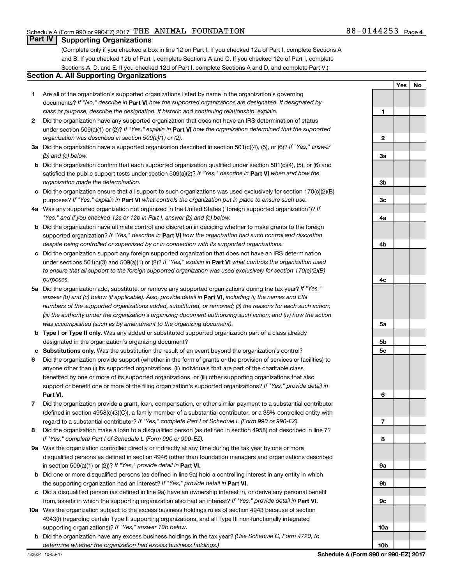**1**

**2**

**Yes No**

#### **Part IV Supporting Organizations**

(Complete only if you checked a box in line 12 on Part I. If you checked 12a of Part I, complete Sections A and B. If you checked 12b of Part I, complete Sections A and C. If you checked 12c of Part I, complete Sections A, D, and E. If you checked 12d of Part I, complete Sections A and D, and complete Part V.)

#### **Section A. All Supporting Organizations**

- **1** Are all of the organization's supported organizations listed by name in the organization's governing documents? If "No," describe in Part VI how the supported organizations are designated. If designated by *class or purpose, describe the designation. If historic and continuing relationship, explain.*
- **2** Did the organization have any supported organization that does not have an IRS determination of status under section 509(a)(1) or (2)? If "Yes," explain in Part **VI** how the organization determined that the supported *organization was described in section 509(a)(1) or (2).*
- **3a** Did the organization have a supported organization described in section 501(c)(4), (5), or (6)? If "Yes," answer *(b) and (c) below.*
- **b** Did the organization confirm that each supported organization qualified under section 501(c)(4), (5), or (6) and satisfied the public support tests under section 509(a)(2)? If "Yes," describe in Part VI when and how the *organization made the determination.*
- **c** Did the organization ensure that all support to such organizations was used exclusively for section 170(c)(2)(B) purposes? If "Yes," explain in Part VI what controls the organization put in place to ensure such use.
- **4 a** *If* Was any supported organization not organized in the United States ("foreign supported organization")? *"Yes," and if you checked 12a or 12b in Part I, answer (b) and (c) below.*
- **b** Did the organization have ultimate control and discretion in deciding whether to make grants to the foreign supported organization? If "Yes," describe in Part VI how the organization had such control and discretion *despite being controlled or supervised by or in connection with its supported organizations.*
- **c** Did the organization support any foreign supported organization that does not have an IRS determination under sections 501(c)(3) and 509(a)(1) or (2)? If "Yes," explain in Part VI what controls the organization used *to ensure that all support to the foreign supported organization was used exclusively for section 170(c)(2)(B) purposes.*
- **5a** Did the organization add, substitute, or remove any supported organizations during the tax year? If "Yes," answer (b) and (c) below (if applicable). Also, provide detail in **Part VI,** including (i) the names and EIN *numbers of the supported organizations added, substituted, or removed; (ii) the reasons for each such action; (iii) the authority under the organization's organizing document authorizing such action; and (iv) how the action was accomplished (such as by amendment to the organizing document).*
- **b Type I or Type II only.** Was any added or substituted supported organization part of a class already designated in the organization's organizing document?
- **c Substitutions only.**  Was the substitution the result of an event beyond the organization's control?
- **6** Did the organization provide support (whether in the form of grants or the provision of services or facilities) to **Part VI.** support or benefit one or more of the filing organization's supported organizations? If "Yes," provide detail in anyone other than (i) its supported organizations, (ii) individuals that are part of the charitable class benefited by one or more of its supported organizations, or (iii) other supporting organizations that also
- **7** Did the organization provide a grant, loan, compensation, or other similar payment to a substantial contributor regard to a substantial contributor? If "Yes," complete Part I of Schedule L (Form 990 or 990-EZ). (defined in section 4958(c)(3)(C)), a family member of a substantial contributor, or a 35% controlled entity with
- **8** Did the organization make a loan to a disqualified person (as defined in section 4958) not described in line 7? *If "Yes," complete Part I of Schedule L (Form 990 or 990-EZ).*
- **9 a** Was the organization controlled directly or indirectly at any time during the tax year by one or more in section 509(a)(1) or (2))? If "Yes," provide detail in **Part VI.** disqualified persons as defined in section 4946 (other than foundation managers and organizations described
- **b** Did one or more disqualified persons (as defined in line 9a) hold a controlling interest in any entity in which the supporting organization had an interest? If "Yes," provide detail in Part VI.
- **c** Did a disqualified person (as defined in line 9a) have an ownership interest in, or derive any personal benefit from, assets in which the supporting organization also had an interest? If "Yes," provide detail in Part VI.
- **10 a** Was the organization subject to the excess business holdings rules of section 4943 because of section supporting organizations)? If "Yes," answer 10b below. 4943(f) (regarding certain Type II supporting organizations, and all Type III non-functionally integrated
- **b** Did the organization have any excess business holdings in the tax year? (Use Schedule C, Form 4720, to *determine whether the organization had excess business holdings.)*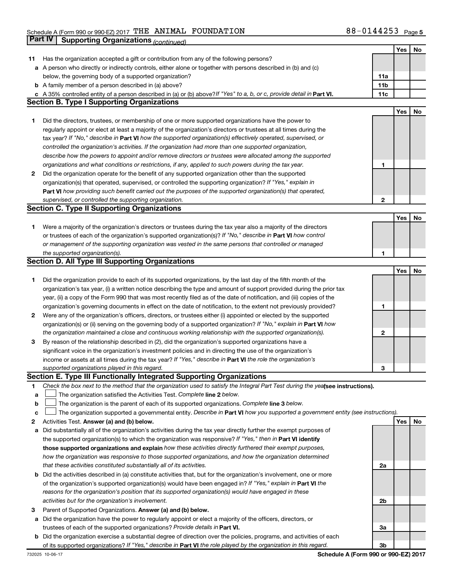|    |                                                                                                                                 |     | Yes | No |
|----|---------------------------------------------------------------------------------------------------------------------------------|-----|-----|----|
| 11 | Has the organization accepted a gift or contribution from any of the following persons?                                         |     |     |    |
|    | a A person who directly or indirectly controls, either alone or together with persons described in (b) and (c)                  |     |     |    |
|    | below, the governing body of a supported organization?                                                                          | 11a |     |    |
|    | <b>b</b> A family member of a person described in (a) above?                                                                    | 11b |     |    |
|    | c A 35% controlled entity of a person described in (a) or (b) above? If "Yes" to a, b, or c, provide detail in Part VI.         | 11c |     |    |
|    | <b>Section B. Type I Supporting Organizations</b>                                                                               |     |     |    |
|    |                                                                                                                                 |     | Yes | No |
| 1  | Did the directors, trustees, or membership of one or more supported organizations have the power to                             |     |     |    |
|    | regularly appoint or elect at least a majority of the organization's directors or trustees at all times during the              |     |     |    |
|    | tax year? If "No," describe in Part VI how the supported organization(s) effectively operated, supervised, or                   |     |     |    |
|    |                                                                                                                                 |     |     |    |
|    | controlled the organization's activities. If the organization had more than one supported organization,                         |     |     |    |
|    | describe how the powers to appoint and/or remove directors or trustees were allocated among the supported                       |     |     |    |
|    | organizations and what conditions or restrictions, if any, applied to such powers during the tax year.                          | 1   |     |    |
| 2  | Did the organization operate for the benefit of any supported organization other than the supported                             |     |     |    |
|    | organization(s) that operated, supervised, or controlled the supporting organization? If "Yes," explain in                      |     |     |    |
|    | Part VI how providing such benefit carried out the purposes of the supported organization(s) that operated,                     |     |     |    |
|    | supervised, or controlled the supporting organization.                                                                          | 2   |     |    |
|    | <b>Section C. Type II Supporting Organizations</b>                                                                              |     |     |    |
|    |                                                                                                                                 |     | Yes | No |
| 1. | Were a majority of the organization's directors or trustees during the tax year also a majority of the directors                |     |     |    |
|    | or trustees of each of the organization's supported organization(s)? If "No," describe in Part VI how control                   |     |     |    |
|    | or management of the supporting organization was vested in the same persons that controlled or managed                          |     |     |    |
|    | the supported organization(s).                                                                                                  | 1   |     |    |
|    | <b>Section D. All Type III Supporting Organizations</b>                                                                         |     |     |    |
|    |                                                                                                                                 |     | Yes | No |
| 1  | Did the organization provide to each of its supported organizations, by the last day of the fifth month of the                  |     |     |    |
|    | organization's tax year, (i) a written notice describing the type and amount of support provided during the prior tax           |     |     |    |
|    | year, (ii) a copy of the Form 990 that was most recently filed as of the date of notification, and (iii) copies of the          |     |     |    |
|    | organization's governing documents in effect on the date of notification, to the extent not previously provided?                | 1   |     |    |
| 2  | Were any of the organization's officers, directors, or trustees either (i) appointed or elected by the supported                |     |     |    |
|    | organization(s) or (ii) serving on the governing body of a supported organization? If "No," explain in Part VI how              |     |     |    |
|    | the organization maintained a close and continuous working relationship with the supported organization(s).                     | 2   |     |    |
| 3  | By reason of the relationship described in (2), did the organization's supported organizations have a                           |     |     |    |
|    | significant voice in the organization's investment policies and in directing the use of the organization's                      |     |     |    |
|    |                                                                                                                                 |     |     |    |
|    | income or assets at all times during the tax year? If "Yes," describe in Part VI the role the organization's                    |     |     |    |
|    | supported organizations played in this regard.                                                                                  | З   |     |    |
|    | Section E. Type III Functionally Integrated Supporting Organizations                                                            |     |     |    |
| 1. | Check the box next to the method that the organization used to satisfy the Integral Part Test during the yealsee instructions). |     |     |    |
| а  | The organization satisfied the Activities Test. Complete line 2 below.                                                          |     |     |    |
| b  | The organization is the parent of each of its supported organizations. Complete line 3 below.                                   |     |     |    |
| c  | The organization supported a governmental entity. Describe in Part VI how you supported a government entity (see instructions). |     |     |    |
| 2  | Activities Test. Answer (a) and (b) below.                                                                                      |     | Yes | No |
| а  | Did substantially all of the organization's activities during the tax year directly further the exempt purposes of              |     |     |    |
|    | the supported organization(s) to which the organization was responsive? If "Yes," then in Part VI identify                      |     |     |    |
|    | those supported organizations and explain how these activities directly furthered their exempt purposes,                        |     |     |    |
|    | how the organization was responsive to those supported organizations, and how the organization determined                       |     |     |    |
|    | that these activities constituted substantially all of its activities.                                                          | 2a  |     |    |
| b  | Did the activities described in (a) constitute activities that, but for the organization's involvement, one or more             |     |     |    |
|    | of the organization's supported organization(s) would have been engaged in? If "Yes," explain in Part VI the                    |     |     |    |
|    | reasons for the organization's position that its supported organization(s) would have engaged in these                          |     |     |    |
|    | activities but for the organization's involvement.                                                                              | 2b  |     |    |
| з  | Parent of Supported Organizations. Answer (a) and (b) below.                                                                    |     |     |    |
| а  | Did the organization have the power to regularly appoint or elect a majority of the officers, directors, or                     |     |     |    |
|    | trustees of each of the supported organizations? Provide details in Part VI.                                                    | За  |     |    |
| b  | Did the organization exercise a substantial degree of direction over the policies, programs, and activities of each             |     |     |    |
|    | of its supported organizations? If "Yes," describe in Part VI the role played by the organization in this regard.               | 3b  |     |    |
|    |                                                                                                                                 |     |     |    |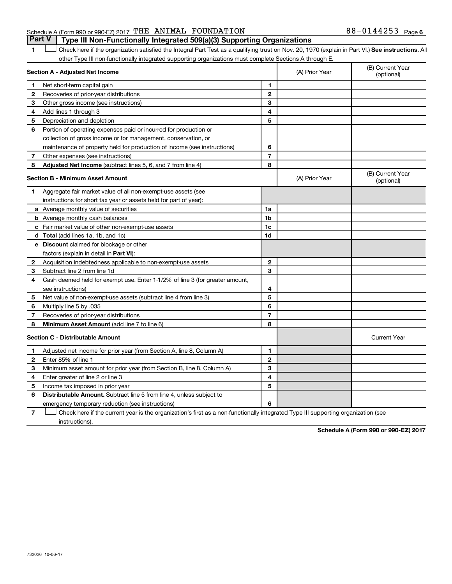### Schedule A (Form 990 or 990-EZ) 2017  $\texttt{THE ANIMAL}$   $\texttt{FOUNDATION}$  88  $-$  0144253  $\texttt{Page}$

1 **Letter See instructions.** All Check here if the organization satisfied the Integral Part Test as a qualifying trust on Nov. 20, 1970 (explain in Part VI.) See instructions. All other Type III non-functionally integrated supporting organizations must complete Sections A through E. **Part V Type III Non-Functionally Integrated 509(a)(3) Supporting Organizations** 

|              | Section A - Adjusted Net Income                                              |                | (A) Prior Year | (B) Current Year<br>(optional) |
|--------------|------------------------------------------------------------------------------|----------------|----------------|--------------------------------|
| 1            | Net short-term capital gain                                                  | 1              |                |                                |
| $\mathbf{2}$ | Recoveries of prior-year distributions                                       | $\mathbf{2}$   |                |                                |
| З            | Other gross income (see instructions)                                        | 3              |                |                                |
| 4            | Add lines 1 through 3                                                        | 4              |                |                                |
| 5            | Depreciation and depletion                                                   | 5              |                |                                |
| 6            | Portion of operating expenses paid or incurred for production or             |                |                |                                |
|              | collection of gross income or for management, conservation, or               |                |                |                                |
|              | maintenance of property held for production of income (see instructions)     | 6              |                |                                |
| 7            | Other expenses (see instructions)                                            | $\overline{7}$ |                |                                |
| 8            | Adjusted Net Income (subtract lines 5, 6, and 7 from line 4)                 | 8              |                |                                |
|              | <b>Section B - Minimum Asset Amount</b>                                      |                | (A) Prior Year | (B) Current Year<br>(optional) |
| 1            | Aggregate fair market value of all non-exempt-use assets (see                |                |                |                                |
|              | instructions for short tax year or assets held for part of year):            |                |                |                                |
|              | a Average monthly value of securities                                        | 1a             |                |                                |
|              | <b>b</b> Average monthly cash balances                                       | 1b             |                |                                |
|              | c Fair market value of other non-exempt-use assets                           | 1c             |                |                                |
|              | d Total (add lines 1a, 1b, and 1c)                                           | 1d             |                |                                |
|              | e Discount claimed for blockage or other                                     |                |                |                                |
|              | factors (explain in detail in <b>Part VI</b> ):                              |                |                |                                |
| $\mathbf{2}$ | Acquisition indebtedness applicable to non-exempt-use assets                 | $\mathbf{2}$   |                |                                |
| З            | Subtract line 2 from line 1d                                                 | 3              |                |                                |
| 4            | Cash deemed held for exempt use. Enter 1-1/2% of line 3 (for greater amount, |                |                |                                |
|              | see instructions)                                                            | 4              |                |                                |
| 5            | Net value of non-exempt-use assets (subtract line 4 from line 3)             | 5              |                |                                |
| 6            | Multiply line 5 by .035                                                      | 6              |                |                                |
| 7            | Recoveries of prior-year distributions                                       | 7              |                |                                |
| 8            | Minimum Asset Amount (add line 7 to line 6)                                  | 8              |                |                                |
|              | <b>Section C - Distributable Amount</b>                                      |                |                | <b>Current Year</b>            |
| 1            | Adjusted net income for prior year (from Section A, line 8, Column A)        | 1              |                |                                |
| $\mathbf{2}$ | Enter 85% of line 1                                                          | $\mathbf{2}$   |                |                                |
| З            | Minimum asset amount for prior year (from Section B, line 8, Column A)       | 3              |                |                                |
| 4            | Enter greater of line 2 or line 3                                            | 4              |                |                                |
| 5            | Income tax imposed in prior year                                             | 5              |                |                                |
| 6            | <b>Distributable Amount.</b> Subtract line 5 from line 4, unless subject to  |                |                |                                |
|              | emergency temporary reduction (see instructions)                             | 6              |                |                                |
|              |                                                                              |                |                |                                |

**7** Check here if the current year is the organization's first as a non-functionally integrated Type III supporting organization (see † instructions).

**Schedule A (Form 990 or 990-EZ) 2017**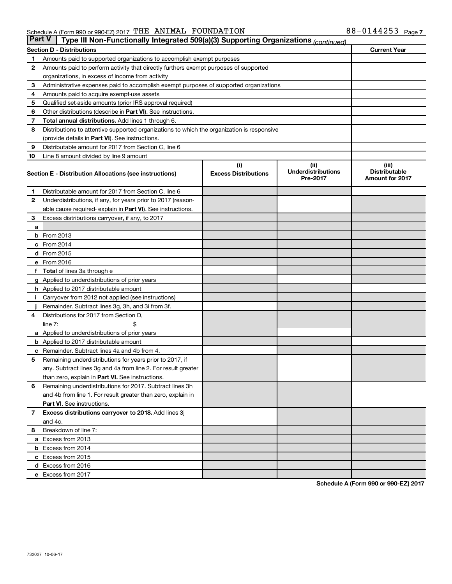| <b>Part V</b>  | Type III Non-Functionally Integrated 509(a)(3) Supporting Organizations (continued)        |                                    |                                               |                                                         |  |  |  |  |
|----------------|--------------------------------------------------------------------------------------------|------------------------------------|-----------------------------------------------|---------------------------------------------------------|--|--|--|--|
|                | <b>Current Year</b><br><b>Section D - Distributions</b>                                    |                                    |                                               |                                                         |  |  |  |  |
| 1              | Amounts paid to supported organizations to accomplish exempt purposes                      |                                    |                                               |                                                         |  |  |  |  |
| $\mathbf{2}$   | Amounts paid to perform activity that directly furthers exempt purposes of supported       |                                    |                                               |                                                         |  |  |  |  |
|                | organizations, in excess of income from activity                                           |                                    |                                               |                                                         |  |  |  |  |
| 3              | Administrative expenses paid to accomplish exempt purposes of supported organizations      |                                    |                                               |                                                         |  |  |  |  |
| 4              | Amounts paid to acquire exempt-use assets                                                  |                                    |                                               |                                                         |  |  |  |  |
| 5              | Qualified set-aside amounts (prior IRS approval required)                                  |                                    |                                               |                                                         |  |  |  |  |
| 6              | Other distributions (describe in <b>Part VI</b> ). See instructions.                       |                                    |                                               |                                                         |  |  |  |  |
| 7              | Total annual distributions. Add lines 1 through 6.                                         |                                    |                                               |                                                         |  |  |  |  |
| 8              | Distributions to attentive supported organizations to which the organization is responsive |                                    |                                               |                                                         |  |  |  |  |
|                | (provide details in Part VI). See instructions.                                            |                                    |                                               |                                                         |  |  |  |  |
| 9              | Distributable amount for 2017 from Section C, line 6                                       |                                    |                                               |                                                         |  |  |  |  |
| 10             | Line 8 amount divided by line 9 amount                                                     |                                    |                                               |                                                         |  |  |  |  |
|                | Section E - Distribution Allocations (see instructions)                                    | (i)<br><b>Excess Distributions</b> | (ii)<br><b>Underdistributions</b><br>Pre-2017 | (iii)<br><b>Distributable</b><br><b>Amount for 2017</b> |  |  |  |  |
| 1              | Distributable amount for 2017 from Section C, line 6                                       |                                    |                                               |                                                         |  |  |  |  |
| $\mathbf{2}$   | Underdistributions, if any, for years prior to 2017 (reason-                               |                                    |                                               |                                                         |  |  |  |  |
|                | able cause required- explain in Part VI). See instructions.                                |                                    |                                               |                                                         |  |  |  |  |
| 3              | Excess distributions carryover, if any, to 2017                                            |                                    |                                               |                                                         |  |  |  |  |
| a              |                                                                                            |                                    |                                               |                                                         |  |  |  |  |
|                | <b>b</b> From 2013                                                                         |                                    |                                               |                                                         |  |  |  |  |
|                | c From 2014                                                                                |                                    |                                               |                                                         |  |  |  |  |
|                | d From 2015                                                                                |                                    |                                               |                                                         |  |  |  |  |
|                | e From 2016                                                                                |                                    |                                               |                                                         |  |  |  |  |
|                | f Total of lines 3a through e                                                              |                                    |                                               |                                                         |  |  |  |  |
|                | <b>g</b> Applied to underdistributions of prior years                                      |                                    |                                               |                                                         |  |  |  |  |
|                | <b>h</b> Applied to 2017 distributable amount                                              |                                    |                                               |                                                         |  |  |  |  |
| Ť.             | Carryover from 2012 not applied (see instructions)                                         |                                    |                                               |                                                         |  |  |  |  |
|                | Remainder. Subtract lines 3g, 3h, and 3i from 3f.                                          |                                    |                                               |                                                         |  |  |  |  |
| 4              | Distributions for 2017 from Section D,                                                     |                                    |                                               |                                                         |  |  |  |  |
|                | line $7:$                                                                                  |                                    |                                               |                                                         |  |  |  |  |
|                | <b>a</b> Applied to underdistributions of prior years                                      |                                    |                                               |                                                         |  |  |  |  |
|                | <b>b</b> Applied to 2017 distributable amount                                              |                                    |                                               |                                                         |  |  |  |  |
| c              | Remainder. Subtract lines 4a and 4b from 4.                                                |                                    |                                               |                                                         |  |  |  |  |
| 5              | Remaining underdistributions for years prior to 2017, if                                   |                                    |                                               |                                                         |  |  |  |  |
|                | any. Subtract lines 3g and 4a from line 2. For result greater                              |                                    |                                               |                                                         |  |  |  |  |
|                | than zero, explain in Part VI. See instructions.                                           |                                    |                                               |                                                         |  |  |  |  |
| 6              | Remaining underdistributions for 2017. Subtract lines 3h                                   |                                    |                                               |                                                         |  |  |  |  |
|                | and 4b from line 1. For result greater than zero, explain in                               |                                    |                                               |                                                         |  |  |  |  |
|                | <b>Part VI.</b> See instructions.                                                          |                                    |                                               |                                                         |  |  |  |  |
| $\overline{7}$ | Excess distributions carryover to 2018. Add lines 3j                                       |                                    |                                               |                                                         |  |  |  |  |
|                | and 4c.                                                                                    |                                    |                                               |                                                         |  |  |  |  |
| 8              | Breakdown of line 7:                                                                       |                                    |                                               |                                                         |  |  |  |  |
|                | a Excess from 2013                                                                         |                                    |                                               |                                                         |  |  |  |  |
|                | <b>b</b> Excess from 2014                                                                  |                                    |                                               |                                                         |  |  |  |  |
|                | c Excess from 2015                                                                         |                                    |                                               |                                                         |  |  |  |  |
|                | d Excess from 2016                                                                         |                                    |                                               |                                                         |  |  |  |  |
|                | e Excess from 2017                                                                         |                                    |                                               |                                                         |  |  |  |  |

**Schedule A (Form 990 or 990-EZ) 2017**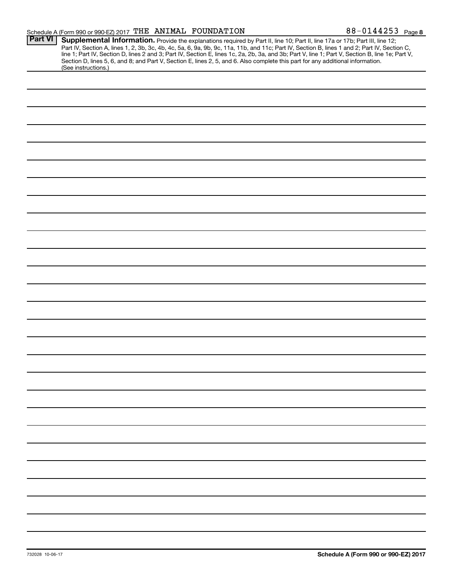| Schedule A (Form 990 or 990-EZ) 2017 $\,$ THE ANIMAL FOUNDATION |  | $88 - 0144253$ Page 8 |
|-----------------------------------------------------------------|--|-----------------------|
|-----------------------------------------------------------------|--|-----------------------|

|                | $300 \text{ kg}$ and $\pi$ (i.e. $111 \text{ s}$ $300 \text{ s}$ $300 \text{ k}$<br>r ago o                                                                                                                                                                                                                                                                                                                                                                                                                                                                          |
|----------------|----------------------------------------------------------------------------------------------------------------------------------------------------------------------------------------------------------------------------------------------------------------------------------------------------------------------------------------------------------------------------------------------------------------------------------------------------------------------------------------------------------------------------------------------------------------------|
| <b>Part VI</b> | Supplemental Information. Provide the explanations required by Part II, line 10; Part II, line 17a or 17b; Part III, line 12;<br>Part IV, Section A, lines 1, 2, 3b, 3c, 4b, 4c, 5a, 6, 9a, 9b, 9c, 11a, 11b, and 11c; Part IV, Section B, lines 1 and 2; Part IV, Section C,<br>line 1; Part IV, Section D, lines 2 and 3; Part IV, Section E, lines 1c, 2a, 2b, 3a, and 3b; Part V, line 1; Part V, Section B, line 1e; Part V,<br>Section D, lines 5, 6, and 8; and Part V, Section E, lines 2, 5, and 6. Also complete this part for any additional information. |
|                | (See instructions.)                                                                                                                                                                                                                                                                                                                                                                                                                                                                                                                                                  |
|                |                                                                                                                                                                                                                                                                                                                                                                                                                                                                                                                                                                      |
|                |                                                                                                                                                                                                                                                                                                                                                                                                                                                                                                                                                                      |
|                |                                                                                                                                                                                                                                                                                                                                                                                                                                                                                                                                                                      |
|                |                                                                                                                                                                                                                                                                                                                                                                                                                                                                                                                                                                      |
|                |                                                                                                                                                                                                                                                                                                                                                                                                                                                                                                                                                                      |
|                |                                                                                                                                                                                                                                                                                                                                                                                                                                                                                                                                                                      |
|                |                                                                                                                                                                                                                                                                                                                                                                                                                                                                                                                                                                      |
|                |                                                                                                                                                                                                                                                                                                                                                                                                                                                                                                                                                                      |
|                |                                                                                                                                                                                                                                                                                                                                                                                                                                                                                                                                                                      |
|                |                                                                                                                                                                                                                                                                                                                                                                                                                                                                                                                                                                      |
|                |                                                                                                                                                                                                                                                                                                                                                                                                                                                                                                                                                                      |
|                |                                                                                                                                                                                                                                                                                                                                                                                                                                                                                                                                                                      |
|                |                                                                                                                                                                                                                                                                                                                                                                                                                                                                                                                                                                      |
|                |                                                                                                                                                                                                                                                                                                                                                                                                                                                                                                                                                                      |
|                |                                                                                                                                                                                                                                                                                                                                                                                                                                                                                                                                                                      |
|                |                                                                                                                                                                                                                                                                                                                                                                                                                                                                                                                                                                      |
|                |                                                                                                                                                                                                                                                                                                                                                                                                                                                                                                                                                                      |
|                |                                                                                                                                                                                                                                                                                                                                                                                                                                                                                                                                                                      |
|                |                                                                                                                                                                                                                                                                                                                                                                                                                                                                                                                                                                      |
|                |                                                                                                                                                                                                                                                                                                                                                                                                                                                                                                                                                                      |
|                |                                                                                                                                                                                                                                                                                                                                                                                                                                                                                                                                                                      |
|                |                                                                                                                                                                                                                                                                                                                                                                                                                                                                                                                                                                      |
|                |                                                                                                                                                                                                                                                                                                                                                                                                                                                                                                                                                                      |
|                |                                                                                                                                                                                                                                                                                                                                                                                                                                                                                                                                                                      |
|                |                                                                                                                                                                                                                                                                                                                                                                                                                                                                                                                                                                      |
|                |                                                                                                                                                                                                                                                                                                                                                                                                                                                                                                                                                                      |
|                |                                                                                                                                                                                                                                                                                                                                                                                                                                                                                                                                                                      |
|                |                                                                                                                                                                                                                                                                                                                                                                                                                                                                                                                                                                      |
|                |                                                                                                                                                                                                                                                                                                                                                                                                                                                                                                                                                                      |
|                |                                                                                                                                                                                                                                                                                                                                                                                                                                                                                                                                                                      |
|                |                                                                                                                                                                                                                                                                                                                                                                                                                                                                                                                                                                      |
|                |                                                                                                                                                                                                                                                                                                                                                                                                                                                                                                                                                                      |
|                |                                                                                                                                                                                                                                                                                                                                                                                                                                                                                                                                                                      |
|                |                                                                                                                                                                                                                                                                                                                                                                                                                                                                                                                                                                      |
|                |                                                                                                                                                                                                                                                                                                                                                                                                                                                                                                                                                                      |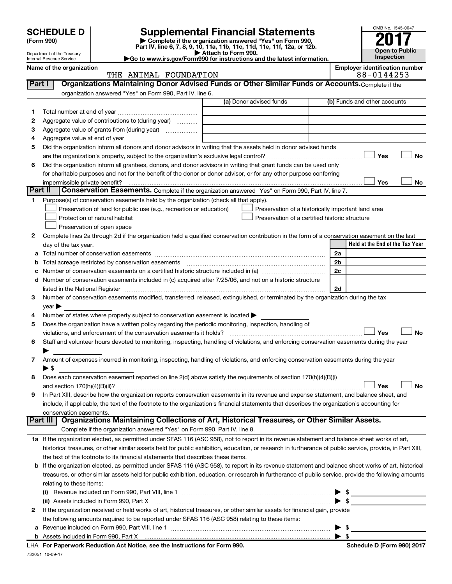| <b>SCHEDULE D</b>          | <b>Supplemental Financial Statements</b>                                                     | OMB No. 1545-004  |
|----------------------------|----------------------------------------------------------------------------------------------|-------------------|
| (Form 990)                 | Complete if the organization answered "Yes" on Form 990,                                     | 2017              |
|                            | Part IV, line 6, 7, 8, 9, 10, 11a, 11b, 11c, 11d, 11e, 11f, 12a, or 12b.                     |                   |
| Department of the Treasury | Attach to Form 990.                                                                          | Open to Publ      |
| Internal Revenue Service   | $\blacktriangleright$ Go to www.irs.gov/Form990 for instructions and the latest information. | <b>Inspection</b> |

**| Attach to Form 990. |Go to www.irs.gov/Form990 for instructions and the latest information.**



| Name of the organization |                       | <b>Emplover identification number</b> |
|--------------------------|-----------------------|---------------------------------------|
|                          | THE ANIMAL FOUNDATION | 88-0144253                            |

| Part I | Organizations Maintaining Donor Advised Funds or Other Similar Funds or Accounts. Complete if the                                                                                                                             |                                                    |                                 |
|--------|-------------------------------------------------------------------------------------------------------------------------------------------------------------------------------------------------------------------------------|----------------------------------------------------|---------------------------------|
|        | organization answered "Yes" on Form 990, Part IV, line 6.                                                                                                                                                                     |                                                    |                                 |
|        | (a) Donor advised funds                                                                                                                                                                                                       |                                                    | (b) Funds and other accounts    |
| 1.     |                                                                                                                                                                                                                               |                                                    |                                 |
| 2      | Aggregate value of contributions to (during year)                                                                                                                                                                             |                                                    |                                 |
| з      | Aggregate value of grants from (during year)                                                                                                                                                                                  |                                                    |                                 |
| 4      |                                                                                                                                                                                                                               |                                                    |                                 |
| 5      | Did the organization inform all donors and donor advisors in writing that the assets held in donor advised funds                                                                                                              |                                                    |                                 |
|        |                                                                                                                                                                                                                               |                                                    | Yes<br>No                       |
| 6      | Did the organization inform all grantees, donors, and donor advisors in writing that grant funds can be used only                                                                                                             |                                                    |                                 |
|        | for charitable purposes and not for the benefit of the donor or donor advisor, or for any other purpose conferring                                                                                                            |                                                    |                                 |
|        | impermissible private benefit?                                                                                                                                                                                                |                                                    | Yes<br>No                       |
|        | Part II<br>Conservation Easements. Complete if the organization answered "Yes" on Form 990, Part IV, line 7.                                                                                                                  |                                                    |                                 |
| 1.     | Purpose(s) of conservation easements held by the organization (check all that apply).                                                                                                                                         |                                                    |                                 |
|        | Preservation of land for public use (e.g., recreation or education)                                                                                                                                                           | Preservation of a historically important land area |                                 |
|        | Protection of natural habitat                                                                                                                                                                                                 | Preservation of a certified historic structure     |                                 |
|        | Preservation of open space                                                                                                                                                                                                    |                                                    |                                 |
| 2      | Complete lines 2a through 2d if the organization held a qualified conservation contribution in the form of a conservation easement on the last                                                                                |                                                    |                                 |
|        | day of the tax year.                                                                                                                                                                                                          |                                                    | Held at the End of the Tax Year |
| a      |                                                                                                                                                                                                                               |                                                    | 2a                              |
| b      | Total acreage restricted by conservation easements                                                                                                                                                                            |                                                    | 2b                              |
| c      |                                                                                                                                                                                                                               |                                                    | 2c                              |
| d      | Number of conservation easements included in (c) acquired after 7/25/06, and not on a historic structure                                                                                                                      |                                                    |                                 |
|        | listed in the National Register [111] Marshall Register [11] Marshall Register [11] Marshall Register [11] Marshall Register [11] Marshall Register [11] Marshall Register [11] Marshall Register [11] Marshall Register [11] |                                                    | 2d                              |
| З      | Number of conservation easements modified, transferred, released, extinguished, or terminated by the organization during the tax                                                                                              |                                                    |                                 |
|        | year                                                                                                                                                                                                                          |                                                    |                                 |
| 4      | Number of states where property subject to conservation easement is located >                                                                                                                                                 |                                                    |                                 |
| 5      | Does the organization have a written policy regarding the periodic monitoring, inspection, handling of                                                                                                                        |                                                    |                                 |
|        | violations, and enforcement of the conservation easements it holds?                                                                                                                                                           |                                                    | Yes<br>No                       |
| 6      | Staff and volunteer hours devoted to monitoring, inspecting, handling of violations, and enforcing conservation easements during the year                                                                                     |                                                    |                                 |
|        |                                                                                                                                                                                                                               |                                                    |                                 |
| 7      | Amount of expenses incurred in monitoring, inspecting, handling of violations, and enforcing conservation easements during the year                                                                                           |                                                    |                                 |
|        | $\blacktriangleright$ \$                                                                                                                                                                                                      |                                                    |                                 |
| 8      | Does each conservation easement reported on line 2(d) above satisfy the requirements of section 170(h)(4)(B)(i)                                                                                                               |                                                    |                                 |
|        |                                                                                                                                                                                                                               |                                                    | No<br>Yes                       |
| 9      | In Part XIII, describe how the organization reports conservation easements in its revenue and expense statement, and balance sheet, and                                                                                       |                                                    |                                 |
|        | include, if applicable, the text of the footnote to the organization's financial statements that describes the organization's accounting for                                                                                  |                                                    |                                 |
|        | conservation easements.                                                                                                                                                                                                       |                                                    |                                 |
|        | Organizations Maintaining Collections of Art, Historical Treasures, or Other Similar Assets.<br>Part III                                                                                                                      |                                                    |                                 |
|        | Complete if the organization answered "Yes" on Form 990, Part IV, line 8.                                                                                                                                                     |                                                    |                                 |
|        | 1a If the organization elected, as permitted under SFAS 116 (ASC 958), not to report in its revenue statement and balance sheet works of art,                                                                                 |                                                    |                                 |
|        | historical treasures, or other similar assets held for public exhibition, education, or research in furtherance of public service, provide, in Part XIII,                                                                     |                                                    |                                 |
|        | the text of the footnote to its financial statements that describes these items.                                                                                                                                              |                                                    |                                 |
|        | b If the organization elected, as permitted under SFAS 116 (ASC 958), to report in its revenue statement and balance sheet works of art, historical                                                                           |                                                    |                                 |
|        | treasures, or other similar assets held for public exhibition, education, or research in furtherance of public service, provide the following amounts                                                                         |                                                    |                                 |
|        | relating to these items:                                                                                                                                                                                                      |                                                    |                                 |
|        | (i)                                                                                                                                                                                                                           |                                                    | $\triangleright$ \$             |
|        | (ii) Assets included in Form 990, Part X                                                                                                                                                                                      |                                                    | $\blacktriangleright$ \$        |
| 2      | If the organization received or held works of art, historical treasures, or other similar assets for financial gain, provide                                                                                                  |                                                    |                                 |
|        | the following amounts required to be reported under SFAS 116 (ASC 958) relating to these items:                                                                                                                               |                                                    |                                 |
| а      |                                                                                                                                                                                                                               |                                                    | \$                              |

| \$

732051 10-09-17 **For Paperwork Reduction Act Notice, see the Instructions for Form 990. Schedule D (Form 990) 2017** LHA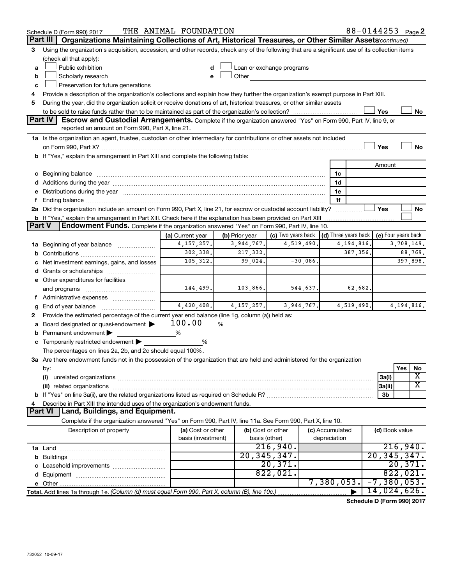|               | Schedule D (Form 990) 2017                                                                                                                                                                                                     | THE ANIMAL FOUNDATION                   |                |                                    |                                      | 88-0144253 Page 2   |           |
|---------------|--------------------------------------------------------------------------------------------------------------------------------------------------------------------------------------------------------------------------------|-----------------------------------------|----------------|------------------------------------|--------------------------------------|---------------------|-----------|
| Part III      | Organizations Maintaining Collections of Art, Historical Treasures, or Other Similar Assets(continued)                                                                                                                         |                                         |                |                                    |                                      |                     |           |
| 3             | Using the organization's acquisition, accession, and other records, check any of the following that are a significant use of its collection items                                                                              |                                         |                |                                    |                                      |                     |           |
|               | (check all that apply):                                                                                                                                                                                                        |                                         |                |                                    |                                      |                     |           |
| a             | Public exhibition                                                                                                                                                                                                              | d                                       |                | Loan or exchange programs          |                                      |                     |           |
| b             | Scholarly research                                                                                                                                                                                                             | e                                       | Other          |                                    |                                      |                     |           |
| c             | Preservation for future generations                                                                                                                                                                                            |                                         |                |                                    |                                      |                     |           |
| 4             | Provide a description of the organization's collections and explain how they further the organization's exempt purpose in Part XIII.                                                                                           |                                         |                |                                    |                                      |                     |           |
| 5             | During the year, did the organization solicit or receive donations of art, historical treasures, or other similar assets                                                                                                       |                                         |                |                                    |                                      |                     |           |
|               |                                                                                                                                                                                                                                |                                         |                |                                    |                                      | Yes                 | No        |
|               | <b>Part IV</b><br>Escrow and Custodial Arrangements. Complete if the organization answered "Yes" on Form 990, Part IV, line 9, or                                                                                              |                                         |                |                                    |                                      |                     |           |
|               | reported an amount on Form 990, Part X, line 21.                                                                                                                                                                               |                                         |                |                                    |                                      |                     |           |
|               | 1a Is the organization an agent, trustee, custodian or other intermediary for contributions or other assets not included                                                                                                       |                                         |                |                                    |                                      |                     |           |
|               |                                                                                                                                                                                                                                |                                         |                |                                    |                                      | Yes                 | <b>No</b> |
|               | b If "Yes," explain the arrangement in Part XIII and complete the following table:                                                                                                                                             |                                         |                |                                    |                                      |                     |           |
|               |                                                                                                                                                                                                                                |                                         |                |                                    |                                      | Amount              |           |
|               | c Beginning balance measurements and the contract of the contract of the contract of the contract of the contract of the contract of the contract of the contract of the contract of the contract of the contract of the contr |                                         |                |                                    | 1c                                   |                     |           |
|               |                                                                                                                                                                                                                                |                                         |                |                                    | 1d                                   |                     |           |
|               | e Distributions during the year manufactured and continuum control of the control of the control of the state of the control of the control of the control of the control of the control of the control of the control of the  |                                         |                |                                    | 1e<br>1f                             |                     |           |
|               | 2a Did the organization include an amount on Form 990, Part X, line 21, for escrow or custodial account liability?                                                                                                             |                                         |                |                                    |                                      | Yes                 | No        |
|               | b If "Yes," explain the arrangement in Part XIII. Check here if the explanation has been provided on Part XIII                                                                                                                 |                                         |                |                                    |                                      |                     |           |
| <b>Part V</b> | Endowment Funds. Complete if the organization answered "Yes" on Form 990, Part IV, line 10.                                                                                                                                    |                                         |                |                                    |                                      |                     |           |
|               |                                                                                                                                                                                                                                | (a) Current year                        | (b) Prior year | (c) Two years back                 | $\vert$ (d) Three years back $\vert$ | (e) Four years back |           |
| 1a            | Beginning of year balance <i>manumman</i>                                                                                                                                                                                      | 4, 157, 257.                            | 3,944,767.     | 4,519,490.                         | 4, 194, 816.                         | 3,708,149.          |           |
| b             |                                                                                                                                                                                                                                | 302, 338.                               | 217,332.       |                                    | 387,356.                             | 88,769.             |           |
|               | Net investment earnings, gains, and losses                                                                                                                                                                                     | 105, 312.                               | 99,024.        | $-30,086$ .                        |                                      | 397,898.            |           |
|               |                                                                                                                                                                                                                                |                                         |                |                                    |                                      |                     |           |
|               | e Other expenditures for facilities                                                                                                                                                                                            |                                         |                |                                    |                                      |                     |           |
|               | and programs                                                                                                                                                                                                                   | 144,499.                                | 103,866.       | 544,637.                           |                                      | 62,682.             |           |
|               | f Administrative expenses                                                                                                                                                                                                      |                                         |                |                                    |                                      |                     |           |
| g             | End of year balance                                                                                                                                                                                                            | 4,420,408.                              | 4, 157, 257.   | 3,944,767.                         | 4,519,490.                           | 4, 194, 816.        |           |
| 2             | Provide the estimated percentage of the current year end balance (line 1g, column (a)) held as:                                                                                                                                |                                         |                |                                    |                                      |                     |           |
| а             | Board designated or quasi-endowment                                                                                                                                                                                            | 100.00                                  | %              |                                    |                                      |                     |           |
| b             | Permanent endowment                                                                                                                                                                                                            | %                                       |                |                                    |                                      |                     |           |
|               | c Temporarily restricted endowment $\blacktriangleright$                                                                                                                                                                       | %                                       |                |                                    |                                      |                     |           |
|               | The percentages on lines 2a, 2b, and 2c should equal 100%.                                                                                                                                                                     |                                         |                |                                    |                                      |                     |           |
|               | 3a Are there endowment funds not in the possession of the organization that are held and administered for the organization                                                                                                     |                                         |                |                                    |                                      |                     |           |
|               | by:                                                                                                                                                                                                                            |                                         |                |                                    |                                      | Yes                 | No        |
|               | (i)                                                                                                                                                                                                                            |                                         |                |                                    |                                      | 3a(i)               | X         |
|               | (ii) related organizations                                                                                                                                                                                                     |                                         |                |                                    |                                      | 3a(ii)              | х         |
|               |                                                                                                                                                                                                                                |                                         |                |                                    |                                      | 3b                  |           |
|               | Describe in Part XIII the intended uses of the organization's endowment funds.<br>Land, Buildings, and Equipment.<br>Part VI                                                                                                   |                                         |                |                                    |                                      |                     |           |
|               |                                                                                                                                                                                                                                |                                         |                |                                    |                                      |                     |           |
|               | Complete if the organization answered "Yes" on Form 990, Part IV, line 11a. See Form 990, Part X, line 10.                                                                                                                     |                                         |                |                                    |                                      |                     |           |
|               | Description of property                                                                                                                                                                                                        | (a) Cost or other<br>basis (investment) |                | (b) Cost or other<br>basis (other) | (c) Accumulated<br>depreciation      | (d) Book value      |           |
|               |                                                                                                                                                                                                                                |                                         |                | 216,940.                           |                                      | 216,940.            |           |
|               |                                                                                                                                                                                                                                |                                         |                | 20, 345, 347.                      |                                      | 20, 345, 347.       |           |
|               |                                                                                                                                                                                                                                |                                         |                | 20,371.                            |                                      | 20,371.             |           |
|               |                                                                                                                                                                                                                                |                                         |                | 822,021.                           |                                      | 822,021.            |           |
|               |                                                                                                                                                                                                                                |                                         |                |                                    | 7,380,053.                           | $-7, 380, 053.$     |           |
|               | Total. Add lines 1a through 1e. (Column (d) must equal Form 990, Part X, column (B), line 10c.)                                                                                                                                |                                         |                |                                    |                                      | 14,024,626.         |           |
|               |                                                                                                                                                                                                                                |                                         |                |                                    |                                      |                     |           |

**Schedule D (Form 990) 2017**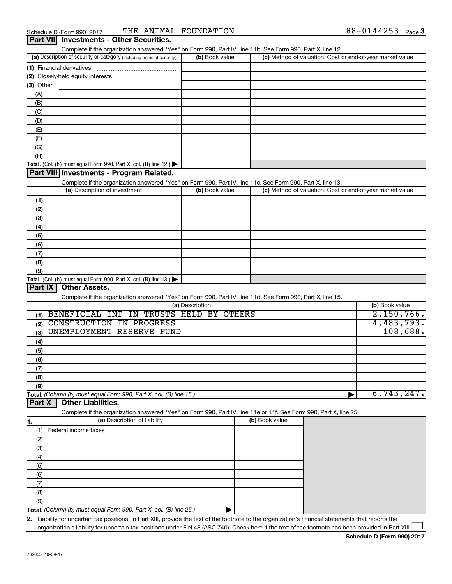|                                     | Complete if the organization answered "Yes" on Form 990, Part IV, line 11b. See Form 990, Part X, line 12.<br>(a) Description of security or category (including name of security) | (b) Book value  |                | (c) Method of valuation: Cost or end-of-year market value |                                      |
|-------------------------------------|------------------------------------------------------------------------------------------------------------------------------------------------------------------------------------|-----------------|----------------|-----------------------------------------------------------|--------------------------------------|
|                                     |                                                                                                                                                                                    |                 |                |                                                           |                                      |
| (1) Financial derivatives           |                                                                                                                                                                                    |                 |                |                                                           |                                      |
|                                     |                                                                                                                                                                                    |                 |                |                                                           |                                      |
| $(3)$ Other                         |                                                                                                                                                                                    |                 |                |                                                           |                                      |
| (A)                                 |                                                                                                                                                                                    |                 |                |                                                           |                                      |
| (B)                                 |                                                                                                                                                                                    |                 |                |                                                           |                                      |
| (C)                                 |                                                                                                                                                                                    |                 |                |                                                           |                                      |
| (D)                                 |                                                                                                                                                                                    |                 |                |                                                           |                                      |
| (E)                                 |                                                                                                                                                                                    |                 |                |                                                           |                                      |
| (F)                                 |                                                                                                                                                                                    |                 |                |                                                           |                                      |
| (G)                                 |                                                                                                                                                                                    |                 |                |                                                           |                                      |
| (H)                                 |                                                                                                                                                                                    |                 |                |                                                           |                                      |
|                                     | Total. (Col. (b) must equal Form 990, Part X, col. (B) line 12.) $\blacktriangleright$                                                                                             |                 |                |                                                           |                                      |
|                                     | Part VIII Investments - Program Related.                                                                                                                                           |                 |                |                                                           |                                      |
|                                     | Complete if the organization answered "Yes" on Form 990, Part IV, line 11c. See Form 990, Part X, line 13.                                                                         |                 |                |                                                           |                                      |
|                                     | (a) Description of investment                                                                                                                                                      | (b) Book value  |                | (c) Method of valuation: Cost or end-of-year market value |                                      |
| (1)                                 |                                                                                                                                                                                    |                 |                |                                                           |                                      |
| (2)                                 |                                                                                                                                                                                    |                 |                |                                                           |                                      |
| (3)                                 |                                                                                                                                                                                    |                 |                |                                                           |                                      |
| (4)                                 |                                                                                                                                                                                    |                 |                |                                                           |                                      |
| (5)                                 |                                                                                                                                                                                    |                 |                |                                                           |                                      |
| (6)                                 |                                                                                                                                                                                    |                 |                |                                                           |                                      |
| (7)                                 |                                                                                                                                                                                    |                 |                |                                                           |                                      |
| (8)                                 |                                                                                                                                                                                    |                 |                |                                                           |                                      |
| (9)                                 |                                                                                                                                                                                    |                 |                |                                                           |                                      |
|                                     |                                                                                                                                                                                    |                 |                |                                                           |                                      |
|                                     | Total. (Col. (b) must equal Form $990$ , Part X, col. (B) line 13.)                                                                                                                |                 |                |                                                           |                                      |
| Part IX<br><b>Other Assets.</b>     |                                                                                                                                                                                    |                 |                |                                                           |                                      |
|                                     | Complete if the organization answered "Yes" on Form 990, Part IV, line 11d. See Form 990, Part X, line 15.                                                                         |                 |                |                                                           |                                      |
|                                     |                                                                                                                                                                                    | (a) Description |                |                                                           | (b) Book value                       |
| (1)                                 | BENEFICIAL INT IN TRUSTS HELD BY OTHERS                                                                                                                                            |                 |                |                                                           |                                      |
| (2)                                 | CONSTRUCTION IN PROGRESS                                                                                                                                                           |                 |                |                                                           |                                      |
| (3)                                 | UNEMPLOYMENT RESERVE FUND                                                                                                                                                          |                 |                |                                                           |                                      |
| (4)                                 |                                                                                                                                                                                    |                 |                |                                                           |                                      |
| (5)                                 |                                                                                                                                                                                    |                 |                |                                                           |                                      |
| (6)                                 |                                                                                                                                                                                    |                 |                |                                                           |                                      |
|                                     |                                                                                                                                                                                    |                 |                |                                                           |                                      |
| (7)<br>(8)                          |                                                                                                                                                                                    |                 |                |                                                           |                                      |
| (9)                                 |                                                                                                                                                                                    |                 |                |                                                           | 2,150,766.<br>4,483,793.<br>108,688. |
|                                     |                                                                                                                                                                                    |                 |                |                                                           | 6,743,247.                           |
| <b>Other Liabilities.</b><br>Part X | Total. (Column (b) must equal Form 990, Part X, col. (B) line 15.)                                                                                                                 |                 |                |                                                           |                                      |
|                                     |                                                                                                                                                                                    |                 |                |                                                           |                                      |
|                                     | Complete if the organization answered "Yes" on Form 990, Part IV, line 11e or 11f. See Form 990, Part X, line 25.<br>(a) Description of liability                                  |                 | (b) Book value |                                                           |                                      |
|                                     |                                                                                                                                                                                    |                 |                |                                                           |                                      |
| Federal income taxes<br>(1)         |                                                                                                                                                                                    |                 |                |                                                           |                                      |
| (2)                                 |                                                                                                                                                                                    |                 |                |                                                           |                                      |
| (3)                                 |                                                                                                                                                                                    |                 |                |                                                           |                                      |
| (4)                                 |                                                                                                                                                                                    |                 |                |                                                           |                                      |
| (5)                                 |                                                                                                                                                                                    |                 |                |                                                           |                                      |
| (6)                                 |                                                                                                                                                                                    |                 |                |                                                           |                                      |
| 1.<br>(7)                           |                                                                                                                                                                                    |                 |                |                                                           |                                      |
| (8)                                 |                                                                                                                                                                                    |                 |                |                                                           |                                      |
| (9)                                 | Total. (Column (b) must equal Form 990, Part X, col. (B) line 25.)                                                                                                                 |                 |                |                                                           |                                      |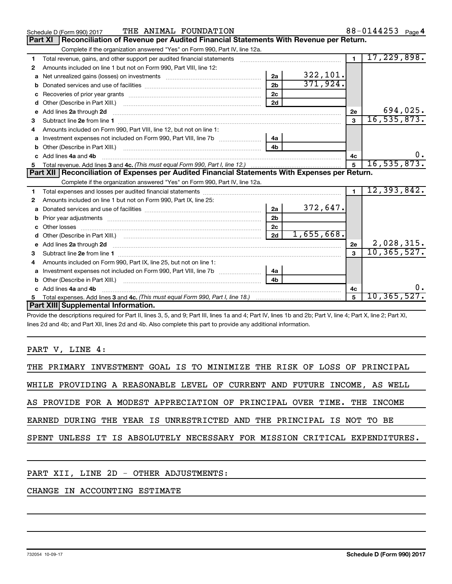|              | THE ANIMAL FOUNDATION<br>Schedule D (Form 990) 2017                                                                                                                                                                                  |                |            |                | 88-0144253 Page 4 |
|--------------|--------------------------------------------------------------------------------------------------------------------------------------------------------------------------------------------------------------------------------------|----------------|------------|----------------|-------------------|
|              | Reconciliation of Revenue per Audited Financial Statements With Revenue per Return.<br><b>Part XI</b>                                                                                                                                |                |            |                |                   |
|              | Complete if the organization answered "Yes" on Form 990, Part IV, line 12a.                                                                                                                                                          |                |            |                |                   |
| 1            | Total revenue, gains, and other support per audited financial statements [11] [11] Total revenue, gains, and other support per audited financial statements                                                                          |                |            | $\blacksquare$ | 17,229,898.       |
| 2            | Amounts included on line 1 but not on Form 990, Part VIII, line 12:                                                                                                                                                                  |                |            |                |                   |
| a            |                                                                                                                                                                                                                                      | 2a             | 322,101.   |                |                   |
| b            |                                                                                                                                                                                                                                      | 2 <sub>b</sub> | 371,924.   |                |                   |
| c            |                                                                                                                                                                                                                                      | 2c             |            |                |                   |
| d            | Other (Describe in Part XIII.) (2000) (2000) (2000) (2010) (2010) (2010) (2010) (2010) (2010) (2010) (2010) (20                                                                                                                      | 2d             |            |                |                   |
| e            | Add lines 2a through 2d <b>Martin Martin Martin Martin Martin Martin Martin Martin Martin Martin Martin Martin Martin Martin Martin Martin Martin Martin Martin Martin Martin Martin Martin Martin Martin Martin Martin Martin M</b> |                |            | 2e             | 694,025.          |
| 3            |                                                                                                                                                                                                                                      |                |            | $\mathbf{a}$   | 16, 535, 873.     |
|              | Amounts included on Form 990, Part VIII, line 12, but not on line 1:                                                                                                                                                                 |                |            |                |                   |
| a            |                                                                                                                                                                                                                                      |                |            |                |                   |
| b            |                                                                                                                                                                                                                                      | 4b             |            |                |                   |
|              | Add lines 4a and 4b                                                                                                                                                                                                                  |                |            | 4c             |                   |
| 5.           |                                                                                                                                                                                                                                      |                |            | 5              | 16, 535, 873.     |
|              | Part XII   Reconciliation of Expenses per Audited Financial Statements With Expenses per Return.                                                                                                                                     |                |            |                |                   |
|              | Complete if the organization answered "Yes" on Form 990, Part IV, line 12a.                                                                                                                                                          |                |            |                |                   |
| 1            |                                                                                                                                                                                                                                      |                |            |                |                   |
|              |                                                                                                                                                                                                                                      |                |            | $\blacksquare$ | 12, 393, 842.     |
| $\mathbf{2}$ | Amounts included on line 1 but not on Form 990, Part IX, line 25:                                                                                                                                                                    |                |            |                |                   |
| a            |                                                                                                                                                                                                                                      | 2a             | 372,647.   |                |                   |
| b            |                                                                                                                                                                                                                                      | 2 <sub>b</sub> |            |                |                   |
| c            |                                                                                                                                                                                                                                      | 2 <sub>c</sub> |            |                |                   |
|              |                                                                                                                                                                                                                                      |                | 1,655,668. |                |                   |
| е            | Add lines 2a through 2d <b>contained a contained a contained a contained a</b> contained a contained a contained a contained a contact a contact a contact a contact a contact a contact a contact a contact a contact a contact a   |                |            | 2e             | 2,028,315.        |
| з            |                                                                                                                                                                                                                                      |                |            |                | 10, 365, 527.     |
| 4            | Amounts included on Form 990, Part IX, line 25, but not on line 1:                                                                                                                                                                   |                |            |                |                   |
| а            |                                                                                                                                                                                                                                      | 4а             |            |                |                   |
| b            |                                                                                                                                                                                                                                      | 4 <sub>h</sub> |            |                |                   |
|              | Add lines 4a and 4b                                                                                                                                                                                                                  |                |            | 4c             |                   |
|              | Part XIII Supplemental Information.                                                                                                                                                                                                  |                |            | 5              | 10, 365, 527.     |

Provide the descriptions required for Part II, lines 3, 5, and 9; Part III, lines 1a and 4; Part IV, lines 1b and 2b; Part V, line 4; Part X, line 2; Part XI, lines 2d and 4b; and Part XII, lines 2d and 4b. Also complete this part to provide any additional information.

#### PART V, LINE 4:

|                                                                         |  |  |  |  |  | THE PRIMARY INVESTMENT GOAL IS TO MINIMIZE THE RISK OF LOSS OF PRINCIPAL   |
|-------------------------------------------------------------------------|--|--|--|--|--|----------------------------------------------------------------------------|
|                                                                         |  |  |  |  |  | WHILE PROVIDING A REASONABLE LEVEL OF CURRENT AND FUTURE INCOME, AS WELL   |
| AS PROVIDE FOR A MODEST APPRECIATION OF PRINCIPAL OVER TIME. THE INCOME |  |  |  |  |  |                                                                            |
| EARNED DURING THE YEAR IS UNRESTRICTED AND THE PRINCIPAL IS NOT TO BE   |  |  |  |  |  |                                                                            |
|                                                                         |  |  |  |  |  | SPENT UNLESS IT IS ABSOLUTELY NECESSARY FOR MISSION CRITICAL EXPENDITURES. |
|                                                                         |  |  |  |  |  |                                                                            |

#### PART XII, LINE 2D - OTHER ADJUSTMENTS:

### CHANGE IN ACCOUNTING ESTIMATE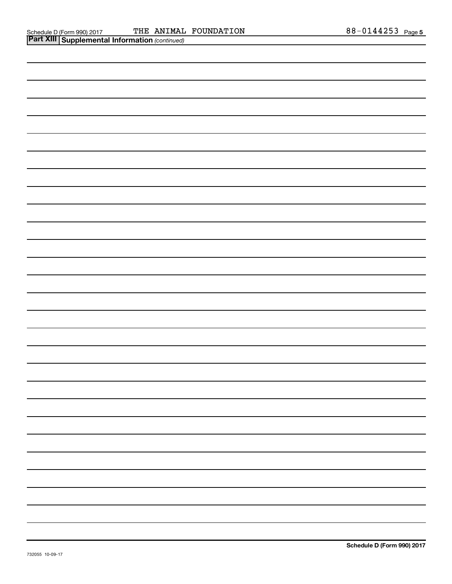| Schedule D (Form 990) 2017 THE ANIMAL<br>Part XIII Supplemental Information (continued) | THE ANIMAL FOUNDATION | 88-0144253 Page 5 |  |
|-----------------------------------------------------------------------------------------|-----------------------|-------------------|--|
|                                                                                         |                       |                   |  |
|                                                                                         |                       |                   |  |
|                                                                                         |                       |                   |  |
|                                                                                         |                       |                   |  |
|                                                                                         |                       |                   |  |
|                                                                                         |                       |                   |  |
|                                                                                         |                       |                   |  |
|                                                                                         |                       |                   |  |
|                                                                                         |                       |                   |  |
|                                                                                         |                       |                   |  |
|                                                                                         |                       |                   |  |
|                                                                                         |                       |                   |  |
|                                                                                         |                       |                   |  |
|                                                                                         |                       |                   |  |
|                                                                                         |                       |                   |  |
|                                                                                         |                       |                   |  |
|                                                                                         |                       |                   |  |
|                                                                                         |                       |                   |  |
|                                                                                         |                       |                   |  |
|                                                                                         |                       |                   |  |
|                                                                                         |                       |                   |  |
|                                                                                         |                       |                   |  |
|                                                                                         |                       |                   |  |
|                                                                                         |                       |                   |  |
|                                                                                         |                       |                   |  |
|                                                                                         |                       |                   |  |
|                                                                                         |                       |                   |  |
|                                                                                         |                       |                   |  |
|                                                                                         |                       |                   |  |
|                                                                                         |                       |                   |  |
|                                                                                         |                       |                   |  |
|                                                                                         |                       |                   |  |
|                                                                                         |                       |                   |  |
|                                                                                         |                       |                   |  |
|                                                                                         |                       |                   |  |
|                                                                                         |                       |                   |  |
|                                                                                         |                       |                   |  |
|                                                                                         |                       |                   |  |
|                                                                                         |                       |                   |  |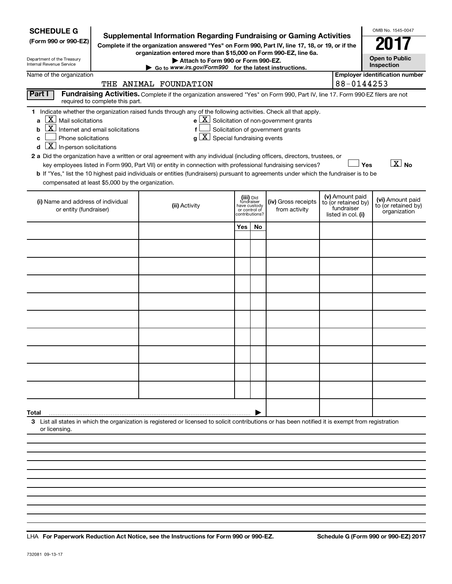| <b>SCHEDULE G</b><br>(Form 990 or 990-EZ)<br>Department of the Treasury<br>Internal Revenue Service                                                                                                                                                         | <b>Supplemental Information Regarding Fundraising or Gaming Activities</b><br>Complete if the organization answered "Yes" on Form 990, Part IV, line 17, 18, or 19, or if the<br>organization entered more than \$15,000 on Form 990-EZ, line 6a.<br>Attach to Form 990 or Form 990-EZ.<br>Go to www.irs.gov/Form990 for the latest instructions.                                                                                                                                                          |                                                                            |                                                                                                   |                                                                            | OMB No. 1545-0047<br><b>Open to Public</b><br>Inspection |
|-------------------------------------------------------------------------------------------------------------------------------------------------------------------------------------------------------------------------------------------------------------|------------------------------------------------------------------------------------------------------------------------------------------------------------------------------------------------------------------------------------------------------------------------------------------------------------------------------------------------------------------------------------------------------------------------------------------------------------------------------------------------------------|----------------------------------------------------------------------------|---------------------------------------------------------------------------------------------------|----------------------------------------------------------------------------|----------------------------------------------------------|
| Name of the organization                                                                                                                                                                                                                                    |                                                                                                                                                                                                                                                                                                                                                                                                                                                                                                            |                                                                            |                                                                                                   |                                                                            | <b>Employer identification number</b>                    |
|                                                                                                                                                                                                                                                             | THE ANIMAL FOUNDATION                                                                                                                                                                                                                                                                                                                                                                                                                                                                                      |                                                                            |                                                                                                   | 88-0144253                                                                 |                                                          |
| Part I<br>required to complete this part.                                                                                                                                                                                                                   | Fundraising Activities. Complete if the organization answered "Yes" on Form 990, Part IV, line 17. Form 990-EZ filers are not                                                                                                                                                                                                                                                                                                                                                                              |                                                                            |                                                                                                   |                                                                            |                                                          |
| $\lfloor \texttt{X} \rfloor$ Mail solicitations<br>a<br>$\overline{\mathbf{X}}$ Internet and email solicitations<br>b<br>Phone solicitations<br>C<br>$\boxed{\mathbf{X}}$ In-person solicitations<br>d<br>compensated at least \$5,000 by the organization. | 1 Indicate whether the organization raised funds through any of the following activities. Check all that apply.<br>f<br>2 a Did the organization have a written or oral agreement with any individual (including officers, directors, trustees, or<br>key employees listed in Form 990, Part VII) or entity in connection with professional fundraising services?<br>b If "Yes," list the 10 highest paid individuals or entities (fundraisers) pursuant to agreements under which the fundraiser is to be | $g\mid X$ Special fundraising events                                       | $e$ $\boxed{\text{X}}$ Solicitation of non-government grants<br>Solicitation of government grants |                                                                            | $\boxed{\text{X}}$ No<br>Yes                             |
| (i) Name and address of individual<br>or entity (fundraiser)                                                                                                                                                                                                | (ii) Activity                                                                                                                                                                                                                                                                                                                                                                                                                                                                                              | (iii) Did<br>fundraiser<br>have custody<br>or control of<br>contributions? | (iv) Gross receipts<br>from activity                                                              | (v) Amount paid<br>to (or retained by)<br>fundraiser<br>listed in col. (i) | (vi) Amount paid<br>to (or retained by)<br>organization  |
|                                                                                                                                                                                                                                                             |                                                                                                                                                                                                                                                                                                                                                                                                                                                                                                            | Yes<br>No                                                                  |                                                                                                   |                                                                            |                                                          |
|                                                                                                                                                                                                                                                             |                                                                                                                                                                                                                                                                                                                                                                                                                                                                                                            |                                                                            |                                                                                                   |                                                                            |                                                          |
|                                                                                                                                                                                                                                                             |                                                                                                                                                                                                                                                                                                                                                                                                                                                                                                            |                                                                            |                                                                                                   |                                                                            |                                                          |
|                                                                                                                                                                                                                                                             |                                                                                                                                                                                                                                                                                                                                                                                                                                                                                                            |                                                                            |                                                                                                   |                                                                            |                                                          |
|                                                                                                                                                                                                                                                             |                                                                                                                                                                                                                                                                                                                                                                                                                                                                                                            |                                                                            |                                                                                                   |                                                                            |                                                          |
|                                                                                                                                                                                                                                                             |                                                                                                                                                                                                                                                                                                                                                                                                                                                                                                            |                                                                            |                                                                                                   |                                                                            |                                                          |
|                                                                                                                                                                                                                                                             |                                                                                                                                                                                                                                                                                                                                                                                                                                                                                                            |                                                                            |                                                                                                   |                                                                            |                                                          |
|                                                                                                                                                                                                                                                             |                                                                                                                                                                                                                                                                                                                                                                                                                                                                                                            |                                                                            |                                                                                                   |                                                                            |                                                          |
|                                                                                                                                                                                                                                                             |                                                                                                                                                                                                                                                                                                                                                                                                                                                                                                            |                                                                            |                                                                                                   |                                                                            |                                                          |
| Total                                                                                                                                                                                                                                                       |                                                                                                                                                                                                                                                                                                                                                                                                                                                                                                            |                                                                            |                                                                                                   |                                                                            |                                                          |
| or licensing.                                                                                                                                                                                                                                               | 3 List all states in which the organization is registered or licensed to solicit contributions or has been notified it is exempt from registration                                                                                                                                                                                                                                                                                                                                                         |                                                                            |                                                                                                   |                                                                            |                                                          |
|                                                                                                                                                                                                                                                             |                                                                                                                                                                                                                                                                                                                                                                                                                                                                                                            |                                                                            |                                                                                                   |                                                                            |                                                          |
|                                                                                                                                                                                                                                                             |                                                                                                                                                                                                                                                                                                                                                                                                                                                                                                            |                                                                            |                                                                                                   |                                                                            |                                                          |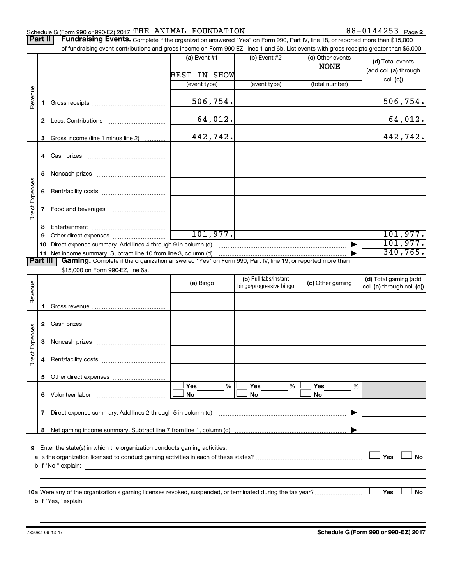#### Schedule G (Form 990 or 990-EZ) 2017  $\texttt{THE}$   $\texttt{ANIMAL}$   $\texttt{FOUNDATION}$   $88-0144253$   $\texttt{Page}$

Part II | Fundraising Events. Complete if the organization answered "Yes" on Form 990, Part IV, line 18, or reported more than \$15,000 of fundraising event contributions and gross income on Form 990-EZ, lines 1 and 6b. List events with gross receipts greater than \$5,000.

|                 |              | of fundraising event contributions and gross income on Form 990-EZ, lines 1 and 6b. List events with gross receipts greater than \$5,000. |                |                                                  |                                 |                                                     |
|-----------------|--------------|-------------------------------------------------------------------------------------------------------------------------------------------|----------------|--------------------------------------------------|---------------------------------|-----------------------------------------------------|
|                 |              |                                                                                                                                           | (a) Event $#1$ | (b) Event #2                                     | (c) Other events<br><b>NONE</b> | (d) Total events<br>(add col. (a) through           |
|                 |              |                                                                                                                                           | BEST IN SHOW   |                                                  |                                 | col. (c)                                            |
|                 |              |                                                                                                                                           | (event type)   | (event type)                                     | (total number)                  |                                                     |
| Revenue         | 1.           |                                                                                                                                           | 506,754.       |                                                  |                                 | 506,754.                                            |
|                 |              |                                                                                                                                           | 64,012.        |                                                  |                                 | 64,012.                                             |
|                 | 3            | Gross income (line 1 minus line 2)                                                                                                        | 442,742.       |                                                  |                                 | 442,742.                                            |
|                 |              |                                                                                                                                           |                |                                                  |                                 |                                                     |
|                 |              |                                                                                                                                           |                |                                                  |                                 |                                                     |
|                 | 5            |                                                                                                                                           |                |                                                  |                                 |                                                     |
|                 | 6            |                                                                                                                                           |                |                                                  |                                 |                                                     |
| Direct Expenses | $\mathbf{7}$ |                                                                                                                                           |                |                                                  |                                 |                                                     |
|                 | 8            |                                                                                                                                           |                |                                                  |                                 |                                                     |
|                 | 9            |                                                                                                                                           | 101, 977.      |                                                  |                                 | 101,977.                                            |
|                 |              | Direct expense summary. Add lines 4 through 9 in column (d)                                                                               |                |                                                  |                                 | 101, 977.                                           |
|                 |              |                                                                                                                                           |                |                                                  |                                 | 340,765.                                            |
| <b>Part III</b> |              | Gaming. Complete if the organization answered "Yes" on Form 990, Part IV, line 19, or reported more than                                  |                |                                                  |                                 |                                                     |
|                 |              | \$15,000 on Form 990-EZ, line 6a.                                                                                                         |                |                                                  |                                 |                                                     |
| Revenue         |              |                                                                                                                                           | (a) Bingo      | (b) Pull tabs/instant<br>bingo/progressive bingo | (c) Other gaming                | (d) Total gaming (add<br>col. (a) through col. (c)) |
|                 |              |                                                                                                                                           |                |                                                  |                                 |                                                     |
|                 | 1.           |                                                                                                                                           |                |                                                  |                                 |                                                     |
|                 |              |                                                                                                                                           |                |                                                  |                                 |                                                     |
|                 | 3            |                                                                                                                                           |                |                                                  |                                 |                                                     |
| Direct Expenses | 4            |                                                                                                                                           |                |                                                  |                                 |                                                     |
|                 |              | 5 Other direct expenses                                                                                                                   |                |                                                  |                                 |                                                     |
|                 |              |                                                                                                                                           | %<br>Yes       | Yes<br>%                                         | Yes<br>%                        |                                                     |
|                 |              | 6 Volunteer labor <b>6 Volunteer</b> labor                                                                                                | No             | No                                               | No                              |                                                     |
|                 | 7            | Direct expense summary. Add lines 2 through 5 in column (d)                                                                               |                |                                                  |                                 |                                                     |
|                 | 8            |                                                                                                                                           |                |                                                  |                                 |                                                     |
|                 |              |                                                                                                                                           |                |                                                  |                                 |                                                     |
|                 |              | <b>9</b> Enter the state(s) in which the organization conducts gaming activities:                                                         |                |                                                  |                                 |                                                     |
|                 |              |                                                                                                                                           |                |                                                  |                                 | Yes<br><b>No</b>                                    |
|                 |              | <b>b</b> If "No," explain:<br><u> 1989 - John Stein, Amerikaansk politiker (* 1908)</u>                                                   |                |                                                  |                                 |                                                     |
|                 |              |                                                                                                                                           |                |                                                  |                                 |                                                     |
|                 |              | 10a Were any of the organization's gaming licenses revoked, suspended, or terminated during the tax year?                                 |                |                                                  |                                 | Yes<br>No                                           |
|                 |              |                                                                                                                                           |                |                                                  |                                 |                                                     |
|                 |              |                                                                                                                                           |                |                                                  |                                 |                                                     |

**Schedule G (Form 990 or 990-EZ) 2017**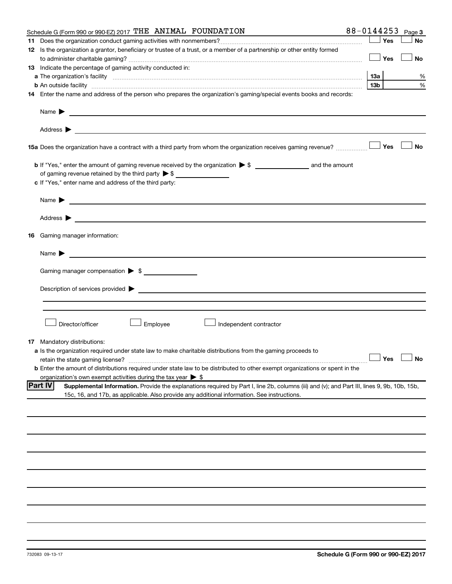| Schedule G (Form 990 or 990-EZ) 2017 THE ANIMAL FOUNDATION                                                                                                    | 88-0144253 |       |     | Page 3               |
|---------------------------------------------------------------------------------------------------------------------------------------------------------------|------------|-------|-----|----------------------|
|                                                                                                                                                               |            |       | Yes | No                   |
| 12 Is the organization a grantor, beneficiary or trustee of a trust, or a member of a partnership or other entity formed                                      |            |       |     |                      |
|                                                                                                                                                               |            |       | Yes | No                   |
| 13 Indicate the percentage of gaming activity conducted in:                                                                                                   |            |       |     |                      |
|                                                                                                                                                               |            |       |     | %                    |
| <b>b</b> An outside facility <i>www.communicality www.communicality.communicality www.communicality www.communicality.communicality www.communicality.com</i> |            | 13b l |     | %                    |
| 14 Enter the name and address of the person who prepares the organization's gaming/special events books and records:                                          |            |       |     |                      |
| Name $\blacktriangleright$<br><u> 1980 - Johann Barbara, martin amerikan basal dan berasal dan berasal dan berasal dan berasal dan berasal dan</u>            |            |       |     |                      |
|                                                                                                                                                               |            |       |     |                      |
|                                                                                                                                                               |            |       |     | No                   |
|                                                                                                                                                               |            |       |     |                      |
| of gaming revenue retained by the third party $\triangleright$ \$                                                                                             |            |       |     |                      |
| c If "Yes," enter name and address of the third party:                                                                                                        |            |       |     |                      |
| Name $\blacktriangleright$<br><u> 1989 - Johann Barbara, martin amerikan basal dan berasal dan berasal dalam basal dan berasal dan berasal dan</u>            |            |       |     |                      |
|                                                                                                                                                               |            |       |     |                      |
| 16 Gaming manager information:                                                                                                                                |            |       |     |                      |
| Name ▶ <u>───────</u> ─ <u>────────</u> ───── <u>─</u>                                                                                                        |            |       |     |                      |
| Gaming manager compensation > \$                                                                                                                              |            |       |     |                      |
|                                                                                                                                                               |            |       |     |                      |
|                                                                                                                                                               |            |       |     |                      |
|                                                                                                                                                               |            |       |     |                      |
|                                                                                                                                                               |            |       |     |                      |
| Director/officer<br>Employee<br>Independent contractor                                                                                                        |            |       |     |                      |
| <b>17</b> Mandatory distributions:                                                                                                                            |            |       |     |                      |
| a Is the organization required under state law to make charitable distributions from the gaming proceeds to                                                   |            |       |     |                      |
|                                                                                                                                                               |            |       |     | $\Box$ Yes $\Box$ No |
| <b>b</b> Enter the amount of distributions required under state law to be distributed to other exempt organizations or spent in the                           |            |       |     |                      |
| organization's own exempt activities during the tax year $\triangleright$ \$                                                                                  |            |       |     |                      |
| <b>Part IV</b><br>Supplemental Information. Provide the explanations required by Part I, line 2b, columns (iii) and (v); and Part III, lines 9, 9b, 10b, 15b, |            |       |     |                      |
| 15c, 16, and 17b, as applicable. Also provide any additional information. See instructions.                                                                   |            |       |     |                      |
|                                                                                                                                                               |            |       |     |                      |
|                                                                                                                                                               |            |       |     |                      |
|                                                                                                                                                               |            |       |     |                      |
|                                                                                                                                                               |            |       |     |                      |
|                                                                                                                                                               |            |       |     |                      |
|                                                                                                                                                               |            |       |     |                      |
|                                                                                                                                                               |            |       |     |                      |
|                                                                                                                                                               |            |       |     |                      |
|                                                                                                                                                               |            |       |     |                      |
|                                                                                                                                                               |            |       |     |                      |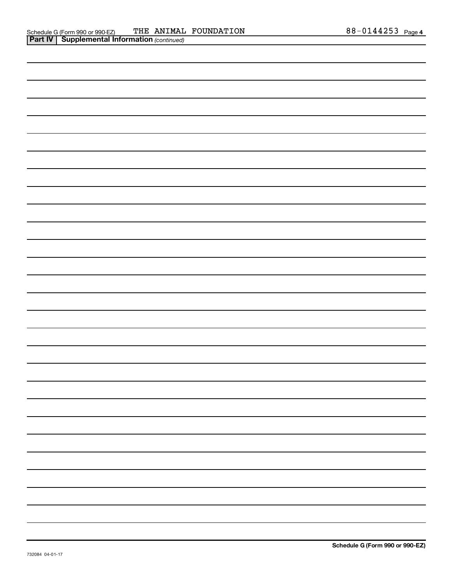| and the control of the control of |
|-----------------------------------|
|                                   |
|                                   |
|                                   |
|                                   |
|                                   |
|                                   |
|                                   |
|                                   |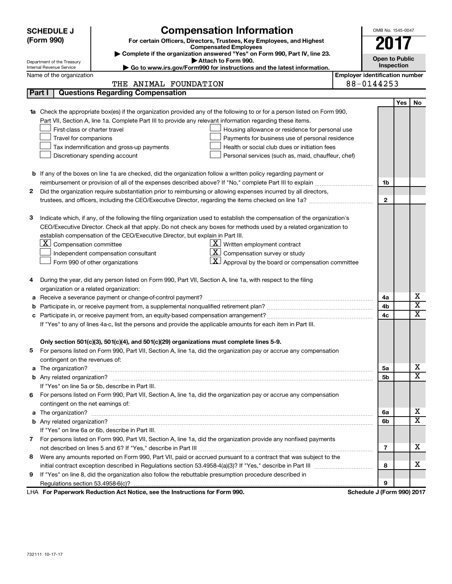| <b>SCHEDULE J</b> | OMB No. 1545-0047                                                                                                               |                                       |            |                         |
|-------------------|---------------------------------------------------------------------------------------------------------------------------------|---------------------------------------|------------|-------------------------|
|                   | <b>Compensation Information</b><br>(Form 990)<br>For certain Officers, Directors, Trustees, Key Employees, and Highest          |                                       |            |                         |
|                   | <b>Compensated Employees</b>                                                                                                    |                                       |            |                         |
|                   | Complete if the organization answered "Yes" on Form 990, Part IV, line 23.<br>Attach to Form 990.<br>Department of the Treasury | <b>Open to Public</b>                 |            |                         |
|                   | Go to www.irs.gov/Form990 for instructions and the latest information.<br>Internal Revenue Service                              |                                       | Inspection |                         |
|                   | Name of the organization                                                                                                        | <b>Employer identification number</b> |            |                         |
|                   | THE ANIMAL FOUNDATION                                                                                                           | 88-0144253                            |            |                         |
|                   | <b>Questions Regarding Compensation</b><br>Part I                                                                               |                                       |            |                         |
|                   |                                                                                                                                 |                                       | Yes        | No                      |
| 1a                | Check the appropriate box(es) if the organization provided any of the following to or for a person listed on Form 990,          |                                       |            |                         |
|                   | Part VII, Section A, line 1a. Complete Part III to provide any relevant information regarding these items.                      |                                       |            |                         |
|                   | First-class or charter travel<br>Housing allowance or residence for personal use                                                |                                       |            |                         |
|                   | Travel for companions<br>Payments for business use of personal residence                                                        |                                       |            |                         |
|                   | Tax indemnification and gross-up payments<br>Health or social club dues or initiation fees                                      |                                       |            |                         |
|                   | Discretionary spending account<br>Personal services (such as, maid, chauffeur, chef)                                            |                                       |            |                         |
|                   |                                                                                                                                 |                                       |            |                         |
|                   | <b>b</b> If any of the boxes on line 1a are checked, did the organization follow a written policy regarding payment or          |                                       |            |                         |
|                   |                                                                                                                                 | 1b                                    |            |                         |
| 2                 | Did the organization require substantiation prior to reimbursing or allowing expenses incurred by all directors,                |                                       |            |                         |
|                   |                                                                                                                                 | $\mathbf{2}$                          |            |                         |
|                   |                                                                                                                                 |                                       |            |                         |
| з                 | Indicate which, if any, of the following the filing organization used to establish the compensation of the organization's       |                                       |            |                         |
|                   | CEO/Executive Director. Check all that apply. Do not check any boxes for methods used by a related organization to              |                                       |            |                         |
|                   | establish compensation of the CEO/Executive Director, but explain in Part III.                                                  |                                       |            |                         |
|                   | $\lfloor \underline{\textbf{X}} \rfloor$ Compensation committee<br>$\mathbf{X}$<br>Written employment contract                  |                                       |            |                         |
|                   | $\mathbf{X}$<br>Compensation survey or study<br>Independent compensation consultant                                             |                                       |            |                         |
|                   | $\mathbf{X}$<br>Approval by the board or compensation committee<br>Form 990 of other organizations                              |                                       |            |                         |
|                   |                                                                                                                                 |                                       |            |                         |
| 4                 | During the year, did any person listed on Form 990, Part VII, Section A, line 1a, with respect to the filing                    |                                       |            |                         |
|                   | organization or a related organization:                                                                                         |                                       |            | x                       |
| а                 | Receive a severance payment or change-of-control payment?                                                                       | 4a                                    |            | х                       |
| b                 |                                                                                                                                 | 4b                                    |            | $\overline{\textbf{X}}$ |
| с                 |                                                                                                                                 | 4c                                    |            |                         |
|                   | If "Yes" to any of lines 4a-c, list the persons and provide the applicable amounts for each item in Part III.                   |                                       |            |                         |
|                   | Only section 501(c)(3), 501(c)(4), and 501(c)(29) organizations must complete lines 5-9.                                        |                                       |            |                         |
|                   | For persons listed on Form 990, Part VII, Section A, line 1a, did the organization pay or accrue any compensation               |                                       |            |                         |
|                   | contingent on the revenues of:                                                                                                  |                                       |            |                         |
|                   | a The organization?                                                                                                             | 5a                                    |            | x                       |
|                   |                                                                                                                                 | 5b                                    |            | $\overline{\text{X}}$   |
|                   | If "Yes" on line 5a or 5b, describe in Part III.                                                                                |                                       |            |                         |
| 6                 | For persons listed on Form 990, Part VII, Section A, line 1a, did the organization pay or accrue any compensation               |                                       |            |                         |
|                   | contingent on the net earnings of:                                                                                              |                                       |            |                         |
| a                 |                                                                                                                                 | 6a                                    |            | X                       |
|                   |                                                                                                                                 | 6b                                    |            | $\overline{\text{X}}$   |
|                   | If "Yes" on line 6a or 6b, describe in Part III.                                                                                |                                       |            |                         |
|                   | 7 For persons listed on Form 990, Part VII, Section A, line 1a, did the organization provide any nonfixed payments              |                                       |            |                         |
|                   |                                                                                                                                 | 7                                     |            | X                       |
| 8                 | Were any amounts reported on Form 990, Part VII, paid or accrued pursuant to a contract that was subject to the                 |                                       |            |                         |
|                   |                                                                                                                                 | 8                                     |            | х                       |
| 9                 | If "Yes" on line 8, did the organization also follow the rebuttable presumption procedure described in                          |                                       |            |                         |
|                   |                                                                                                                                 | 9                                     |            |                         |
|                   | LHA For Paperwork Reduction Act Notice, see the Instructions for Form 990.                                                      | Schedule J (Form 990) 2017            |            |                         |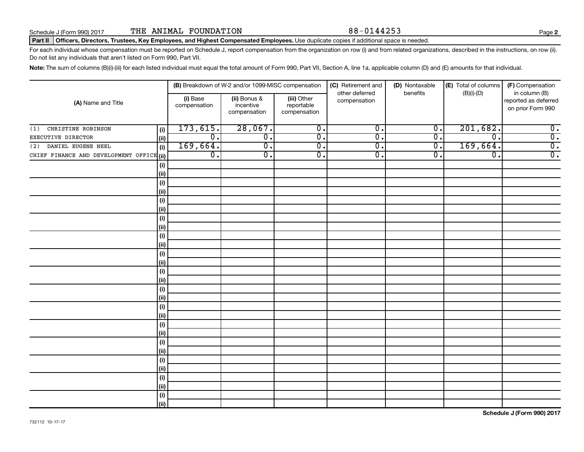#### Part II | Officers, Directors, Trustees, Key Employees, and Highest Compensated Employees. Use duplicate copies if additional space is needed.

For each individual whose compensation must be reported on Schedule J, report compensation from the organization on row (i) and from related organizations, described in the instructions, on row (ii). Do not list any individuals that aren't listed on Form 990, Part VII.

Note: The sum of columns (B)(i)-(iii) for each listed individual must equal the total amount of Form 990, Part VII, Section A, line 1a, applicable column (D) and (E) amounts for that individual.

|                                           |                              |                          | (B) Breakdown of W-2 and/or 1099-MISC compensation |                                           | (C) Retirement and             | (D) Nontaxable   | (E) Total of columns        | (F) Compensation                                           |
|-------------------------------------------|------------------------------|--------------------------|----------------------------------------------------|-------------------------------------------|--------------------------------|------------------|-----------------------------|------------------------------------------------------------|
| (A) Name and Title                        |                              | (i) Base<br>compensation | (ii) Bonus &<br>incentive<br>compensation          | (iii) Other<br>reportable<br>compensation | other deferred<br>compensation | benefits         | $(B)(i)$ - $(D)$            | in column (B)<br>reported as deferred<br>on prior Form 990 |
| CHRISTINE ROBINSON<br>(1)                 | (i)                          | 173,615.                 | 28,067.                                            | $\overline{0}$ .                          | $\overline{0}$ .               | $\overline{0}$ . | 201,682.                    | $\overline{0}$ .                                           |
| EXECUTIVE DIRECTOR                        | (ii)                         | $\overline{0}$ .         | $\overline{0}$ .                                   | $\overline{0}$ .                          | $\overline{\mathfrak{o}}$ .    | $\overline{0}$ . | $\overline{\mathfrak{o}}$ . | $\overline{0}$ .                                           |
| DANIEL EUGENE NEEL<br>(2)                 | (i)                          | 169,664.                 | $\overline{0}$ .                                   | $\overline{0}$ .                          | σ.                             | σ.               | 169,664.                    | $\overline{0}$ .                                           |
| CHIEF FINANCE AND DEVELOPMENT OFFICE (ii) |                              | $\overline{0}$ .         | $\overline{0}$ .                                   | $\overline{0}$ .                          | σ.                             | $\overline{0}$ . | $\overline{0}$ .            | $\overline{0}$ .                                           |
|                                           | (i)                          |                          |                                                    |                                           |                                |                  |                             |                                                            |
|                                           | (ii)                         |                          |                                                    |                                           |                                |                  |                             |                                                            |
|                                           | (i)                          |                          |                                                    |                                           |                                |                  |                             |                                                            |
|                                           | (ii)                         |                          |                                                    |                                           |                                |                  |                             |                                                            |
|                                           | (i)                          |                          |                                                    |                                           |                                |                  |                             |                                                            |
|                                           | (ii)                         |                          |                                                    |                                           |                                |                  |                             |                                                            |
|                                           | (i)                          |                          |                                                    |                                           |                                |                  |                             |                                                            |
|                                           | (ii)                         |                          |                                                    |                                           |                                |                  |                             |                                                            |
|                                           | (i)                          |                          |                                                    |                                           |                                |                  |                             |                                                            |
|                                           | (ii)                         |                          |                                                    |                                           |                                |                  |                             |                                                            |
|                                           | (i)                          |                          |                                                    |                                           |                                |                  |                             |                                                            |
|                                           | (ii)                         |                          |                                                    |                                           |                                |                  |                             |                                                            |
|                                           | (i)                          |                          |                                                    |                                           |                                |                  |                             |                                                            |
|                                           | (ii)                         |                          |                                                    |                                           |                                |                  |                             |                                                            |
|                                           | (i)<br>(ii)                  |                          |                                                    |                                           |                                |                  |                             |                                                            |
|                                           | (i)                          |                          |                                                    |                                           |                                |                  |                             |                                                            |
|                                           | (ii)                         |                          |                                                    |                                           |                                |                  |                             |                                                            |
|                                           | (i)                          |                          |                                                    |                                           |                                |                  |                             |                                                            |
|                                           | (ii)                         |                          |                                                    |                                           |                                |                  |                             |                                                            |
|                                           | (i)                          |                          |                                                    |                                           |                                |                  |                             |                                                            |
|                                           | (ii)                         |                          |                                                    |                                           |                                |                  |                             |                                                            |
|                                           | $\qquad \qquad \textbf{(i)}$ |                          |                                                    |                                           |                                |                  |                             |                                                            |
|                                           | (ii)                         |                          |                                                    |                                           |                                |                  |                             |                                                            |
|                                           | $\qquad \qquad \textbf{(i)}$ |                          |                                                    |                                           |                                |                  |                             |                                                            |
|                                           | (ii)                         |                          |                                                    |                                           |                                |                  |                             |                                                            |
|                                           | $\qquad \qquad \textbf{(i)}$ |                          |                                                    |                                           |                                |                  |                             |                                                            |
|                                           | (ii)                         |                          |                                                    |                                           |                                |                  |                             |                                                            |

**Schedule J (Form 990) 2017**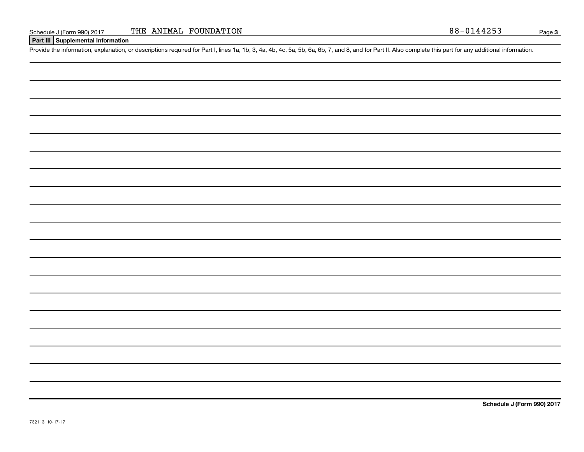**Part III Supplemental Information**

Provide the information, explanation, or descriptions required for Part I, lines 1a, 1b, 3, 4a, 4b, 4c, 5a, 5b, 6a, 6b, 7, and 8, and for Part II. Also complete this part for any additional information.

**Schedule J (Form 990) 2017**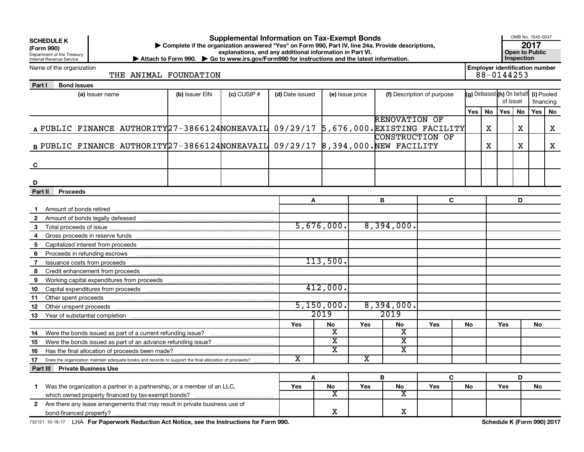| (Form 990)                                                                    | <b>Supplemental Information on Tax-Exempt Bonds</b><br><b>SCHEDULE K</b><br>Complete if the organization answered "Yes" on Form 990, Part IV, line 24a. Provide descriptions,<br>explanations, and any additional information in Part VI.<br>Department of the Treasury<br>Internal Revenue Service<br>▶ Attach to Form 990. ▶ Go to www.irs.gov/Form990 for instructions and the latest information. |  |                       |               |                       |                               |                             |                               |                            |     |    | OMB No. 1545-0047<br>2017<br><b>Open to Public</b><br><b>Inspection</b> |           |           |    |
|-------------------------------------------------------------------------------|-------------------------------------------------------------------------------------------------------------------------------------------------------------------------------------------------------------------------------------------------------------------------------------------------------------------------------------------------------------------------------------------------------|--|-----------------------|---------------|-----------------------|-------------------------------|-----------------------------|-------------------------------|----------------------------|-----|----|-------------------------------------------------------------------------|-----------|-----------|----|
|                                                                               | Name of the organization                                                                                                                                                                                                                                                                                                                                                                              |  | THE ANIMAL FOUNDATION |               |                       |                               |                             |                               |                            |     |    | <b>Employer identification number</b><br>88-0144253                     |           |           |    |
| Part I                                                                        | <b>Bond Issues</b>                                                                                                                                                                                                                                                                                                                                                                                    |  |                       |               |                       |                               |                             |                               |                            |     |    |                                                                         |           |           |    |
|                                                                               | (a) Issuer name                                                                                                                                                                                                                                                                                                                                                                                       |  | (b) Issuer EIN        | $(c)$ CUSIP # | (d) Date issued       |                               | (e) Issue price             |                               | (f) Description of purpose |     |    | (g) Defeased (h) On behalf (i) Pooled                                   |           |           |    |
|                                                                               |                                                                                                                                                                                                                                                                                                                                                                                                       |  |                       |               |                       |                               |                             |                               |                            |     |    | of issuer                                                               |           | financing |    |
|                                                                               |                                                                                                                                                                                                                                                                                                                                                                                                       |  |                       |               |                       |                               |                             |                               |                            | Yes | No | Yes                                                                     | <b>No</b> | Yes       | No |
|                                                                               |                                                                                                                                                                                                                                                                                                                                                                                                       |  |                       |               |                       |                               |                             | <b>RENOVATION OF</b>          |                            |     |    |                                                                         |           |           |    |
|                                                                               | A PUBLIC FINANCE AUTHORITY 27-3866124 NONEAVAIL 09/29/17 5,676,000. EXISTING FACILITY                                                                                                                                                                                                                                                                                                                 |  |                       |               |                       |                               |                             |                               |                            |     | х  |                                                                         | х         |           | X  |
|                                                                               |                                                                                                                                                                                                                                                                                                                                                                                                       |  |                       |               |                       |                               |                             | <b>CONSTRUCTION OF</b>        |                            |     |    |                                                                         |           |           |    |
|                                                                               | B PUBLIC FINANCE AUTHORITY $27-3866124$ NONEAVAIL 09/29/17 8,394,000. NEW FACILITY                                                                                                                                                                                                                                                                                                                    |  |                       |               |                       |                               |                             |                               | х                          |     | х  |                                                                         | x         |           |    |
| C                                                                             |                                                                                                                                                                                                                                                                                                                                                                                                       |  |                       |               |                       |                               |                             |                               |                            |     |    |                                                                         |           |           |    |
| D                                                                             |                                                                                                                                                                                                                                                                                                                                                                                                       |  |                       |               |                       |                               |                             |                               |                            |     |    |                                                                         |           |           |    |
| Part II<br><b>Proceeds</b>                                                    |                                                                                                                                                                                                                                                                                                                                                                                                       |  |                       |               |                       |                               |                             |                               |                            |     |    |                                                                         |           |           |    |
|                                                                               |                                                                                                                                                                                                                                                                                                                                                                                                       |  |                       |               | Α                     |                               |                             | В                             | C                          |     |    |                                                                         |           |           |    |
|                                                                               |                                                                                                                                                                                                                                                                                                                                                                                                       |  |                       |               |                       |                               |                             |                               |                            |     |    |                                                                         |           |           |    |
| $\mathbf{2}$                                                                  |                                                                                                                                                                                                                                                                                                                                                                                                       |  |                       |               |                       |                               |                             |                               |                            |     |    |                                                                         |           |           |    |
| 3                                                                             |                                                                                                                                                                                                                                                                                                                                                                                                       |  |                       |               |                       | 5,676,000.                    |                             | 8,394,000.                    |                            |     |    |                                                                         |           |           |    |
| 4                                                                             |                                                                                                                                                                                                                                                                                                                                                                                                       |  |                       |               |                       |                               |                             |                               |                            |     |    |                                                                         |           |           |    |
| 5                                                                             |                                                                                                                                                                                                                                                                                                                                                                                                       |  |                       |               |                       |                               |                             |                               |                            |     |    |                                                                         |           |           |    |
| 6                                                                             | Proceeds in refunding escrows material content and the extraordinary content and the content of the content of                                                                                                                                                                                                                                                                                        |  |                       |               |                       |                               |                             |                               |                            |     |    |                                                                         |           |           |    |
| 7                                                                             |                                                                                                                                                                                                                                                                                                                                                                                                       |  |                       |               |                       | 113,500.                      |                             |                               |                            |     |    |                                                                         |           |           |    |
| 8                                                                             | Credit enhancement from proceeds                                                                                                                                                                                                                                                                                                                                                                      |  |                       |               |                       |                               |                             |                               |                            |     |    |                                                                         |           |           |    |
| 9                                                                             |                                                                                                                                                                                                                                                                                                                                                                                                       |  |                       |               |                       |                               |                             |                               |                            |     |    |                                                                         |           |           |    |
| 10                                                                            |                                                                                                                                                                                                                                                                                                                                                                                                       |  |                       |               |                       | 412,000.                      |                             |                               |                            |     |    |                                                                         |           |           |    |
| 11                                                                            |                                                                                                                                                                                                                                                                                                                                                                                                       |  |                       |               |                       |                               |                             |                               |                            |     |    |                                                                         |           |           |    |
| 12                                                                            | Other unspent proceeds measurements are all the contract of the contract of the contract of the contract of the contract of the contract of the contract of the contract of the contract of the contract of the contract of th                                                                                                                                                                        |  |                       |               |                       | 5,150,000.                    |                             | 8,394,000.                    |                            |     |    |                                                                         |           |           |    |
| 13                                                                            |                                                                                                                                                                                                                                                                                                                                                                                                       |  |                       |               |                       | 2019                          |                             | 2019                          |                            |     |    |                                                                         |           |           |    |
|                                                                               |                                                                                                                                                                                                                                                                                                                                                                                                       |  |                       |               | Yes                   | No                            | Yes                         | No                            | <b>Yes</b>                 | No  |    | Yes                                                                     |           | No        |    |
| 14                                                                            |                                                                                                                                                                                                                                                                                                                                                                                                       |  |                       |               |                       | $\overline{\textbf{x}}$       |                             | $\overline{\textbf{X}}$       |                            |     |    |                                                                         |           |           |    |
| 15                                                                            |                                                                                                                                                                                                                                                                                                                                                                                                       |  |                       |               |                       | $\overline{\textbf{x}}$       |                             | $\overline{\mathbf{x}}$       |                            |     |    |                                                                         |           |           |    |
| 16                                                                            |                                                                                                                                                                                                                                                                                                                                                                                                       |  |                       |               |                       | $\overline{\textbf{x}}$       |                             | $\overline{\textbf{X}}$       |                            |     |    |                                                                         |           |           |    |
| 17                                                                            | Does the organization maintain adequate books and records to support the final allocation of proceeds?                                                                                                                                                                                                                                                                                                |  |                       |               | $\overline{\text{x}}$ |                               | $\overline{\textnormal{x}}$ |                               |                            |     |    |                                                                         |           |           |    |
|                                                                               | Part III Private Business Use                                                                                                                                                                                                                                                                                                                                                                         |  |                       |               |                       |                               |                             |                               |                            |     |    |                                                                         |           |           |    |
|                                                                               | Was the organization a partner in a partnership, or a member of an LLC,                                                                                                                                                                                                                                                                                                                               |  |                       |               |                       | A                             |                             | B                             | C                          |     |    |                                                                         | D         |           |    |
| $\mathbf 1$                                                                   |                                                                                                                                                                                                                                                                                                                                                                                                       |  |                       |               |                       | No<br>$\overline{\texttt{x}}$ | Yes                         | No<br>$\overline{\textbf{x}}$ | Yes                        | No  |    | Yes                                                                     |           | No        |    |
| 2 Are there any lease arrangements that may result in private business use of |                                                                                                                                                                                                                                                                                                                                                                                                       |  |                       |               |                       |                               |                             |                               |                            |     |    |                                                                         |           |           |    |
|                                                                               |                                                                                                                                                                                                                                                                                                                                                                                                       |  |                       |               |                       | X                             |                             | Χ                             |                            |     |    |                                                                         |           |           |    |
|                                                                               |                                                                                                                                                                                                                                                                                                                                                                                                       |  |                       |               |                       |                               |                             |                               |                            |     |    |                                                                         |           |           |    |

732121 10-18-17 LHA For Paperwork Reduction Act Notice, see the Instructions for Form 990. Schedule K (Form 990) 2017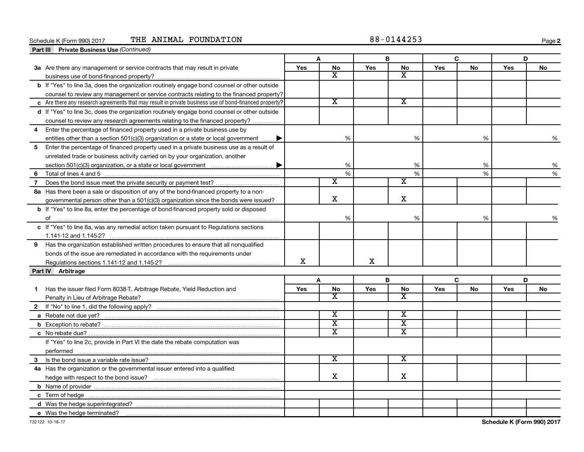#### **Schedule K (Form 990) 2017**<br>**Part III Private Business Use** *(Co* Schedule K (Form 990) 2017 THE ANIMAL FOUNDATION  $88-0144253$

**2**

|   | <b>Private Business Use (Continued)</b><br>Part III                                                    |     |                             |             |                             |     |    |     |    |
|---|--------------------------------------------------------------------------------------------------------|-----|-----------------------------|-------------|-----------------------------|-----|----|-----|----|
|   |                                                                                                        |     |                             |             | B                           |     | C  |     | D  |
|   | 3a Are there any management or service contracts that may result in private                            | Yes | No                          | <b>Yes</b>  | No                          | Yes | No | Yes | No |
|   |                                                                                                        |     | X                           |             | x                           |     |    |     |    |
|   | b If "Yes" to line 3a, does the organization routinely engage bond counsel or other outside            |     |                             |             |                             |     |    |     |    |
|   | counsel to review any management or service contracts relating to the financed property?               |     |                             |             |                             |     |    |     |    |
|   | c Are there any research agreements that may result in private business use of bond-financed property? |     | $\overline{\textnormal{x}}$ |             | $\overline{\textnormal{x}}$ |     |    |     |    |
|   | d If "Yes" to line 3c, does the organization routinely engage bond counsel or other outside            |     |                             |             |                             |     |    |     |    |
|   | counsel to review any research agreements relating to the financed property?                           |     |                             |             |                             |     |    |     |    |
| 4 | Enter the percentage of financed property used in a private business use by                            |     |                             |             |                             |     |    |     |    |
|   | entities other than a section 501(c)(3) organization or a state or local government $\ldots$ .         |     | %                           |             | $\%$                        |     | %  |     | %  |
| 5 | Enter the percentage of financed property used in a private business use as a result of                |     |                             |             |                             |     |    |     |    |
|   | unrelated trade or business activity carried on by your organization, another                          |     |                             |             |                             |     |    |     |    |
|   |                                                                                                        |     | %                           |             | %                           |     | %  |     | %  |
| 6 |                                                                                                        |     | %                           |             | %                           |     | %  |     | %  |
| 7 |                                                                                                        |     | $\overline{\text{x}}$       |             | $\overline{\textnormal{x}}$ |     |    |     |    |
|   | 8a Has there been a sale or disposition of any of the bond-financed property to a non-                 |     |                             |             |                             |     |    |     |    |
|   | governmental person other than a 501(c)(3) organization since the bonds were issued?                   |     | X                           |             | X                           |     |    |     |    |
|   | <b>b</b> If "Yes" to line 8a, enter the percentage of bond-financed property sold or disposed          |     |                             |             |                             |     |    |     |    |
|   |                                                                                                        |     | %                           |             | %                           |     | %  |     | ℅  |
|   | c If "Yes" to line 8a, was any remedial action taken pursuant to Regulations sections                  |     |                             |             |                             |     |    |     |    |
|   |                                                                                                        |     |                             |             |                             |     |    |     |    |
|   | 9 Has the organization established written procedures to ensure that all nonqualified                  |     |                             |             |                             |     |    |     |    |
|   | bonds of the issue are remediated in accordance with the requirements under                            |     |                             |             |                             |     |    |     |    |
|   | Regulations sections 1.141-12 and 1.145-2?                                                             | X   |                             | $\mathbf X$ |                             |     |    |     |    |
|   | Part IV Arbitrage                                                                                      |     |                             |             |                             |     |    |     |    |
|   |                                                                                                        |     | A                           |             | B                           |     | C  |     | D  |
| 1 | Has the issuer filed Form 8038-T, Arbitrage Rebate, Yield Reduction and                                | Yes | No                          | Yes         | No                          | Yes | No | Yes | No |
|   |                                                                                                        |     | $\overline{\text{x}}$       |             | $\overline{\text{x}}$       |     |    |     |    |
|   |                                                                                                        |     |                             |             |                             |     |    |     |    |
|   |                                                                                                        |     | $\overline{\textbf{x}}$     |             | $\overline{\textnormal{x}}$ |     |    |     |    |
|   |                                                                                                        |     | $\overline{\text{x}}$       |             | $\overline{\textbf{x}}$     |     |    |     |    |
|   |                                                                                                        |     | $\overline{\text{x}}$       |             | $\overline{\text{x}}$       |     |    |     |    |
|   | If "Yes" to line 2c, provide in Part VI the date the rebate computation was                            |     |                             |             |                             |     |    |     |    |
|   |                                                                                                        |     |                             |             |                             |     |    |     |    |
| 3 |                                                                                                        |     | X                           |             | x                           |     |    |     |    |
|   | 4a Has the organization or the governmental issuer entered into a qualified                            |     |                             |             |                             |     |    |     |    |
|   |                                                                                                        |     | X                           |             | X                           |     |    |     |    |
|   |                                                                                                        |     |                             |             |                             |     |    |     |    |
|   |                                                                                                        |     |                             |             |                             |     |    |     |    |
|   |                                                                                                        |     |                             |             |                             |     |    |     |    |
|   | e Was the hedge terminated?                                                                            |     |                             |             |                             |     |    |     |    |

 $\overline{\phantom{0}}$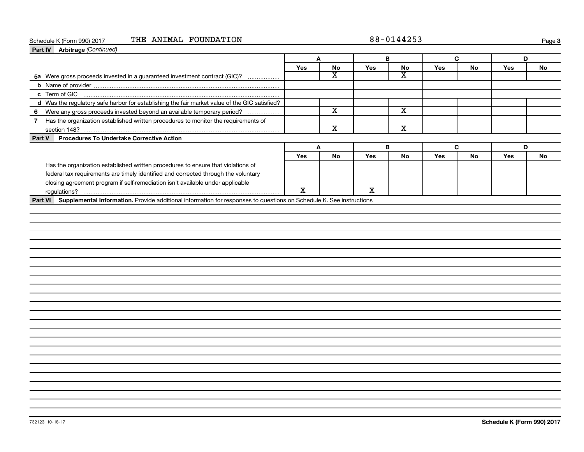#### Schedule K (Form 990) 2017 THE ANIMAL FOUNDATION  $88-0144253$

**Page 3** 

| Part IV Arbitrage (Continued)                                                                                               |     |                         |            |                         |     |           |     |                            |
|-----------------------------------------------------------------------------------------------------------------------------|-----|-------------------------|------------|-------------------------|-----|-----------|-----|----------------------------|
|                                                                                                                             |     | Α                       |            | B                       |     | C         | D   |                            |
|                                                                                                                             | Yes | No                      | Yes        | No                      | Yes | No        | Yes | No                         |
| 5a Were gross proceeds invested in a guaranteed investment contract (GIC)?                                                  |     | X                       |            | $\overline{\texttt{x}}$ |     |           |     |                            |
|                                                                                                                             |     |                         |            |                         |     |           |     |                            |
|                                                                                                                             |     |                         |            |                         |     |           |     |                            |
| d Was the regulatory safe harbor for establishing the fair market value of the GIC satisfied?                               |     |                         |            |                         |     |           |     |                            |
| 6 Were any gross proceeds invested beyond an available temporary period?                                                    |     | $\overline{\textbf{x}}$ |            | $\overline{\mathbf{x}}$ |     |           |     |                            |
| 7 Has the organization established written procedures to monitor the requirements of                                        |     |                         |            |                         |     |           |     |                            |
|                                                                                                                             |     | x                       |            | х                       |     |           |     |                            |
| <b>Procedures To Undertake Corrective Action</b><br>Part V                                                                  |     |                         |            |                         |     |           |     |                            |
|                                                                                                                             |     | A                       | B          |                         |     | C         | D   |                            |
|                                                                                                                             | Yes | <b>No</b>               | <b>Yes</b> | <b>No</b>               | Yes | <b>No</b> | Yes | <b>No</b>                  |
| Has the organization established written procedures to ensure that violations of                                            |     |                         |            |                         |     |           |     |                            |
| federal tax requirements are timely identified and corrected through the voluntary                                          |     |                         |            |                         |     |           |     |                            |
| closing agreement program if self-remediation isn't available under applicable                                              |     |                         |            |                         |     |           |     |                            |
|                                                                                                                             | X   |                         | X          |                         |     |           |     |                            |
| Part VI Supplemental Information. Provide additional information for responses to questions on Schedule K. See instructions |     |                         |            |                         |     |           |     |                            |
|                                                                                                                             |     |                         |            |                         |     |           |     |                            |
|                                                                                                                             |     |                         |            |                         |     |           |     |                            |
|                                                                                                                             |     |                         |            |                         |     |           |     |                            |
|                                                                                                                             |     |                         |            |                         |     |           |     |                            |
|                                                                                                                             |     |                         |            |                         |     |           |     |                            |
|                                                                                                                             |     |                         |            |                         |     |           |     |                            |
|                                                                                                                             |     |                         |            |                         |     |           |     |                            |
|                                                                                                                             |     |                         |            |                         |     |           |     |                            |
|                                                                                                                             |     |                         |            |                         |     |           |     |                            |
|                                                                                                                             |     |                         |            |                         |     |           |     |                            |
|                                                                                                                             |     |                         |            |                         |     |           |     |                            |
|                                                                                                                             |     |                         |            |                         |     |           |     |                            |
|                                                                                                                             |     |                         |            |                         |     |           |     |                            |
|                                                                                                                             |     |                         |            |                         |     |           |     |                            |
|                                                                                                                             |     |                         |            |                         |     |           |     |                            |
|                                                                                                                             |     |                         |            |                         |     |           |     |                            |
|                                                                                                                             |     |                         |            |                         |     |           |     |                            |
|                                                                                                                             |     |                         |            |                         |     |           |     |                            |
|                                                                                                                             |     |                         |            |                         |     |           |     |                            |
|                                                                                                                             |     |                         |            |                         |     |           |     |                            |
|                                                                                                                             |     |                         |            |                         |     |           |     |                            |
|                                                                                                                             |     |                         |            |                         |     |           |     |                            |
|                                                                                                                             |     |                         |            |                         |     |           |     |                            |
|                                                                                                                             |     |                         |            |                         |     |           |     |                            |
|                                                                                                                             |     |                         |            |                         |     |           |     |                            |
| 732123 10-18-17                                                                                                             |     |                         |            |                         |     |           |     | Schedule K (Form 990) 2017 |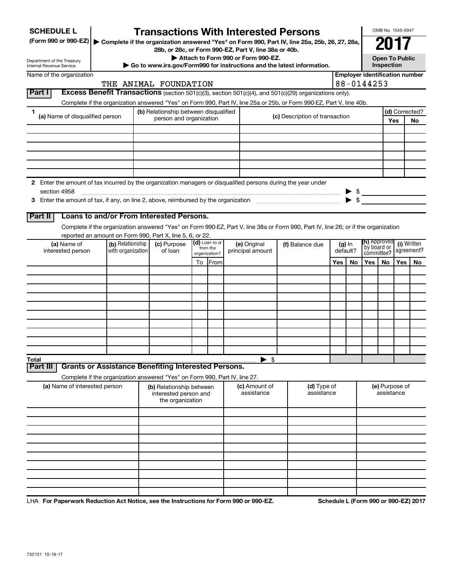| <b>SCHEDULE L</b>                                                                                                    |                                       | <b>Transactions With Interested Persons</b>                                |                         |                  |  |                                    |  |                                                                                                                                    |                      |    |                                       | OMB No. 1545-0047                   |            |                           |
|----------------------------------------------------------------------------------------------------------------------|---------------------------------------|----------------------------------------------------------------------------|-------------------------|------------------|--|------------------------------------|--|------------------------------------------------------------------------------------------------------------------------------------|----------------------|----|---------------------------------------|-------------------------------------|------------|---------------------------|
| (Form 990 or 990-EZ)   Complete if the organization answered "Yes" on Form 990, Part IV, line 25a, 25b, 26, 27, 28a, |                                       |                                                                            |                         |                  |  |                                    |  |                                                                                                                                    |                      |    |                                       |                                     |            |                           |
|                                                                                                                      |                                       | 28b, or 28c, or Form 990-EZ, Part V, line 38a or 40b.                      |                         |                  |  |                                    |  |                                                                                                                                    |                      |    |                                       |                                     |            |                           |
| Department of the Treasury<br>Internal Revenue Service                                                               |                                       |                                                                            |                         |                  |  | Attach to Form 990 or Form 990-EZ. |  | Go to www.irs.gov/Form990 for instructions and the latest information.                                                             |                      |    |                                       | <b>Open To Public</b><br>Inspection |            |                           |
| Name of the organization                                                                                             |                                       |                                                                            |                         |                  |  |                                    |  |                                                                                                                                    |                      |    | <b>Employer identification number</b> |                                     |            |                           |
|                                                                                                                      |                                       | THE ANIMAL FOUNDATION                                                      |                         |                  |  |                                    |  |                                                                                                                                    |                      |    | 88-0144253                            |                                     |            |                           |
| Part I                                                                                                               |                                       |                                                                            |                         |                  |  |                                    |  | <b>Excess Benefit Transactions</b> (section 501(c)(3), section 501(c)(4), and $501(c)(29)$ organizations only).                    |                      |    |                                       |                                     |            |                           |
|                                                                                                                      |                                       |                                                                            |                         |                  |  |                                    |  | Complete if the organization answered "Yes" on Form 990, Part IV, line 25a or 25b, or Form 990-EZ, Part V, line 40b.               |                      |    |                                       |                                     |            |                           |
| 1.<br>(a) Name of disqualified person                                                                                |                                       | (b) Relationship between disqualified                                      |                         |                  |  |                                    |  | (c) Description of transaction                                                                                                     |                      |    |                                       |                                     |            | (d) Corrected?            |
|                                                                                                                      |                                       |                                                                            | person and organization |                  |  |                                    |  |                                                                                                                                    |                      |    |                                       |                                     | Yes<br>No  |                           |
|                                                                                                                      |                                       |                                                                            |                         |                  |  |                                    |  |                                                                                                                                    |                      |    |                                       |                                     |            |                           |
|                                                                                                                      |                                       |                                                                            |                         |                  |  |                                    |  |                                                                                                                                    |                      |    |                                       |                                     |            |                           |
|                                                                                                                      |                                       |                                                                            |                         |                  |  |                                    |  |                                                                                                                                    |                      |    |                                       |                                     |            |                           |
|                                                                                                                      |                                       |                                                                            |                         |                  |  |                                    |  |                                                                                                                                    |                      |    |                                       |                                     |            |                           |
|                                                                                                                      |                                       |                                                                            |                         |                  |  |                                    |  |                                                                                                                                    |                      |    |                                       |                                     |            |                           |
| 2 Enter the amount of tax incurred by the organization managers or disqualified persons during the year under        |                                       |                                                                            |                         |                  |  |                                    |  |                                                                                                                                    |                      |    |                                       |                                     |            |                           |
| section 4958                                                                                                         |                                       |                                                                            |                         |                  |  |                                    |  |                                                                                                                                    |                      |    | $\triangleright$ \$                   |                                     |            |                           |
|                                                                                                                      |                                       |                                                                            |                         |                  |  |                                    |  |                                                                                                                                    |                      |    |                                       |                                     |            |                           |
|                                                                                                                      |                                       |                                                                            |                         |                  |  |                                    |  |                                                                                                                                    |                      |    |                                       |                                     |            |                           |
| Part II                                                                                                              |                                       | Loans to and/or From Interested Persons.                                   |                         |                  |  |                                    |  |                                                                                                                                    |                      |    |                                       |                                     |            |                           |
|                                                                                                                      |                                       |                                                                            |                         |                  |  |                                    |  | Complete if the organization answered "Yes" on Form 990-EZ, Part V, line 38a or Form 990, Part IV, line 26; or if the organization |                      |    |                                       |                                     |            |                           |
|                                                                                                                      |                                       | reported an amount on Form 990, Part X, line 5, 6, or 22.                  |                         | $(d)$ Loan to or |  |                                    |  |                                                                                                                                    |                      |    | <b>(h)</b> Approved                   |                                     |            |                           |
| (a) Name of<br>interested person                                                                                     | (b) Relationship<br>with organization | (c) Purpose<br>of loan                                                     |                         | from the         |  | (e) Original<br>principal amount   |  | (f) Balance due                                                                                                                    | $(g)$ In<br>default? |    | `by board or                          |                                     |            | (i) Written<br>agreement? |
|                                                                                                                      |                                       |                                                                            |                         | organization?    |  |                                    |  |                                                                                                                                    |                      |    |                                       | committee?                          |            |                           |
|                                                                                                                      |                                       |                                                                            |                         | To From          |  |                                    |  |                                                                                                                                    | Yes                  | No | Yes                                   | No.                                 | <b>Yes</b> | No                        |
|                                                                                                                      |                                       |                                                                            |                         |                  |  |                                    |  |                                                                                                                                    |                      |    |                                       |                                     |            |                           |
|                                                                                                                      |                                       |                                                                            |                         |                  |  |                                    |  |                                                                                                                                    |                      |    |                                       |                                     |            |                           |
|                                                                                                                      |                                       |                                                                            |                         |                  |  |                                    |  |                                                                                                                                    |                      |    |                                       |                                     |            |                           |
|                                                                                                                      |                                       |                                                                            |                         |                  |  |                                    |  |                                                                                                                                    |                      |    |                                       |                                     |            |                           |
|                                                                                                                      |                                       |                                                                            |                         |                  |  |                                    |  |                                                                                                                                    |                      |    |                                       |                                     |            |                           |
|                                                                                                                      |                                       |                                                                            |                         |                  |  |                                    |  |                                                                                                                                    |                      |    |                                       |                                     |            |                           |
|                                                                                                                      |                                       |                                                                            |                         |                  |  |                                    |  |                                                                                                                                    |                      |    |                                       |                                     |            |                           |
|                                                                                                                      |                                       |                                                                            |                         |                  |  |                                    |  |                                                                                                                                    |                      |    |                                       |                                     |            |                           |
|                                                                                                                      |                                       |                                                                            |                         |                  |  |                                    |  |                                                                                                                                    |                      |    |                                       |                                     |            |                           |
| Total                                                                                                                |                                       | <b>Grants or Assistance Benefiting Interested Persons.</b>                 |                         |                  |  | $\blacktriangleright$ \$           |  |                                                                                                                                    |                      |    |                                       |                                     |            |                           |
| Part III                                                                                                             |                                       |                                                                            |                         |                  |  |                                    |  |                                                                                                                                    |                      |    |                                       |                                     |            |                           |
|                                                                                                                      |                                       | Complete if the organization answered "Yes" on Form 990, Part IV, line 27. |                         |                  |  |                                    |  |                                                                                                                                    |                      |    |                                       |                                     |            |                           |
| (a) Name of interested person                                                                                        |                                       | (b) Relationship between<br>interested person and<br>the organization      |                         |                  |  | (c) Amount of<br>assistance        |  | (d) Type of<br>assistance                                                                                                          |                      |    |                                       | (e) Purpose of<br>assistance        |            |                           |
|                                                                                                                      |                                       |                                                                            |                         |                  |  |                                    |  |                                                                                                                                    |                      |    |                                       |                                     |            |                           |
|                                                                                                                      |                                       |                                                                            |                         |                  |  |                                    |  |                                                                                                                                    |                      |    |                                       |                                     |            |                           |
|                                                                                                                      |                                       |                                                                            |                         |                  |  |                                    |  |                                                                                                                                    |                      |    |                                       |                                     |            |                           |
|                                                                                                                      |                                       |                                                                            |                         |                  |  |                                    |  |                                                                                                                                    |                      |    |                                       |                                     |            |                           |
|                                                                                                                      |                                       |                                                                            |                         |                  |  |                                    |  |                                                                                                                                    |                      |    |                                       |                                     |            |                           |
|                                                                                                                      |                                       |                                                                            |                         |                  |  |                                    |  |                                                                                                                                    |                      |    |                                       |                                     |            |                           |
|                                                                                                                      |                                       |                                                                            |                         |                  |  |                                    |  |                                                                                                                                    |                      |    |                                       |                                     |            |                           |
|                                                                                                                      |                                       |                                                                            |                         |                  |  |                                    |  |                                                                                                                                    |                      |    |                                       |                                     |            |                           |
|                                                                                                                      |                                       |                                                                            |                         |                  |  |                                    |  |                                                                                                                                    |                      |    |                                       |                                     |            |                           |
|                                                                                                                      |                                       |                                                                            |                         |                  |  |                                    |  |                                                                                                                                    |                      |    |                                       |                                     |            |                           |

LHA For Paperwork Reduction Act Notice, see the Instructions for Form 990 or 990-EZ. Schedule L (Form 990 or 990-EZ) 2017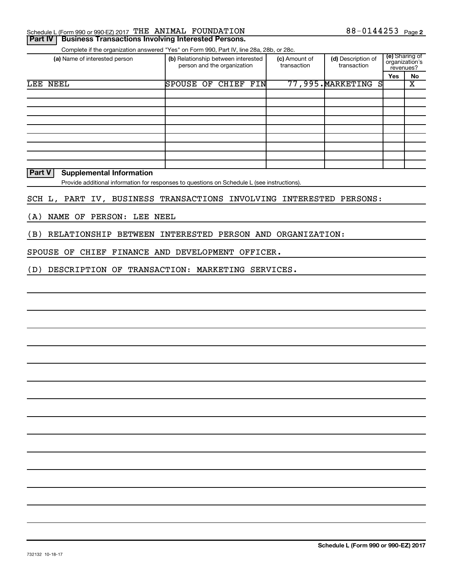|    | Schedule L (Form 990 or 990-EZ) 2017 |  | THE ANIMAL FOUNDATION | ົາ⊾<br>. 14425 J | Page <b>2</b> |
|----|--------------------------------------|--|-----------------------|------------------|---------------|
| -- |                                      |  |                       |                  |               |

#### **Part IV | Business Transactions Involving Interested Persons.**

Complete if the organization answered "Yes" on Form 990, Part IV, line 28a, 28b, or 28c.

| (a) Name of interested person |                  | (b) Relationship between interested<br>person and the organization | (c) Amount of<br>transaction | (d) Description of<br>transaction | revenues? | (e) Sharing of<br>organization's |
|-------------------------------|------------------|--------------------------------------------------------------------|------------------------------|-----------------------------------|-----------|----------------------------------|
|                               |                  |                                                                    |                              |                                   | Yes       | No                               |
| LEE NEEL                      | <b>SPOUSE OF</b> | CHIEF FIN                                                          |                              | 77,995. MARKETING<br>S            |           | х                                |
|                               |                  |                                                                    |                              |                                   |           |                                  |
|                               |                  |                                                                    |                              |                                   |           |                                  |
|                               |                  |                                                                    |                              |                                   |           |                                  |
|                               |                  |                                                                    |                              |                                   |           |                                  |
|                               |                  |                                                                    |                              |                                   |           |                                  |
|                               |                  |                                                                    |                              |                                   |           |                                  |
|                               |                  |                                                                    |                              |                                   |           |                                  |
|                               |                  |                                                                    |                              |                                   |           |                                  |
|                               |                  |                                                                    |                              |                                   |           |                                  |

#### **Part V Supplemental Information**

Provide additional information for responses to questions on Schedule L (see instructions).

#### SCH L, PART IV, BUSINESS TRANSACTIONS INVOLVING INTERESTED PERSONS:

(A) NAME OF PERSON: LEE NEEL

(B) RELATIONSHIP BETWEEN INTERESTED PERSON AND ORGANIZATION:

SPOUSE OF CHIEF FINANCE AND DEVELOPMENT OFFICER.

(D) DESCRIPTION OF TRANSACTION: MARKETING SERVICES.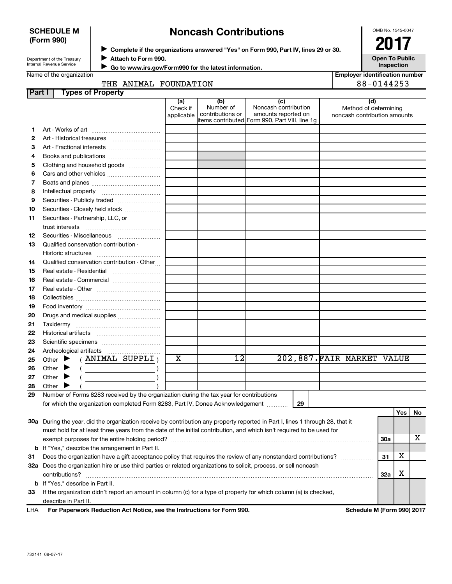#### **SCHEDULE M (Form 990)**

# ◆ Complete if the organizations answered "Yes" on Form 990, Part IV, lines 29 or 30.<br>▶ Complete if the organizations answered "Yes" on Form 990, Part IV, lines 29 or 30. **Noncash Contributions**

OMB No. 1545-0047

Department of the Treasury Internal Revenue Service

**Attach to Form 990.** J  **Go to www.irs.gov/Form990 for the latest information.** J

**Open To Public Inspection Employer identification number**

Name of the organization

THE ANIMAL FOUNDATION 88-0144253

| <b>Part I</b> | <b>Types of Property</b>                                                                                                                                                                                                                                                                                                                                                                                                                                                                                                                                                                         |                               |                                                           |                                                                                    |                                                              |            |     |    |
|---------------|--------------------------------------------------------------------------------------------------------------------------------------------------------------------------------------------------------------------------------------------------------------------------------------------------------------------------------------------------------------------------------------------------------------------------------------------------------------------------------------------------------------------------------------------------------------------------------------------------|-------------------------------|-----------------------------------------------------------|------------------------------------------------------------------------------------|--------------------------------------------------------------|------------|-----|----|
|               |                                                                                                                                                                                                                                                                                                                                                                                                                                                                                                                                                                                                  | (a)<br>Check if<br>applicable | (b)<br>Number of<br>contributions or<br>items contributed | (c)<br>Noncash contribution<br>amounts reported on<br>Form 990, Part VIII, line 1g | (d)<br>Method of determining<br>noncash contribution amounts |            |     |    |
| 1.            |                                                                                                                                                                                                                                                                                                                                                                                                                                                                                                                                                                                                  |                               |                                                           |                                                                                    |                                                              |            |     |    |
| 2             |                                                                                                                                                                                                                                                                                                                                                                                                                                                                                                                                                                                                  |                               |                                                           |                                                                                    |                                                              |            |     |    |
| З             | Art - Fractional interests                                                                                                                                                                                                                                                                                                                                                                                                                                                                                                                                                                       |                               |                                                           |                                                                                    |                                                              |            |     |    |
| 4             | Books and publications                                                                                                                                                                                                                                                                                                                                                                                                                                                                                                                                                                           |                               |                                                           |                                                                                    |                                                              |            |     |    |
| 5             | Clothing and household goods                                                                                                                                                                                                                                                                                                                                                                                                                                                                                                                                                                     |                               |                                                           |                                                                                    |                                                              |            |     |    |
| 6             | Cars and other vehicles                                                                                                                                                                                                                                                                                                                                                                                                                                                                                                                                                                          |                               |                                                           |                                                                                    |                                                              |            |     |    |
| 7             |                                                                                                                                                                                                                                                                                                                                                                                                                                                                                                                                                                                                  |                               |                                                           |                                                                                    |                                                              |            |     |    |
| 8             |                                                                                                                                                                                                                                                                                                                                                                                                                                                                                                                                                                                                  |                               |                                                           |                                                                                    |                                                              |            |     |    |
| 9             | Securities - Publicly traded                                                                                                                                                                                                                                                                                                                                                                                                                                                                                                                                                                     |                               |                                                           |                                                                                    |                                                              |            |     |    |
| 10            | Securities - Closely held stock                                                                                                                                                                                                                                                                                                                                                                                                                                                                                                                                                                  |                               |                                                           |                                                                                    |                                                              |            |     |    |
| 11            | Securities - Partnership, LLC, or<br>trust interests                                                                                                                                                                                                                                                                                                                                                                                                                                                                                                                                             |                               |                                                           |                                                                                    |                                                              |            |     |    |
| 12            | Securities - Miscellaneous                                                                                                                                                                                                                                                                                                                                                                                                                                                                                                                                                                       |                               |                                                           |                                                                                    |                                                              |            |     |    |
| 13            | Qualified conservation contribution -                                                                                                                                                                                                                                                                                                                                                                                                                                                                                                                                                            |                               |                                                           |                                                                                    |                                                              |            |     |    |
| 14            | Qualified conservation contribution - Other                                                                                                                                                                                                                                                                                                                                                                                                                                                                                                                                                      |                               |                                                           |                                                                                    |                                                              |            |     |    |
| 15            | Real estate - Residential                                                                                                                                                                                                                                                                                                                                                                                                                                                                                                                                                                        |                               |                                                           |                                                                                    |                                                              |            |     |    |
| 16            | Real estate - Commercial                                                                                                                                                                                                                                                                                                                                                                                                                                                                                                                                                                         |                               |                                                           |                                                                                    |                                                              |            |     |    |
| 17            |                                                                                                                                                                                                                                                                                                                                                                                                                                                                                                                                                                                                  |                               |                                                           |                                                                                    |                                                              |            |     |    |
| 18            |                                                                                                                                                                                                                                                                                                                                                                                                                                                                                                                                                                                                  |                               |                                                           |                                                                                    |                                                              |            |     |    |
| 19            |                                                                                                                                                                                                                                                                                                                                                                                                                                                                                                                                                                                                  |                               |                                                           |                                                                                    |                                                              |            |     |    |
| 20            | Drugs and medical supplies                                                                                                                                                                                                                                                                                                                                                                                                                                                                                                                                                                       |                               |                                                           |                                                                                    |                                                              |            |     |    |
| 21            |                                                                                                                                                                                                                                                                                                                                                                                                                                                                                                                                                                                                  |                               |                                                           |                                                                                    |                                                              |            |     |    |
| 22            |                                                                                                                                                                                                                                                                                                                                                                                                                                                                                                                                                                                                  |                               |                                                           |                                                                                    |                                                              |            |     |    |
| 23            |                                                                                                                                                                                                                                                                                                                                                                                                                                                                                                                                                                                                  |                               |                                                           |                                                                                    |                                                              |            |     |    |
| 24            | Archeological artifacts                                                                                                                                                                                                                                                                                                                                                                                                                                                                                                                                                                          |                               |                                                           |                                                                                    |                                                              |            |     |    |
| 25            | (ANIMAL SUPPLI)<br>Other $\blacktriangleright$                                                                                                                                                                                                                                                                                                                                                                                                                                                                                                                                                   | X                             | 12                                                        |                                                                                    | 202,887.FAIR MARKET VALUE                                    |            |     |    |
| 26            | Other<br>▸<br>$\left(\begin{array}{ccc} \begin{array}{ccc} \end{array} & \begin{array}{ccc} \end{array} & \begin{array}{ccc} \end{array} & \begin{array}{ccc} \end{array} & \begin{array}{ccc} \end{array} & \begin{array}{ccc} \end{array} & \begin{array}{ccc} \end{array} & \begin{array}{ccc} \end{array} & \begin{array}{ccc} \end{array} & \begin{array}{ccc} \end{array} & \begin{array}{ccc} \end{array} & \begin{array}{ccc} \end{array} & \begin{array}{ccc} \end{array} & \begin{array}{ccc} \end{array} & \begin{array}{ccc} \end{array} & \begin{array}{ccc} \end{array} & \begin{$ |                               |                                                           |                                                                                    |                                                              |            |     |    |
| 27            | Other<br>▸                                                                                                                                                                                                                                                                                                                                                                                                                                                                                                                                                                                       |                               |                                                           |                                                                                    |                                                              |            |     |    |
| 28            | Other                                                                                                                                                                                                                                                                                                                                                                                                                                                                                                                                                                                            |                               |                                                           |                                                                                    |                                                              |            |     |    |
| 29            | Number of Forms 8283 received by the organization during the tax year for contributions                                                                                                                                                                                                                                                                                                                                                                                                                                                                                                          |                               |                                                           |                                                                                    |                                                              |            |     |    |
|               | for which the organization completed Form 8283, Part IV, Donee Acknowledgement                                                                                                                                                                                                                                                                                                                                                                                                                                                                                                                   |                               |                                                           | 29                                                                                 |                                                              |            |     |    |
|               |                                                                                                                                                                                                                                                                                                                                                                                                                                                                                                                                                                                                  |                               |                                                           |                                                                                    |                                                              |            | Yes | No |
|               | 30a During the year, did the organization receive by contribution any property reported in Part I, lines 1 through 28, that it                                                                                                                                                                                                                                                                                                                                                                                                                                                                   |                               |                                                           |                                                                                    |                                                              |            |     |    |
|               | must hold for at least three years from the date of the initial contribution, and which isn't required to be used for                                                                                                                                                                                                                                                                                                                                                                                                                                                                            |                               |                                                           |                                                                                    |                                                              |            |     |    |
|               |                                                                                                                                                                                                                                                                                                                                                                                                                                                                                                                                                                                                  |                               |                                                           |                                                                                    |                                                              | <b>30a</b> |     | x  |
|               | <b>b</b> If "Yes," describe the arrangement in Part II.                                                                                                                                                                                                                                                                                                                                                                                                                                                                                                                                          |                               |                                                           |                                                                                    |                                                              |            |     |    |
| 31            | Does the organization have a gift acceptance policy that requires the review of any nonstandard contributions?                                                                                                                                                                                                                                                                                                                                                                                                                                                                                   |                               |                                                           |                                                                                    |                                                              | 31         | х   |    |
|               | 32a Does the organization hire or use third parties or related organizations to solicit, process, or sell noncash                                                                                                                                                                                                                                                                                                                                                                                                                                                                                |                               |                                                           |                                                                                    |                                                              |            |     |    |
|               | contributions?                                                                                                                                                                                                                                                                                                                                                                                                                                                                                                                                                                                   |                               |                                                           |                                                                                    |                                                              | 32a        | X   |    |
|               | <b>b</b> If "Yes," describe in Part II.                                                                                                                                                                                                                                                                                                                                                                                                                                                                                                                                                          |                               |                                                           |                                                                                    |                                                              |            |     |    |
| 33            | If the organization didn't report an amount in column (c) for a type of property for which column (a) is checked,                                                                                                                                                                                                                                                                                                                                                                                                                                                                                |                               |                                                           |                                                                                    |                                                              |            |     |    |
|               | describe in Part II.<br>escribe in Part II.<br>Eer Benerwerk Beduction Act Netice, ase the Instructions for Eerm 999.                                                                                                                                                                                                                                                                                                                                                                                                                                                                            |                               |                                                           |                                                                                    |                                                              |            |     |    |
| <b>IIIA</b>   |                                                                                                                                                                                                                                                                                                                                                                                                                                                                                                                                                                                                  |                               |                                                           |                                                                                    | Cahadula M (Fauna 000) 0047                                  |            |     |    |

**For Paperwork Reduction Act Notice, see the Instructions for Form 990. Schedule M (Form 990) 2017** LHA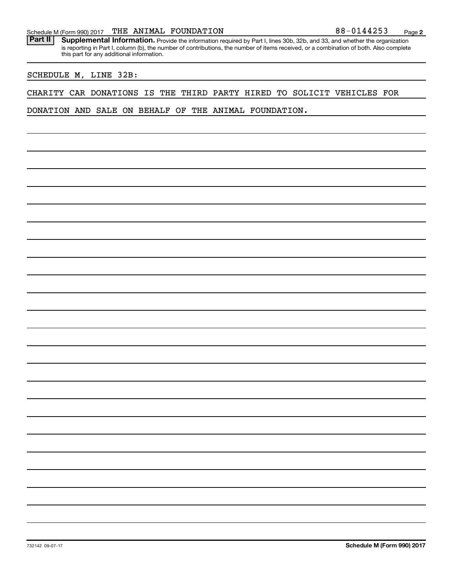Part II | Supplemental Information. Provide the information required by Part I, lines 30b, 32b, and 33, and whether the organization is reporting in Part I, column (b), the number of contributions, the number of items received, or a combination of both. Also complete this part for any additional information.

#### SCHEDULE M, LINE 32B:

#### CHARITY CAR DONATIONS IS THE THIRD PARTY HIRED TO SOLICIT VEHICLES FOR

DONATION AND SALE ON BEHALF OF THE ANIMAL FOUNDATION.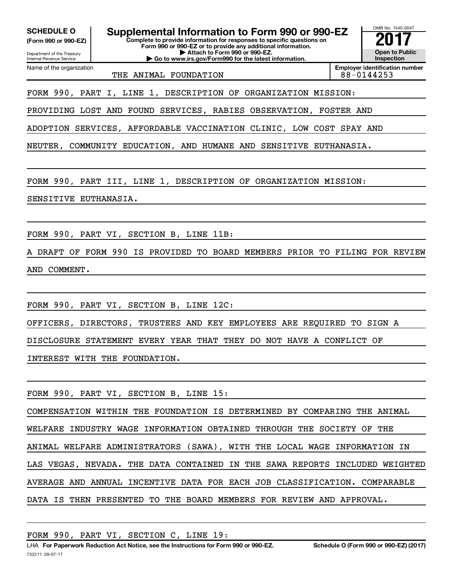Department of the Treasury **(Form 990 or 990-EZ)**

Name of the organization

Internal Revenue Service

**Complete to provide information for responses to specific questions on SCHEDULE O Supplemental Information to Form 990 or 990-EZ 2017**<br>(Form 990 or 990-EZ) Complete to provide information for responses to specific questions on

**Form 990 or 990-EZ or to provide any additional information. | Attach to Form 990 or 990-EZ.**

**| Go to www.irs.gov/Form990 for the latest information.**

OMB No. 1545-0047 **Open to Public Inspection**

THE ANIMAL FOUNDATION **88-0144253** 

**Employer identification number**

FORM 990, PART I, LINE 1, DESCRIPTION OF ORGANIZATION MISSION:

PROVIDING LOST AND FOUND SERVICES, RABIES OBSERVATION, FOSTER AND

ADOPTION SERVICES, AFFORDABLE VACCINATION CLINIC, LOW COST SPAY AND

NEUTER, COMMUNITY EDUCATION, AND HUMANE AND SENSITIVE EUTHANASIA.

FORM 990, PART III, LINE 1, DESCRIPTION OF ORGANIZATION MISSION:

SENSITIVE EUTHANASIA.

FORM 990, PART VI, SECTION B, LINE 11B:

DRAFT OF FORM 990 IS PROVIDED TO BOARD MEMBERS PRIOR TO FILING FOR REVIEW AND COMMENT.

FORM 990, PART VI, SECTION B, LINE 12C:

OFFICERS, DIRECTORS, TRUSTEES AND KEY EMPLOYEES ARE REQUIRED TO SIGN A

DISCLOSURE STATEMENT EVERY YEAR THAT THEY DO NOT HAVE A CONFLICT OF

INTEREST WITH THE FOUNDATION.

FORM 990, PART VI, SECTION B, LINE 15:

COMPENSATION WITHIN THE FOUNDATION IS DETERMINED BY COMPARING THE ANIMAL WELFARE INDUSTRY WAGE INFORMATION OBTAINED THROUGH THE SOCIETY OF THE ANIMAL WELFARE ADMINISTRATORS (SAWA), WITH THE LOCAL WAGE INFORMATION IN LAS VEGAS, NEVADA. THE DATA CONTAINED IN THE SAWA REPORTS INCLUDED WEIGHTED AVERAGE AND ANNUAL INCENTIVE DATA FOR EACH JOB CLASSIFICATION. COMPARABLE DATA IS THEN PRESENTED TO THE BOARD MEMBERS FOR REVIEW AND APPROVAL.